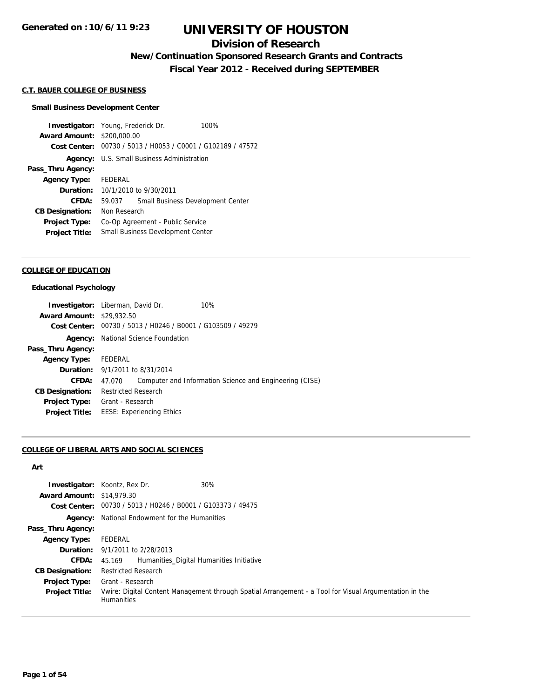### **Division of Research**

**New/Continuation Sponsored Research Grants and Contracts**

**Fiscal Year 2012 - Received during SEPTEMBER**

#### **C.T. BAUER COLLEGE OF BUSINESS**

#### **Small Business Development Center**

**Investigator:** Young, Frederick Dr. 100% **Award Amount:** \$200,000.00 **Cost Center:** 00730 / 5013 / H0053 / C0001 / G102189 / 47572 **Agency:** U.S. Small Business Administration **Pass\_Thru Agency: Agency Type:** FEDERAL **Duration:** 10/1/2010 to 9/30/2011 **CFDA:** 59.037 Small Business Development Center **CB Designation:** Non Research **Project Type:** Co-Op Agreement - Public Service **Project Title:** Small Business Development Center

#### **COLLEGE OF EDUCATION**

#### **Educational Psychology**

|                                  | <b>Investigator:</b> Liberman, David Dr.<br>10%                   |
|----------------------------------|-------------------------------------------------------------------|
| <b>Award Amount: \$29,932.50</b> |                                                                   |
| Cost Center:                     | 00730 / 5013 / H0246 / B0001 / G103509 / 49279                    |
| Agency:                          | National Science Foundation                                       |
| Pass_Thru Agency:                |                                                                   |
| Agency Type: FEDERAL             |                                                                   |
|                                  | <b>Duration:</b> 9/1/2011 to 8/31/2014                            |
| <b>CFDA:</b>                     | Computer and Information Science and Engineering (CISE)<br>47.070 |
| <b>CB Designation:</b>           | <b>Restricted Research</b>                                        |
| Project Type:                    | Grant - Research                                                  |
| <b>Project Title:</b>            | <b>EESE: Experiencing Ethics</b>                                  |

#### **COLLEGE OF LIBERAL ARTS AND SOCIAL SCIENCES**

#### **Art**

| <b>Award Amount: \$14,979.30</b> | 30%<br><b>Investigator:</b> Koontz, Rex Dr.                                                                                 |
|----------------------------------|-----------------------------------------------------------------------------------------------------------------------------|
|                                  | Cost Center: 00730 / 5013 / H0246 / B0001 / G103373 / 49475                                                                 |
|                                  |                                                                                                                             |
|                                  | <b>Agency:</b> National Endowment for the Humanities                                                                        |
| Pass_Thru Agency:                |                                                                                                                             |
| <b>Agency Type:</b>              | FEDERAL                                                                                                                     |
|                                  | <b>Duration:</b> 9/1/2011 to 2/28/2013                                                                                      |
| <b>CFDA:</b>                     | 45.169 Humanities Digital Humanities Initiative                                                                             |
| <b>CB Designation:</b>           | <b>Restricted Research</b>                                                                                                  |
| <b>Project Type:</b>             | Grant - Research                                                                                                            |
| <b>Project Title:</b>            | Vwire: Digital Content Management through Spatial Arrangement - a Tool for Visual Argumentation in the<br><b>Humanities</b> |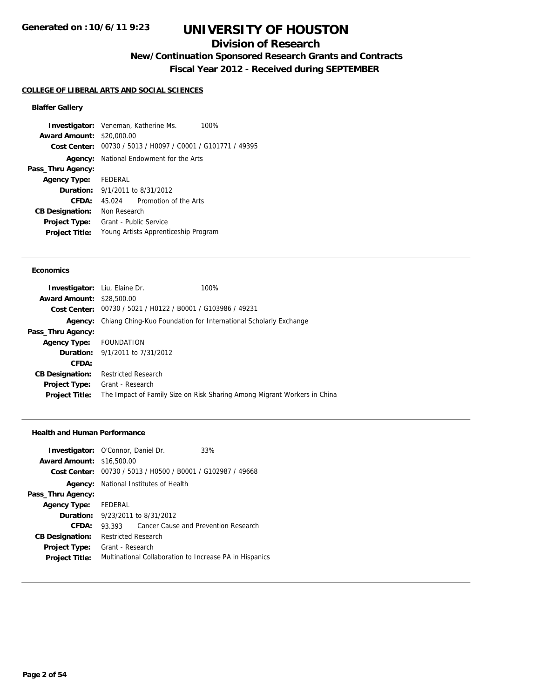## **Division of Research**

**New/Continuation Sponsored Research Grants and Contracts**

**Fiscal Year 2012 - Received during SEPTEMBER**

#### **COLLEGE OF LIBERAL ARTS AND SOCIAL SCIENCES**

### **Blaffer Gallery**

**Investigator:** Veneman, Katherine Ms. 100% **Award Amount:** \$20,000.00 **Cost Center:** 00730 / 5013 / H0097 / C0001 / G101771 / 49395 **Agency:** National Endowment for the Arts **Pass\_Thru Agency: Agency Type:** FEDERAL **Duration:** 9/1/2011 to 8/31/2012 **CFDA:** 45.024 Promotion of the Arts **CB Designation:** Non Research **Project Type:** Grant - Public Service **Project Title:** Young Artists Apprenticeship Program

#### **Economics**

| <b>Investigator:</b> Liu, Elaine Dr. |                                                             | 100%                                                                     |
|--------------------------------------|-------------------------------------------------------------|--------------------------------------------------------------------------|
| <b>Award Amount: \$28,500.00</b>     |                                                             |                                                                          |
|                                      | Cost Center: 00730 / 5021 / H0122 / B0001 / G103986 / 49231 |                                                                          |
| Agency:                              |                                                             | Chiang Ching-Kuo Foundation for International Scholarly Exchange         |
| Pass_Thru Agency:                    |                                                             |                                                                          |
| Agency Type: FOUNDATION              |                                                             |                                                                          |
|                                      | <b>Duration:</b> 9/1/2011 to 7/31/2012                      |                                                                          |
| CFDA:                                |                                                             |                                                                          |
| <b>CB Designation:</b>               | <b>Restricted Research</b>                                  |                                                                          |
| <b>Project Type:</b>                 | Grant - Research                                            |                                                                          |
| <b>Project Title:</b>                |                                                             | The Impact of Family Size on Risk Sharing Among Migrant Workers in China |
|                                      |                                                             |                                                                          |

#### **Health and Human Performance**

| <b>Award Amount: \$16,500.00</b> | <b>Investigator:</b> O'Connor, Daniel Dr.                   | 33%                                  |
|----------------------------------|-------------------------------------------------------------|--------------------------------------|
|                                  | Cost Center: 00730 / 5013 / H0500 / B0001 / G102987 / 49668 |                                      |
|                                  |                                                             |                                      |
|                                  | <b>Agency:</b> National Institutes of Health                |                                      |
| Pass_Thru Agency:                |                                                             |                                      |
| <b>Agency Type:</b>              | FEDERAL                                                     |                                      |
|                                  | <b>Duration:</b> 9/23/2011 to 8/31/2012                     |                                      |
| CFDA:                            | 93.393                                                      | Cancer Cause and Prevention Research |
| <b>CB Designation:</b>           | <b>Restricted Research</b>                                  |                                      |
| <b>Project Type:</b>             | Grant - Research                                            |                                      |
| <b>Project Title:</b>            | Multinational Collaboration to Increase PA in Hispanics     |                                      |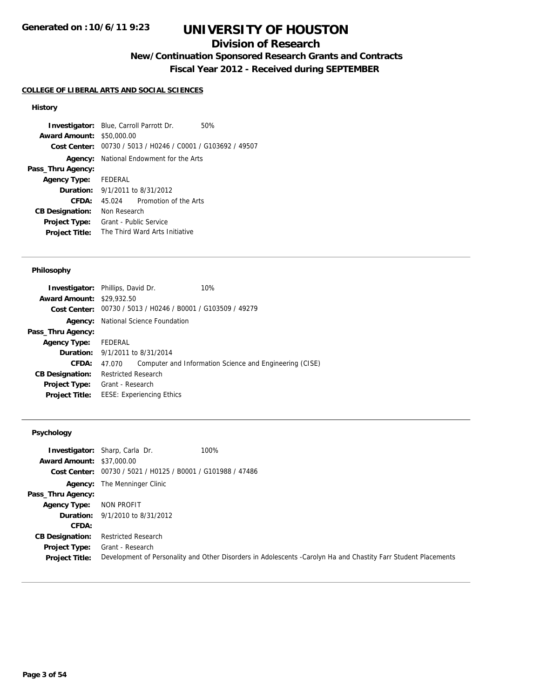## **Division of Research**

## **New/Continuation Sponsored Research Grants and Contracts**

**Fiscal Year 2012 - Received during SEPTEMBER**

#### **COLLEGE OF LIBERAL ARTS AND SOCIAL SCIENCES**

#### **History**

**Investigator:** Blue, Carroll Parrott Dr. 50% **Award Amount:** \$50,000.00 **Cost Center:** 00730 / 5013 / H0246 / C0001 / G103692 / 49507 **Agency:** National Endowment for the Arts **Pass\_Thru Agency: Agency Type:** FEDERAL **Duration:** 9/1/2011 to 8/31/2012 **CFDA:** 45.024 Promotion of the Arts **CB Designation:** Non Research **Project Type:** Grant - Public Service **Project Title:** The Third Ward Arts Initiative

#### **Philosophy**

|                                  | <b>Investigator:</b> Phillips, David Dr.   | 10%                                                         |
|----------------------------------|--------------------------------------------|-------------------------------------------------------------|
| <b>Award Amount: \$29,932.50</b> |                                            |                                                             |
|                                  |                                            | Cost Center: 00730 / 5013 / H0246 / B0001 / G103509 / 49279 |
|                                  | <b>Agency:</b> National Science Foundation |                                                             |
| Pass_Thru Agency:                |                                            |                                                             |
| <b>Agency Type:</b>              | FEDERAL                                    |                                                             |
|                                  | <b>Duration:</b> 9/1/2011 to 8/31/2014     |                                                             |
| <b>CFDA:</b>                     | 47.070                                     | Computer and Information Science and Engineering (CISE)     |
| <b>CB Designation:</b>           | <b>Restricted Research</b>                 |                                                             |
| Project Type:                    | Grant - Research                           |                                                             |
| <b>Project Title:</b>            | <b>EESE: Experiencing Ethics</b>           |                                                             |
|                                  |                                            |                                                             |

#### **Psychology**

| <b>Award Amount: \$37,000.00</b> | <b>Investigator:</b> Sharp, Carla Dr.                       | 100%                                                                                                           |
|----------------------------------|-------------------------------------------------------------|----------------------------------------------------------------------------------------------------------------|
|                                  | Cost Center: 00730 / 5021 / H0125 / B0001 / G101988 / 47486 |                                                                                                                |
|                                  | <b>Agency:</b> The Menninger Clinic                         |                                                                                                                |
| Pass_Thru Agency:                |                                                             |                                                                                                                |
| <b>Agency Type:</b>              | NON PROFIT                                                  |                                                                                                                |
|                                  | <b>Duration:</b> 9/1/2010 to 8/31/2012                      |                                                                                                                |
| <b>CFDA:</b>                     |                                                             |                                                                                                                |
| <b>CB Designation:</b>           | <b>Restricted Research</b>                                  |                                                                                                                |
| <b>Project Type:</b>             | Grant - Research                                            |                                                                                                                |
| <b>Project Title:</b>            |                                                             | Development of Personality and Other Disorders in Adolescents -Carolyn Ha and Chastity Farr Student Placements |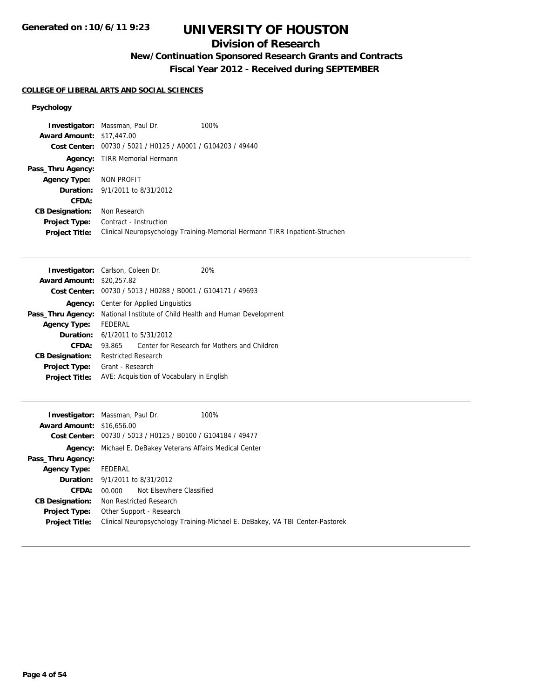## **Division of Research**

# **New/Continuation Sponsored Research Grants and Contracts**

**Fiscal Year 2012 - Received during SEPTEMBER**

### **COLLEGE OF LIBERAL ARTS AND SOCIAL SCIENCES**

### **Psychology**

|                                  | <b>Investigator:</b> Massman, Paul Dr.                      | 100%                                                                       |
|----------------------------------|-------------------------------------------------------------|----------------------------------------------------------------------------|
| <b>Award Amount: \$17,447.00</b> |                                                             |                                                                            |
|                                  | Cost Center: 00730 / 5021 / H0125 / A0001 / G104203 / 49440 |                                                                            |
|                                  | <b>Agency:</b> TIRR Memorial Hermann                        |                                                                            |
| Pass_Thru Agency:                |                                                             |                                                                            |
| Agency Type: NON PROFIT          |                                                             |                                                                            |
|                                  | <b>Duration:</b> 9/1/2011 to 8/31/2012                      |                                                                            |
| CFDA:                            |                                                             |                                                                            |
| <b>CB Designation:</b>           | Non Research                                                |                                                                            |
| <b>Project Type:</b>             | Contract - Instruction                                      |                                                                            |
| <b>Project Title:</b>            |                                                             | Clinical Neuropsychology Training-Memorial Hermann TIRR Inpatient-Struchen |

|                                  | <b>Investigator:</b> Carlson, Coleen Dr.  | 20%                                                         |
|----------------------------------|-------------------------------------------|-------------------------------------------------------------|
| <b>Award Amount: \$20,257.82</b> |                                           |                                                             |
|                                  |                                           | Cost Center: 00730 / 5013 / H0288 / B0001 / G104171 / 49693 |
| Agency:                          | Center for Applied Linguistics            |                                                             |
| Pass_Thru Agency:                |                                           | National Institute of Child Health and Human Development    |
| <b>Agency Type:</b>              | FEDERAL                                   |                                                             |
|                                  | <b>Duration:</b> 6/1/2011 to 5/31/2012    |                                                             |
| CFDA:                            | 93.865                                    | Center for Research for Mothers and Children                |
| <b>CB Designation:</b>           | <b>Restricted Research</b>                |                                                             |
| <b>Project Type:</b>             | Grant - Research                          |                                                             |
| <b>Project Title:</b>            | AVE: Acquisition of Vocabulary in English |                                                             |

|                                  | 100%<br><b>Investigator:</b> Massman, Paul Dr.                               |
|----------------------------------|------------------------------------------------------------------------------|
| <b>Award Amount: \$16,656.00</b> |                                                                              |
|                                  | Cost Center: 00730 / 5013 / H0125 / B0100 / G104184 / 49477                  |
| Agency:                          | Michael E. DeBakey Veterans Affairs Medical Center                           |
| Pass_Thru Agency:                |                                                                              |
| <b>Agency Type:</b>              | FEDERAL                                                                      |
|                                  | <b>Duration:</b> 9/1/2011 to 8/31/2012                                       |
| CFDA:                            | 00,000 Not Elsewhere Classified                                              |
| <b>CB Designation:</b>           | Non Restricted Research                                                      |
| <b>Project Type:</b>             | Other Support - Research                                                     |
| <b>Project Title:</b>            | Clinical Neuropsychology Training-Michael E. DeBakey, VA TBI Center-Pastorek |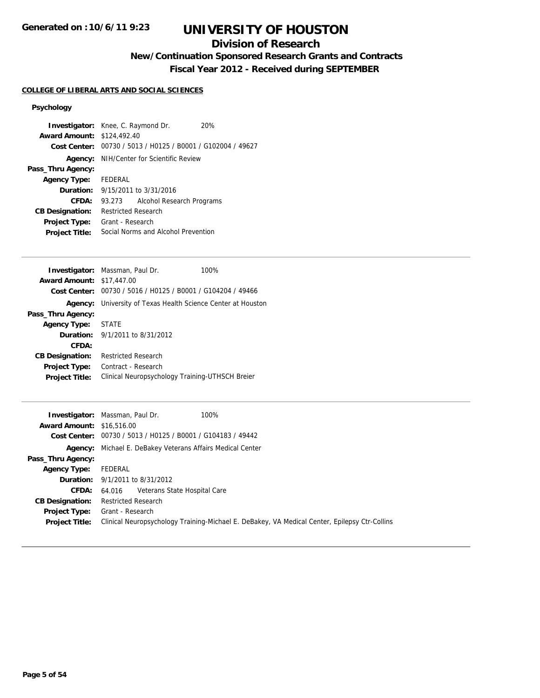## **Division of Research**

# **New/Continuation Sponsored Research Grants and Contracts**

**Fiscal Year 2012 - Received during SEPTEMBER**

## **COLLEGE OF LIBERAL ARTS AND SOCIAL SCIENCES**

### **Psychology**

| <b>Investigator:</b> Knee, C. Raymond Dr. |                            |                                                             | 20% |
|-------------------------------------------|----------------------------|-------------------------------------------------------------|-----|
| <b>Award Amount: \$124,492.40</b>         |                            |                                                             |     |
|                                           |                            | Cost Center: 00730 / 5013 / H0125 / B0001 / G102004 / 49627 |     |
|                                           |                            | <b>Agency:</b> NIH/Center for Scientific Review             |     |
| Pass_Thru Agency:                         |                            |                                                             |     |
| <b>Agency Type:</b> FEDERAL               |                            |                                                             |     |
|                                           |                            | <b>Duration:</b> $9/15/2011$ to $3/31/2016$                 |     |
| CFDA:                                     | 93.273                     | Alcohol Research Programs                                   |     |
| <b>CB Designation:</b>                    | <b>Restricted Research</b> |                                                             |     |
| <b>Project Type:</b>                      | Grant - Research           |                                                             |     |
| <b>Project Title:</b>                     |                            | Social Norms and Alcohol Prevention                         |     |
|                                           |                            |                                                             |     |

|                                  | <b>Investigator:</b> Massman, Paul Dr.                      | 100% |
|----------------------------------|-------------------------------------------------------------|------|
| <b>Award Amount: \$17,447.00</b> |                                                             |      |
|                                  | Cost Center: 00730 / 5016 / H0125 / B0001 / G104204 / 49466 |      |
| Agency:                          | University of Texas Health Science Center at Houston        |      |
| Pass_Thru Agency:                |                                                             |      |
| Agency Type:                     | <b>STATE</b>                                                |      |
|                                  | <b>Duration:</b> $9/1/2011$ to $8/31/2012$                  |      |
| CFDA:                            |                                                             |      |
| <b>CB Designation:</b>           | Restricted Research                                         |      |
| <b>Project Type:</b>             | Contract - Research                                         |      |
| <b>Project Title:</b>            | Clinical Neuropsychology Training-UTHSCH Breier             |      |
|                                  |                                                             |      |

|                                  | 100%<br><b>Investigator:</b> Massman, Paul Dr.                                                |
|----------------------------------|-----------------------------------------------------------------------------------------------|
| <b>Award Amount: \$16,516.00</b> |                                                                                               |
|                                  | Cost Center: 00730 / 5013 / H0125 / B0001 / G104183 / 49442                                   |
|                                  | <b>Agency:</b> Michael E. DeBakey Veterans Affairs Medical Center                             |
| Pass_Thru Agency:                |                                                                                               |
| <b>Agency Type:</b>              | FEDERAL                                                                                       |
|                                  | <b>Duration:</b> 9/1/2011 to 8/31/2012                                                        |
|                                  | <b>CFDA:</b> 64.016 Veterans State Hospital Care                                              |
| <b>CB Designation:</b>           | <b>Restricted Research</b>                                                                    |
| <b>Project Type:</b>             | Grant - Research                                                                              |
| <b>Project Title:</b>            | Clinical Neuropsychology Training-Michael E. DeBakey, VA Medical Center, Epilepsy Ctr-Collins |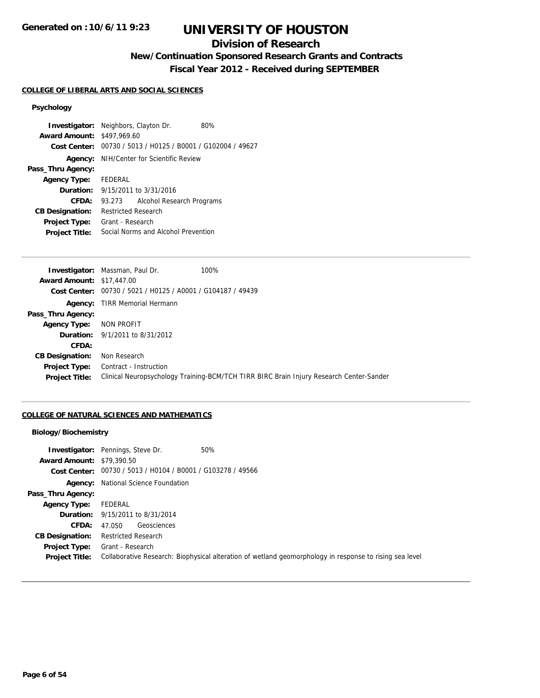## **Division of Research**

## **New/Continuation Sponsored Research Grants and Contracts**

**Fiscal Year 2012 - Received during SEPTEMBER**

### **COLLEGE OF LIBERAL ARTS AND SOCIAL SCIENCES**

### **Psychology**

| <b>Investigator:</b> Neighbors, Clayton Dr. |                                     |                                                             | 80% |
|---------------------------------------------|-------------------------------------|-------------------------------------------------------------|-----|
| <b>Award Amount: \$497,969.60</b>           |                                     |                                                             |     |
|                                             |                                     | Cost Center: 00730 / 5013 / H0125 / B0001 / G102004 / 49627 |     |
|                                             |                                     | <b>Agency:</b> NIH/Center for Scientific Review             |     |
| Pass_Thru Agency:                           |                                     |                                                             |     |
| Agency Type: FEDERAL                        |                                     |                                                             |     |
|                                             |                                     | <b>Duration:</b> 9/15/2011 to 3/31/2016                     |     |
| CFDA:                                       | 93.273                              | Alcohol Research Programs                                   |     |
| <b>CB Designation:</b>                      | <b>Restricted Research</b>          |                                                             |     |
| <b>Project Type:</b>                        | Grant - Research                    |                                                             |     |
| <b>Project Title:</b>                       | Social Norms and Alcohol Prevention |                                                             |     |

| <b>Investigator:</b> Massman, Paul Dr.                      | 100%                                                                                    |
|-------------------------------------------------------------|-----------------------------------------------------------------------------------------|
| <b>Award Amount: \$17,447.00</b>                            |                                                                                         |
| Cost Center: 00730 / 5021 / H0125 / A0001 / G104187 / 49439 |                                                                                         |
| <b>Agency:</b> TIRR Memorial Hermann                        |                                                                                         |
|                                                             |                                                                                         |
| <b>Agency Type: NON PROFIT</b>                              |                                                                                         |
| <b>Duration:</b> 9/1/2011 to 8/31/2012                      |                                                                                         |
|                                                             |                                                                                         |
| Non Research                                                |                                                                                         |
| Contract - Instruction                                      |                                                                                         |
|                                                             | Clinical Neuropsychology Training-BCM/TCH TIRR BIRC Brain Injury Research Center-Sander |
|                                                             |                                                                                         |

## **COLLEGE OF NATURAL SCIENCES AND MATHEMATICS**

### **Biology/Biochemistry**

| <b>Award Amount: \$79,390.50</b>              | <b>Investigator:</b> Pennings, Steve Dr.<br>50%<br>Cost Center: 00730 / 5013 / H0104 / B0001 / G103278 / 49566              |
|-----------------------------------------------|-----------------------------------------------------------------------------------------------------------------------------|
|                                               | <b>Agency:</b> National Science Foundation                                                                                  |
| Pass_Thru Agency:                             |                                                                                                                             |
| <b>Agency Type:</b>                           | FEDERAL                                                                                                                     |
|                                               | <b>Duration:</b> 9/15/2011 to 8/31/2014                                                                                     |
| <b>CFDA:</b>                                  | Geosciences<br>47.050                                                                                                       |
| <b>CB Designation:</b>                        | <b>Restricted Research</b>                                                                                                  |
| <b>Project Type:</b><br><b>Project Title:</b> | Grant - Research<br>Collaborative Research: Biophysical alteration of wetland geomorphology in response to rising sea level |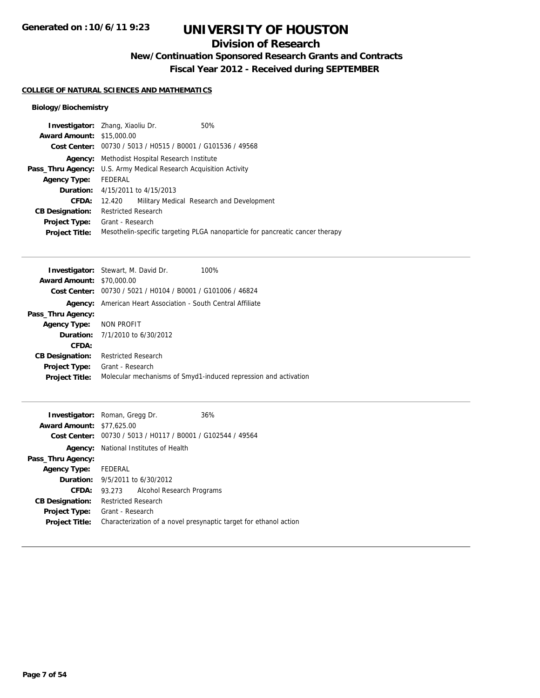## **Division of Research**

**New/Continuation Sponsored Research Grants and Contracts**

**Fiscal Year 2012 - Received during SEPTEMBER**

### **COLLEGE OF NATURAL SCIENCES AND MATHEMATICS**

### **Biology/Biochemistry**

| <b>Investigator:</b> Zhang, Xiaoliu Dr. |                                                 |                                         | 50%                                                                           |  |
|-----------------------------------------|-------------------------------------------------|-----------------------------------------|-------------------------------------------------------------------------------|--|
| <b>Award Amount: \$15,000.00</b>        |                                                 |                                         |                                                                               |  |
|                                         |                                                 |                                         | Cost Center: 00730 / 5013 / H0515 / B0001 / G101536 / 49568                   |  |
| Agency:                                 |                                                 | Methodist Hospital Research Institute   |                                                                               |  |
| Pass_Thru Agency:                       | U.S. Army Medical Research Acquisition Activity |                                         |                                                                               |  |
| <b>Agency Type:</b>                     | FEDERAL                                         |                                         |                                                                               |  |
|                                         |                                                 | <b>Duration:</b> 4/15/2011 to 4/15/2013 |                                                                               |  |
| CFDA:                                   | 12.420                                          |                                         | Military Medical Research and Development                                     |  |
| <b>CB Designation:</b>                  | <b>Restricted Research</b>                      |                                         |                                                                               |  |
| Project Type:                           | Grant - Research                                |                                         |                                                                               |  |
| <b>Project Title:</b>                   |                                                 |                                         | Mesothelin-specific targeting PLGA nanoparticle for pancreatic cancer therapy |  |
|                                         |                                                 |                                         |                                                                               |  |

| <b>Investigator:</b> Stewart, M. David Dr.<br>100%              |
|-----------------------------------------------------------------|
| <b>Award Amount: \$70,000.00</b>                                |
| 00730 / 5021 / H0104 / B0001 / G101006 / 46824                  |
| American Heart Association - South Central Affiliate            |
|                                                                 |
| Agency Type: NON PROFIT                                         |
| <b>Duration:</b> 7/1/2010 to 6/30/2012                          |
|                                                                 |
| <b>Restricted Research</b>                                      |
| Grant - Research                                                |
| Molecular mechanisms of Smyd1-induced repression and activation |
|                                                                 |

|                                  | <b>Investigator:</b> Roman, Gregg Dr.        | 36%                                                               |
|----------------------------------|----------------------------------------------|-------------------------------------------------------------------|
| <b>Award Amount: \$77,625.00</b> |                                              |                                                                   |
|                                  |                                              | Cost Center: 00730 / 5013 / H0117 / B0001 / G102544 / 49564       |
|                                  | <b>Agency:</b> National Institutes of Health |                                                                   |
| Pass_Thru Agency:                |                                              |                                                                   |
| Agency Type: FEDERAL             |                                              |                                                                   |
|                                  | <b>Duration:</b> 9/5/2011 to 6/30/2012       |                                                                   |
| CFDA:                            | 93.273                                       | Alcohol Research Programs                                         |
| <b>CB Designation:</b>           | <b>Restricted Research</b>                   |                                                                   |
| Project Type:                    | Grant - Research                             |                                                                   |
| <b>Project Title:</b>            |                                              | Characterization of a novel presynaptic target for ethanol action |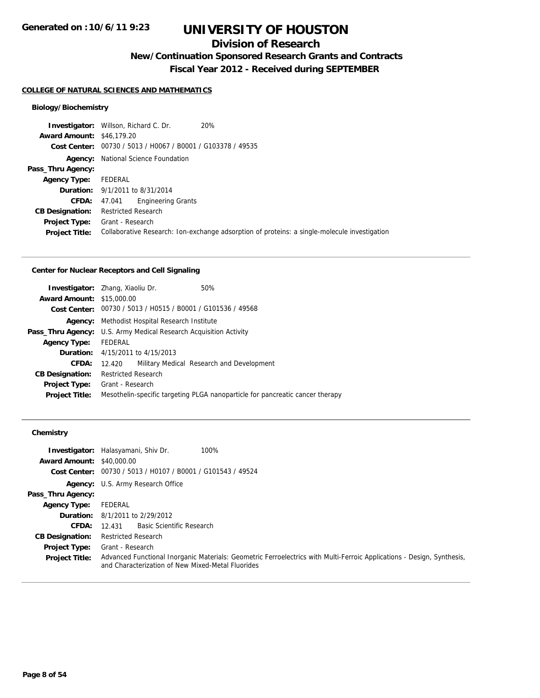## **Division of Research**

**New/Continuation Sponsored Research Grants and Contracts**

**Fiscal Year 2012 - Received during SEPTEMBER**

#### **COLLEGE OF NATURAL SCIENCES AND MATHEMATICS**

### **Biology/Biochemistry**

|                                  | <b>Investigator:</b> Willson, Richard C. Dr.<br>20%                                          |  |
|----------------------------------|----------------------------------------------------------------------------------------------|--|
| <b>Award Amount: \$46,179.20</b> |                                                                                              |  |
|                                  | Cost Center: 00730 / 5013 / H0067 / B0001 / G103378 / 49535                                  |  |
|                                  | <b>Agency:</b> National Science Foundation                                                   |  |
| Pass_Thru Agency:                |                                                                                              |  |
| <b>Agency Type:</b>              | FEDERAL                                                                                      |  |
|                                  | <b>Duration:</b> 9/1/2011 to 8/31/2014                                                       |  |
| <b>CFDA:</b>                     | Engineering Grants<br>47.041                                                                 |  |
| <b>CB Designation:</b>           | Restricted Research                                                                          |  |
|                                  | <b>Project Type:</b> Grant - Research                                                        |  |
| <b>Project Title:</b>            | Collaborative Research: Ion-exchange adsorption of proteins: a single-molecule investigation |  |
|                                  |                                                                                              |  |

### **Center for Nuclear Receptors and Cell Signaling**

| <b>Award Amount: \$15,000.00</b> | <b>Investigator:</b> Zhang, Xiaoliu Dr.                                  | 50%                                                                           |  |  |
|----------------------------------|--------------------------------------------------------------------------|-------------------------------------------------------------------------------|--|--|
|                                  |                                                                          |                                                                               |  |  |
|                                  | Cost Center: 00730 / 5013 / H0515 / B0001 / G101536 / 49568              |                                                                               |  |  |
| Agency:                          | Methodist Hospital Research Institute                                    |                                                                               |  |  |
|                                  | <b>Pass_Thru Agency:</b> U.S. Army Medical Research Acquisition Activity |                                                                               |  |  |
| <b>Agency Type:</b>              | FEDERAL                                                                  |                                                                               |  |  |
|                                  | <b>Duration:</b> 4/15/2011 to 4/15/2013                                  |                                                                               |  |  |
| CFDA:                            | 12.420                                                                   | Military Medical Research and Development                                     |  |  |
| <b>CB Designation:</b>           | <b>Restricted Research</b>                                               |                                                                               |  |  |
| <b>Project Type:</b>             | Grant - Research                                                         |                                                                               |  |  |
| <b>Project Title:</b>            |                                                                          | Mesothelin-specific targeting PLGA nanoparticle for pancreatic cancer therapy |  |  |

### **Chemistry**

| <b>Award Amount: \$40,000.00</b> | <b>Investigator:</b> Halasyamani, Shiv Dr.<br>100%                                                                                                                          |
|----------------------------------|-----------------------------------------------------------------------------------------------------------------------------------------------------------------------------|
|                                  | Cost Center: 00730 / 5013 / H0107 / B0001 / G101543 / 49524                                                                                                                 |
|                                  | Agency: U.S. Army Research Office                                                                                                                                           |
| Pass_Thru Agency:                |                                                                                                                                                                             |
| <b>Agency Type:</b>              | FEDERAL                                                                                                                                                                     |
|                                  | <b>Duration:</b> $8/1/2011$ to $2/29/2012$                                                                                                                                  |
| <b>CFDA:</b>                     | Basic Scientific Research<br>12.431                                                                                                                                         |
| <b>CB Designation:</b>           | <b>Restricted Research</b>                                                                                                                                                  |
| <b>Project Type:</b>             | Grant - Research                                                                                                                                                            |
| <b>Project Title:</b>            | Advanced Functional Inorganic Materials: Geometric Ferroelectrics with Multi-Ferroic Applications - Design, Synthesis,<br>and Characterization of New Mixed-Metal Fluorides |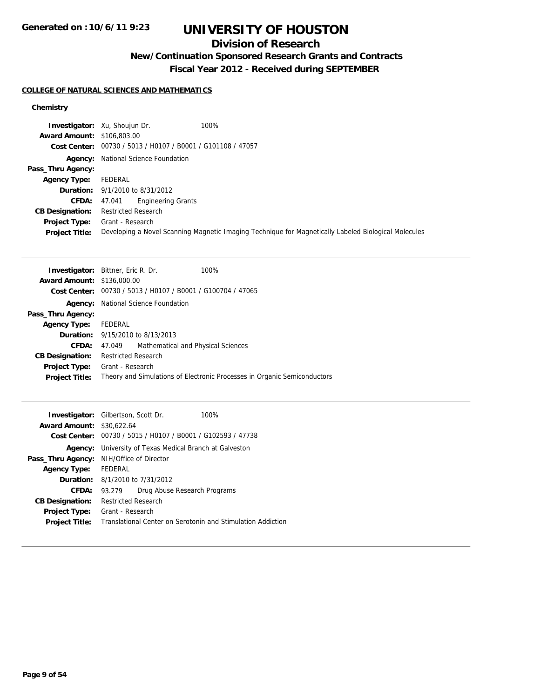## **Division of Research**

# **New/Continuation Sponsored Research Grants and Contracts**

**Fiscal Year 2012 - Received during SEPTEMBER**

### **COLLEGE OF NATURAL SCIENCES AND MATHEMATICS**

### **Chemistry**

|                                   | 100%<br><b>Investigator:</b> Xu, Shoujun Dr.                                                         |
|-----------------------------------|------------------------------------------------------------------------------------------------------|
| <b>Award Amount: \$106,803.00</b> |                                                                                                      |
|                                   | Cost Center: 00730 / 5013 / H0107 / B0001 / G101108 / 47057                                          |
|                                   | <b>Agency:</b> National Science Foundation                                                           |
| Pass_Thru Agency:                 |                                                                                                      |
| <b>Agency Type:</b>               | FEDERAL                                                                                              |
|                                   | <b>Duration:</b> 9/1/2010 to 8/31/2012                                                               |
| <b>CFDA:</b>                      | Engineering Grants<br>47.041                                                                         |
| <b>CB Designation:</b>            | <b>Restricted Research</b>                                                                           |
| Project Type:                     | Grant - Research                                                                                     |
| <b>Project Title:</b>             | Developing a Novel Scanning Magnetic Imaging Technique for Magnetically Labeled Biological Molecules |

| <b>Investigator:</b> Bittner, Eric R. Dr. |                            |                                                                      | 100%                                                                     |
|-------------------------------------------|----------------------------|----------------------------------------------------------------------|--------------------------------------------------------------------------|
| <b>Award Amount: \$136,000.00</b>         |                            |                                                                      |                                                                          |
|                                           |                            | <b>Cost Center:</b> $00730 / 5013 / 40107 / 80001 / 6100704 / 47065$ |                                                                          |
|                                           |                            | <b>Agency:</b> National Science Foundation                           |                                                                          |
| Pass_Thru Agency:                         |                            |                                                                      |                                                                          |
| <b>Agency Type:</b>                       | FEDERAL                    |                                                                      |                                                                          |
|                                           |                            | <b>Duration:</b> 9/15/2010 to 8/13/2013                              |                                                                          |
| CFDA:                                     | 47.049                     | Mathematical and Physical Sciences                                   |                                                                          |
| <b>CB Designation:</b>                    | <b>Restricted Research</b> |                                                                      |                                                                          |
| <b>Project Type:</b>                      | Grant - Research           |                                                                      |                                                                          |
| <b>Project Title:</b>                     |                            |                                                                      | Theory and Simulations of Electronic Processes in Organic Semiconductors |
|                                           |                            |                                                                      |                                                                          |

| <b>Investigator:</b> Gilbertson, Scott Dr. |                                                             |                                        | 100%                                                        |  |
|--------------------------------------------|-------------------------------------------------------------|----------------------------------------|-------------------------------------------------------------|--|
| <b>Award Amount: \$30,622.64</b>           |                                                             |                                        |                                                             |  |
|                                            |                                                             |                                        | Cost Center: 00730 / 5015 / H0107 / B0001 / G102593 / 47738 |  |
| Agency:                                    | University of Texas Medical Branch at Galveston             |                                        |                                                             |  |
|                                            | <b>Pass_Thru Agency:</b> NIH/Office of Director             |                                        |                                                             |  |
| <b>Agency Type:</b>                        | FEDERAL                                                     |                                        |                                                             |  |
|                                            |                                                             | <b>Duration:</b> 8/1/2010 to 7/31/2012 |                                                             |  |
| CFDA:                                      | 93.279                                                      |                                        | Drug Abuse Research Programs                                |  |
| <b>CB Designation:</b>                     | <b>Restricted Research</b>                                  |                                        |                                                             |  |
| <b>Project Type:</b>                       | Grant - Research                                            |                                        |                                                             |  |
| <b>Project Title:</b>                      | Translational Center on Serotonin and Stimulation Addiction |                                        |                                                             |  |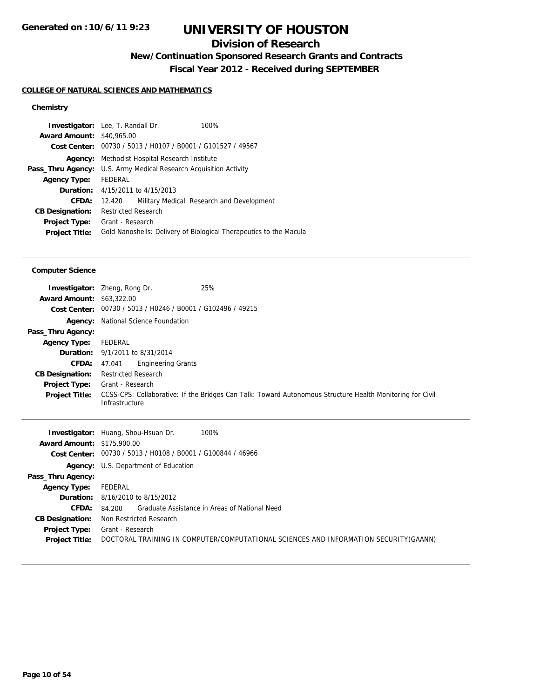## **Division of Research**

**New/Continuation Sponsored Research Grants and Contracts**

**Fiscal Year 2012 - Received during SEPTEMBER**

### **COLLEGE OF NATURAL SCIENCES AND MATHEMATICS**

### **Chemistry**

| <b>Investigator:</b> Lee, T. Randall Dr. |                                                                   |                                                                    |
|------------------------------------------|-------------------------------------------------------------------|--------------------------------------------------------------------|
| <b>Award Amount: \$40,965.00</b>         |                                                                   |                                                                    |
|                                          | Cost Center: 00730 / 5013 / H0107 / B0001 / G101527 / 49567       |                                                                    |
|                                          | <b>Agency:</b> Methodist Hospital Research Institute              |                                                                    |
|                                          | Pass_Thru Agency: U.S. Army Medical Research Acquisition Activity |                                                                    |
| <b>Agency Type:</b>                      | FEDERAL                                                           |                                                                    |
|                                          | <b>Duration:</b> 4/15/2011 to 4/15/2013                           |                                                                    |
| CFDA:                                    | 12.420                                                            | Military Medical Research and Development                          |
| <b>CB Designation:</b>                   | <b>Restricted Research</b>                                        |                                                                    |
| Project Type:                            | Grant - Research                                                  |                                                                    |
| <b>Project Title:</b>                    |                                                                   | Gold Nanoshells: Delivery of Biological Therapeutics to the Macula |

#### **Computer Science**

| <b>Award Amount: \$63,322.00</b> | 25%<br><b>Investigator:</b> Zheng, Rong Dr.<br>Cost Center: 00730 / 5013 / H0246 / B0001 / G102496 / 49215                  |
|----------------------------------|-----------------------------------------------------------------------------------------------------------------------------|
|                                  | <b>Agency:</b> National Science Foundation                                                                                  |
| Pass_Thru Agency:                |                                                                                                                             |
| <b>Agency Type:</b>              | FEDERAL                                                                                                                     |
|                                  | <b>Duration:</b> 9/1/2011 to 8/31/2014                                                                                      |
| <b>CFDA:</b>                     | <b>Engineering Grants</b><br>47.041                                                                                         |
| <b>CB Designation:</b>           | <b>Restricted Research</b>                                                                                                  |
| <b>Project Type:</b>             | Grant - Research                                                                                                            |
| <b>Project Title:</b>            | CCSS-CPS: Collaborative: If the Bridges Can Talk: Toward Autonomous Structure Health Monitoring for Civil<br>Infrastructure |

|                                   | 100%<br><b>Investigator:</b> Huang, Shou-Hsuan Dr.                                    |
|-----------------------------------|---------------------------------------------------------------------------------------|
| <b>Award Amount: \$175,900.00</b> |                                                                                       |
|                                   | Cost Center: 00730 / 5013 / H0108 / B0001 / G100844 / 46966                           |
|                                   | <b>Agency:</b> U.S. Department of Education                                           |
| Pass_Thru Agency:                 |                                                                                       |
| <b>Agency Type:</b>               | FEDERAL                                                                               |
|                                   | <b>Duration:</b> $8/16/2010$ to $8/15/2012$                                           |
| <b>CFDA:</b>                      | Graduate Assistance in Areas of National Need<br>84.200                               |
| <b>CB Designation:</b>            | Non Restricted Research                                                               |
| Project Type:                     | Grant - Research                                                                      |
| <b>Project Title:</b>             | DOCTORAL TRAINING IN COMPUTER/COMPUTATIONAL SCIENCES AND INFORMATION SECURITY (GAANN) |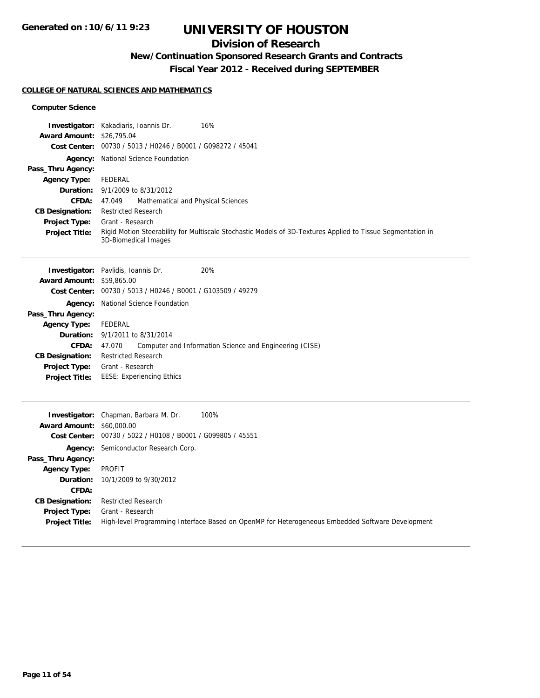## **Division of Research**

## **New/Continuation Sponsored Research Grants and Contracts**

**Fiscal Year 2012 - Received during SEPTEMBER**

### **COLLEGE OF NATURAL SCIENCES AND MATHEMATICS**

#### **Computer Science**

|                                  | 16%<br><b>Investigator:</b> Kakadiaris, Ioannis Dr.                                                                                 |
|----------------------------------|-------------------------------------------------------------------------------------------------------------------------------------|
| <b>Award Amount: \$26,795.04</b> |                                                                                                                                     |
|                                  | Cost Center: 00730 / 5013 / H0246 / B0001 / G098272 / 45041                                                                         |
|                                  | <b>Agency:</b> National Science Foundation                                                                                          |
| Pass_Thru Agency:                |                                                                                                                                     |
| <b>Agency Type:</b>              | FEDERAL                                                                                                                             |
|                                  | <b>Duration:</b> 9/1/2009 to 8/31/2012                                                                                              |
| <b>CFDA:</b>                     | Mathematical and Physical Sciences<br>47.049                                                                                        |
| <b>CB Designation:</b>           | <b>Restricted Research</b>                                                                                                          |
| <b>Project Type:</b>             | Grant - Research                                                                                                                    |
| <b>Project Title:</b>            | Rigid Motion Steerability for Multiscale Stochastic Models of 3D-Textures Applied to Tissue Segmentation in<br>3D-Biomedical Images |

|                                  | <b>Investigator:</b> Pavlidis, Ioannis Dr.                  | 20%                                                     |
|----------------------------------|-------------------------------------------------------------|---------------------------------------------------------|
| <b>Award Amount: \$59,865.00</b> |                                                             |                                                         |
|                                  | Cost Center: 00730 / 5013 / H0246 / B0001 / G103509 / 49279 |                                                         |
| Agency:                          | National Science Foundation                                 |                                                         |
| Pass_Thru Agency:                |                                                             |                                                         |
| <b>Agency Type:</b>              | FEDERAL                                                     |                                                         |
|                                  | <b>Duration:</b> 9/1/2011 to 8/31/2014                      |                                                         |
| <b>CFDA:</b>                     | 47.070                                                      | Computer and Information Science and Engineering (CISE) |
| <b>CB Designation:</b>           | <b>Restricted Research</b>                                  |                                                         |
| <b>Project Type:</b>             | Grant - Research                                            |                                                         |
| <b>Project Title:</b>            | <b>EESE: Experiencing Ethics</b>                            |                                                         |
|                                  |                                                             |                                                         |

|                                  | 100%<br><b>Investigator:</b> Chapman, Barbara M. Dr.                                             |
|----------------------------------|--------------------------------------------------------------------------------------------------|
| <b>Award Amount: \$60,000.00</b> |                                                                                                  |
|                                  | Cost Center: 00730 / 5022 / H0108 / B0001 / G099805 / 45551                                      |
|                                  | <b>Agency:</b> Semiconductor Research Corp.                                                      |
| Pass_Thru Agency:                |                                                                                                  |
| <b>Agency Type:</b>              | PROFIT                                                                                           |
|                                  | <b>Duration:</b> 10/1/2009 to 9/30/2012                                                          |
| <b>CFDA:</b>                     |                                                                                                  |
| <b>CB Designation:</b>           | <b>Restricted Research</b>                                                                       |
| Project Type:                    | Grant - Research                                                                                 |
| <b>Project Title:</b>            | High-level Programming Interface Based on OpenMP for Heterogeneous Embedded Software Development |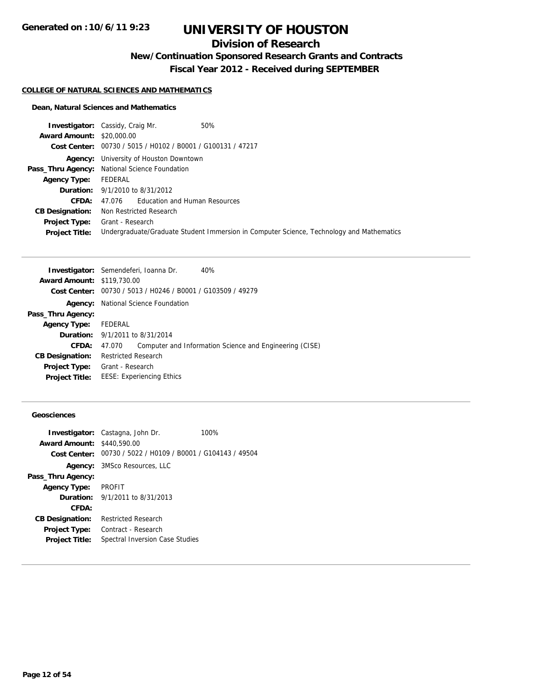## **Division of Research**

## **New/Continuation Sponsored Research Grants and Contracts**

**Fiscal Year 2012 - Received during SEPTEMBER**

#### **COLLEGE OF NATURAL SCIENCES AND MATHEMATICS**

#### **Dean, Natural Sciences and Mathematics**

|                                  | <b>Investigator:</b> Cassidy, Craig Mr.                     | 50%                                                                                      |
|----------------------------------|-------------------------------------------------------------|------------------------------------------------------------------------------------------|
| <b>Award Amount: \$20,000.00</b> |                                                             |                                                                                          |
|                                  | Cost Center: 00730 / 5015 / H0102 / B0001 / G100131 / 47217 |                                                                                          |
|                                  | <b>Agency:</b> University of Houston Downtown               |                                                                                          |
|                                  | Pass_Thru Agency: National Science Foundation               |                                                                                          |
| <b>Agency Type:</b>              | FEDERAL                                                     |                                                                                          |
|                                  | <b>Duration:</b> 9/1/2010 to 8/31/2012                      |                                                                                          |
| CFDA:                            | 47.076 Education and Human Resources                        |                                                                                          |
| <b>CB Designation:</b>           | Non Restricted Research                                     |                                                                                          |
| <b>Project Type:</b>             | Grant - Research                                            |                                                                                          |
| <b>Project Title:</b>            |                                                             | Undergraduate/Graduate Student Immersion in Computer Science, Technology and Mathematics |

|                                   | Investigator: Semendeferi, Ioanna Dr.<br>40%                      |
|-----------------------------------|-------------------------------------------------------------------|
| <b>Award Amount: \$119,730.00</b> |                                                                   |
| Cost Center:                      | 00730 / 5013 / H0246 / B0001 / G103509 / 49279                    |
| Agency:                           | National Science Foundation                                       |
| Pass_Thru Agency:                 |                                                                   |
| <b>Agency Type:</b>               | FEDERAL                                                           |
|                                   | <b>Duration:</b> 9/1/2011 to 8/31/2014                            |
| CFDA:                             | Computer and Information Science and Engineering (CISE)<br>47.070 |
| <b>CB Designation:</b>            | <b>Restricted Research</b>                                        |
| <b>Project Type:</b>              | Grant - Research                                                  |
| <b>Project Title:</b>             | <b>EESE: Experiencing Ethics</b>                                  |
|                                   |                                                                   |

### **Geosciences**

|                                   | <b>Investigator:</b> Castagna, John Dr.                     | 100% |
|-----------------------------------|-------------------------------------------------------------|------|
| <b>Award Amount: \$440,590.00</b> |                                                             |      |
|                                   | Cost Center: 00730 / 5022 / H0109 / B0001 / G104143 / 49504 |      |
|                                   | <b>Agency:</b> 3MSco Resources, LLC                         |      |
| Pass_Thru Agency:                 |                                                             |      |
| Agency Type: PROFIT               |                                                             |      |
|                                   | <b>Duration:</b> $9/1/2011$ to $8/31/2013$                  |      |
| CFDA:                             |                                                             |      |
| <b>CB Designation:</b>            | <b>Restricted Research</b>                                  |      |
| <b>Project Type:</b>              | Contract - Research                                         |      |
| <b>Project Title:</b>             | Spectral Inversion Case Studies                             |      |
|                                   |                                                             |      |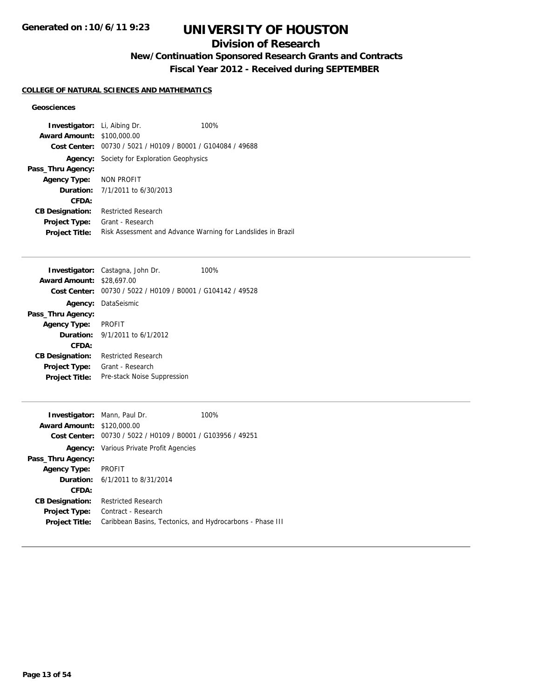## **Division of Research**

# **New/Continuation Sponsored Research Grants and Contracts**

**Fiscal Year 2012 - Received during SEPTEMBER**

### **COLLEGE OF NATURAL SCIENCES AND MATHEMATICS**

#### **Geosciences**

| <b>Investigator:</b> Li, Aibing Dr. |                                                | 100%                                                         |
|-------------------------------------|------------------------------------------------|--------------------------------------------------------------|
| <b>Award Amount: \$100,000.00</b>   |                                                |                                                              |
| Cost Center:                        | 00730 / 5021 / H0109 / B0001 / G104084 / 49688 |                                                              |
| Agency:                             | Society for Exploration Geophysics             |                                                              |
| Pass_Thru Agency:                   |                                                |                                                              |
| <b>Agency Type:</b>                 | NON PROFIT                                     |                                                              |
|                                     | <b>Duration:</b> 7/1/2011 to 6/30/2013         |                                                              |
| CFDA:                               |                                                |                                                              |
| <b>CB Designation:</b>              | <b>Restricted Research</b>                     |                                                              |
| <b>Project Type:</b>                | Grant - Research                               |                                                              |
| <b>Project Title:</b>               |                                                | Risk Assessment and Advance Warning for Landslides in Brazil |

|                                  | Investigator: Castagna, John Dr.                            | 100% |
|----------------------------------|-------------------------------------------------------------|------|
| <b>Award Amount: \$28,697,00</b> |                                                             |      |
|                                  | Cost Center: 00730 / 5022 / H0109 / B0001 / G104142 / 49528 |      |
|                                  | <b>Agency: DataSeismic</b>                                  |      |
| Pass_Thru Agency:                |                                                             |      |
| <b>Agency Type:</b>              | <b>PROFIT</b>                                               |      |
|                                  | <b>Duration:</b> $9/1/2011$ to $6/1/2012$                   |      |
| CFDA:                            |                                                             |      |
| <b>CB Designation:</b>           | Restricted Research                                         |      |
| <b>Project Type:</b>             | Grant - Research                                            |      |
| <b>Project Title:</b>            | Pre-stack Noise Suppression                                 |      |
|                                  |                                                             |      |

|                                   | <b>Investigator:</b> Mann, Paul Dr.                         | 100%                                                      |
|-----------------------------------|-------------------------------------------------------------|-----------------------------------------------------------|
| <b>Award Amount: \$120,000.00</b> |                                                             |                                                           |
|                                   | Cost Center: 00730 / 5022 / H0109 / B0001 / G103956 / 49251 |                                                           |
|                                   | <b>Agency:</b> Various Private Profit Agencies              |                                                           |
| Pass_Thru Agency:                 |                                                             |                                                           |
| <b>Agency Type:</b>               | <b>PROFIT</b>                                               |                                                           |
|                                   | <b>Duration:</b> 6/1/2011 to 8/31/2014                      |                                                           |
| CFDA:                             |                                                             |                                                           |
| <b>CB Designation:</b>            | <b>Restricted Research</b>                                  |                                                           |
| <b>Project Type:</b>              | Contract - Research                                         |                                                           |
| <b>Project Title:</b>             |                                                             | Caribbean Basins, Tectonics, and Hydrocarbons - Phase III |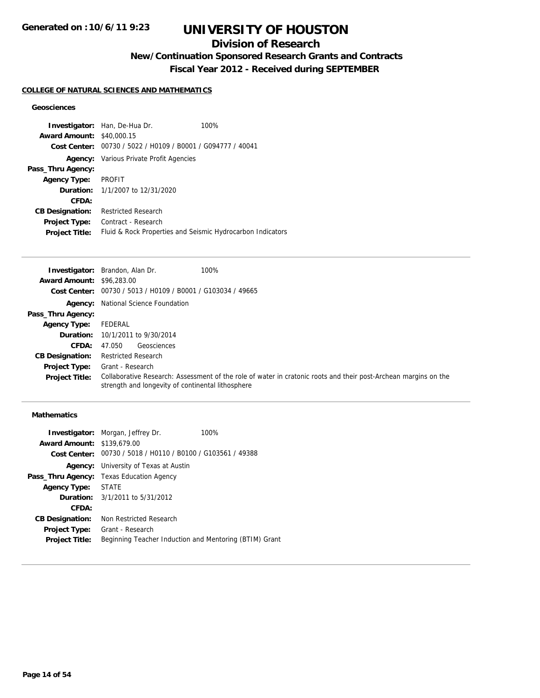## **Division of Research**

**New/Continuation Sponsored Research Grants and Contracts**

**Fiscal Year 2012 - Received during SEPTEMBER**

### **COLLEGE OF NATURAL SCIENCES AND MATHEMATICS**

#### **Geosciences**

|                                  | <b>Investigator:</b> Han, De-Hua Dr.                       | 100% |
|----------------------------------|------------------------------------------------------------|------|
| <b>Award Amount: \$40,000.15</b> |                                                            |      |
| Cost Center:                     | 00730 / 5022 / H0109 / B0001 / G094777 / 40041             |      |
|                                  | <b>Agency:</b> Various Private Profit Agencies             |      |
| Pass_Thru Agency:                |                                                            |      |
| <b>Agency Type:</b>              | PROFIT                                                     |      |
|                                  | <b>Duration:</b> $1/1/2007$ to $12/31/2020$                |      |
| CFDA:                            |                                                            |      |
| <b>CB Designation:</b>           | <b>Restricted Research</b>                                 |      |
| Project Type:                    | Contract - Research                                        |      |
| <b>Project Title:</b>            | Fluid & Rock Properties and Seismic Hydrocarbon Indicators |      |

|                                  | <b>Investigator:</b> Brandon, Alan Dr.<br>100%                                                                                                                       |  |
|----------------------------------|----------------------------------------------------------------------------------------------------------------------------------------------------------------------|--|
| <b>Award Amount: \$96,283,00</b> |                                                                                                                                                                      |  |
|                                  | Cost Center: 00730 / 5013 / H0109 / B0001 / G103034 / 49665                                                                                                          |  |
|                                  | <b>Agency:</b> National Science Foundation                                                                                                                           |  |
| Pass_Thru Agency:                |                                                                                                                                                                      |  |
| <b>Agency Type:</b>              | FEDERAL                                                                                                                                                              |  |
|                                  | <b>Duration:</b> 10/1/2011 to 9/30/2014                                                                                                                              |  |
| <b>CFDA:</b>                     | Geosciences<br>47.050                                                                                                                                                |  |
| <b>CB Designation:</b>           | <b>Restricted Research</b>                                                                                                                                           |  |
| Project Type:                    | Grant - Research                                                                                                                                                     |  |
| <b>Project Title:</b>            | Collaborative Research: Assessment of the role of water in cratonic roots and their post-Archean margins on the<br>strength and longevity of continental lithosphere |  |

### **Mathematics**

|                                                             | 100%                                                                                                                                                                                                                                                              |
|-------------------------------------------------------------|-------------------------------------------------------------------------------------------------------------------------------------------------------------------------------------------------------------------------------------------------------------------|
|                                                             |                                                                                                                                                                                                                                                                   |
| Cost Center: 00730 / 5018 / H0110 / B0100 / G103561 / 49388 |                                                                                                                                                                                                                                                                   |
|                                                             |                                                                                                                                                                                                                                                                   |
|                                                             |                                                                                                                                                                                                                                                                   |
|                                                             |                                                                                                                                                                                                                                                                   |
|                                                             |                                                                                                                                                                                                                                                                   |
|                                                             |                                                                                                                                                                                                                                                                   |
| Non Restricted Research                                     |                                                                                                                                                                                                                                                                   |
| Grant - Research                                            |                                                                                                                                                                                                                                                                   |
| Beginning Teacher Induction and Mentoring (BTIM) Grant      |                                                                                                                                                                                                                                                                   |
|                                                             | <b>Investigator:</b> Morgan, Jeffrey Dr.<br><b>Award Amount: \$139,679.00</b><br><b>Agency:</b> University of Texas at Austin<br><b>Pass_Thru Agency:</b> Texas Education Agency<br>Agency Type: STATE<br><b>Duration:</b> 3/1/2011 to 5/31/2012<br>Project Type: |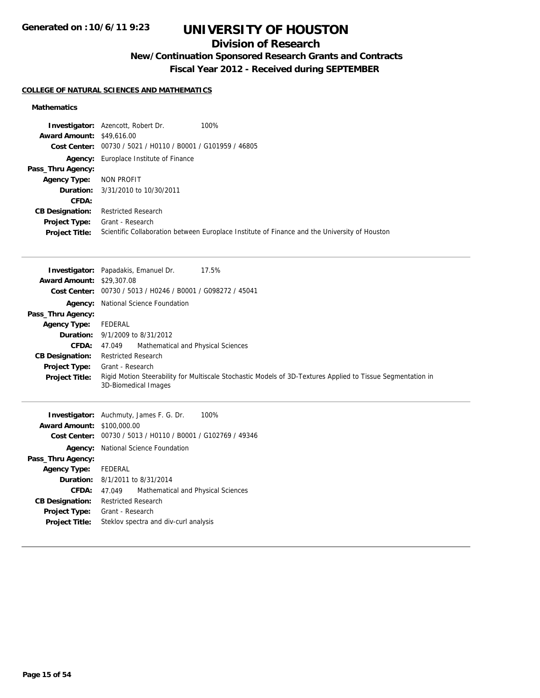## **Division of Research**

# **New/Continuation Sponsored Research Grants and Contracts**

**Fiscal Year 2012 - Received during SEPTEMBER**

### **COLLEGE OF NATURAL SCIENCES AND MATHEMATICS**

### **Mathematics**

|                                  | <b>Investigator:</b> Azencott, Robert Dr.                   | 100%                                                                                          |
|----------------------------------|-------------------------------------------------------------|-----------------------------------------------------------------------------------------------|
| <b>Award Amount: \$49,616.00</b> |                                                             |                                                                                               |
|                                  | Cost Center: 00730 / 5021 / H0110 / B0001 / G101959 / 46805 |                                                                                               |
|                                  | <b>Agency:</b> Europlace Institute of Finance               |                                                                                               |
| Pass_Thru Agency:                |                                                             |                                                                                               |
| <b>Agency Type:</b>              | NON PROFIT                                                  |                                                                                               |
| Duration:                        | 3/31/2010 to 10/30/2011                                     |                                                                                               |
| <b>CFDA:</b>                     |                                                             |                                                                                               |
| <b>CB Designation:</b>           | <b>Restricted Research</b>                                  |                                                                                               |
| <b>Project Type:</b>             | Grant - Research                                            |                                                                                               |
| <b>Project Title:</b>            |                                                             | Scientific Collaboration between Europlace Institute of Finance and the University of Houston |

|                                  | 17.5%<br><b>Investigator:</b> Papadakis, Emanuel Dr.                                                                                |  |
|----------------------------------|-------------------------------------------------------------------------------------------------------------------------------------|--|
| <b>Award Amount: \$29,307.08</b> |                                                                                                                                     |  |
|                                  | Cost Center: 00730 / 5013 / H0246 / B0001 / G098272 / 45041                                                                         |  |
|                                  | <b>Agency:</b> National Science Foundation                                                                                          |  |
| Pass_Thru Agency:                |                                                                                                                                     |  |
| <b>Agency Type:</b>              | FEDERAL                                                                                                                             |  |
|                                  | <b>Duration:</b> 9/1/2009 to 8/31/2012                                                                                              |  |
| <b>CFDA:</b>                     | Mathematical and Physical Sciences<br>47.049                                                                                        |  |
| <b>CB Designation:</b>           | <b>Restricted Research</b>                                                                                                          |  |
| <b>Project Type:</b>             | Grant - Research                                                                                                                    |  |
| <b>Project Title:</b>            | Rigid Motion Steerability for Multiscale Stochastic Models of 3D-Textures Applied to Tissue Segmentation in<br>3D-Biomedical Images |  |
| Award Amount: $$100,000,00$      | <b>Investigator:</b> Auchmuty, James F. G. Dr.<br>100%                                                                              |  |

| <b>Award Amount: \$100,000.00</b>                           |  |
|-------------------------------------------------------------|--|
| Cost Center: 00730 / 5013 / H0110 / B0001 / G102769 / 49346 |  |
| National Science Foundation                                 |  |
|                                                             |  |
| FEDERAL                                                     |  |
| <b>Duration:</b> 8/1/2011 to 8/31/2014                      |  |
| Mathematical and Physical Sciences<br>47.049                |  |
| <b>Restricted Research</b>                                  |  |
| Grant - Research                                            |  |
| Steklov spectra and div-curl analysis                       |  |
|                                                             |  |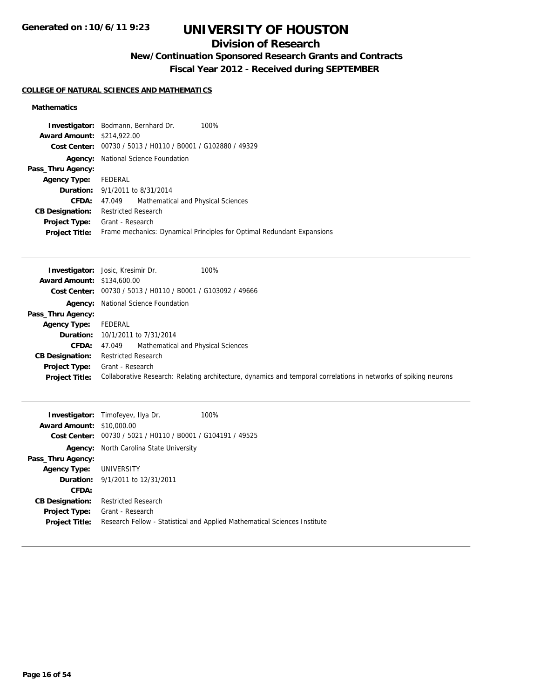## **Division of Research**

# **New/Continuation Sponsored Research Grants and Contracts**

**Fiscal Year 2012 - Received during SEPTEMBER**

### **COLLEGE OF NATURAL SCIENCES AND MATHEMATICS**

### **Mathematics**

| <b>Investigator:</b> Bodmann, Bernhard Dr.                  | 100%                                                                   |
|-------------------------------------------------------------|------------------------------------------------------------------------|
| <b>Award Amount: \$214,922.00</b>                           |                                                                        |
| Cost Center: 00730 / 5013 / H0110 / B0001 / G102880 / 49329 |                                                                        |
|                                                             |                                                                        |
|                                                             |                                                                        |
| FEDERAL                                                     |                                                                        |
| <b>Duration:</b> 9/1/2011 to 8/31/2014                      |                                                                        |
| Mathematical and Physical Sciences<br>47.049                |                                                                        |
| <b>Restricted Research</b>                                  |                                                                        |
| <b>Project Type:</b> Grant - Research                       |                                                                        |
|                                                             | Frame mechanics: Dynamical Principles for Optimal Redundant Expansions |
|                                                             | <b>Agency:</b> National Science Foundation                             |

|                                   | 100%<br><b>Investigator:</b> Josic, Kresimir Dr.                                                                 |  |
|-----------------------------------|------------------------------------------------------------------------------------------------------------------|--|
| <b>Award Amount: \$134,600.00</b> |                                                                                                                  |  |
|                                   | Cost Center: 00730 / 5013 / H0110 / B0001 / G103092 / 49666                                                      |  |
|                                   | <b>Agency:</b> National Science Foundation                                                                       |  |
| Pass_Thru Agency:                 |                                                                                                                  |  |
| <b>Agency Type:</b>               | FEDERAL                                                                                                          |  |
|                                   | <b>Duration:</b> 10/1/2011 to 7/31/2014                                                                          |  |
| CFDA:                             | Mathematical and Physical Sciences<br>47.049                                                                     |  |
| <b>CB Designation:</b>            | <b>Restricted Research</b>                                                                                       |  |
| Project Type:                     | Grant - Research                                                                                                 |  |
| <b>Project Title:</b>             | Collaborative Research: Relating architecture, dynamics and temporal correlations in networks of spiking neurons |  |
|                                   |                                                                                                                  |  |

| <b>Award Amount: \$10,000.00</b><br>Cost Center: | <b>Investigator:</b> Timofeyev, Ilya Dr.<br>00730 / 5021 / H0110 / B0001 / G104191 / 49525 | 100%                                                                      |
|--------------------------------------------------|--------------------------------------------------------------------------------------------|---------------------------------------------------------------------------|
|                                                  | <b>Agency:</b> North Carolina State University                                             |                                                                           |
| Pass_Thru Agency:                                |                                                                                            |                                                                           |
| <b>Agency Type: UNIVERSITY</b>                   |                                                                                            |                                                                           |
|                                                  | <b>Duration:</b> 9/1/2011 to 12/31/2011                                                    |                                                                           |
| CFDA:                                            |                                                                                            |                                                                           |
| <b>CB Designation:</b>                           | <b>Restricted Research</b>                                                                 |                                                                           |
| <b>Project Type:</b>                             | Grant - Research                                                                           |                                                                           |
| <b>Project Title:</b>                            |                                                                                            | Research Fellow - Statistical and Applied Mathematical Sciences Institute |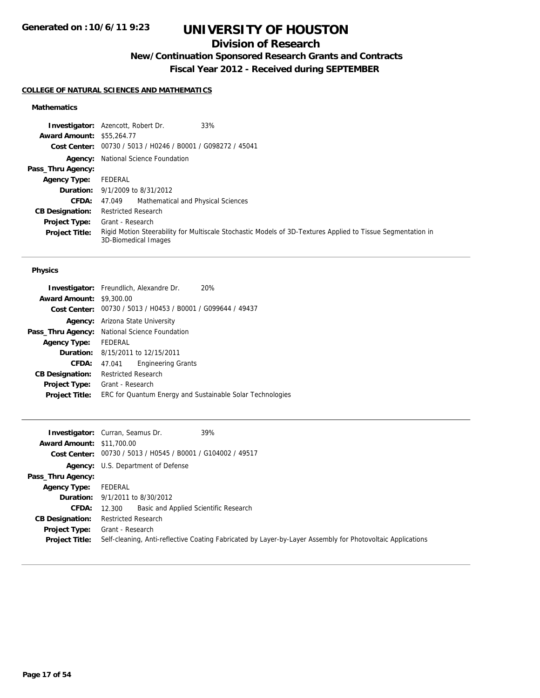## **Division of Research**

## **New/Continuation Sponsored Research Grants and Contracts**

**Fiscal Year 2012 - Received during SEPTEMBER**

### **COLLEGE OF NATURAL SCIENCES AND MATHEMATICS**

### **Mathematics**

|                                  | 33%<br><b>Investigator:</b> Azencott, Robert Dr.                                                                                    |
|----------------------------------|-------------------------------------------------------------------------------------------------------------------------------------|
| <b>Award Amount: \$55,264.77</b> |                                                                                                                                     |
|                                  | Cost Center: 00730 / 5013 / H0246 / B0001 / G098272 / 45041                                                                         |
|                                  | <b>Agency:</b> National Science Foundation                                                                                          |
| Pass_Thru Agency:                |                                                                                                                                     |
| <b>Agency Type:</b>              | FEDERAL                                                                                                                             |
|                                  | <b>Duration:</b> 9/1/2009 to 8/31/2012                                                                                              |
| <b>CFDA:</b>                     | Mathematical and Physical Sciences<br>47.049                                                                                        |
| <b>CB Designation:</b>           | <b>Restricted Research</b>                                                                                                          |
| <b>Project Type:</b>             | Grant - Research                                                                                                                    |
| <b>Project Title:</b>            | Rigid Motion Steerability for Multiscale Stochastic Models of 3D-Textures Applied to Tissue Segmentation in<br>3D-Biomedical Images |

#### **Physics**

|                                 | <b>Investigator:</b> Freundlich, Alexandre Dr.              | <b>20%</b> |
|---------------------------------|-------------------------------------------------------------|------------|
| <b>Award Amount: \$9,300.00</b> |                                                             |            |
|                                 | Cost Center: 00730 / 5013 / H0453 / B0001 / G099644 / 49437 |            |
|                                 | <b>Agency:</b> Arizona State University                     |            |
|                                 | <b>Pass_Thru Agency:</b> National Science Foundation        |            |
| <b>Agency Type:</b>             | FEDERAL                                                     |            |
|                                 | <b>Duration:</b> 8/15/2011 to 12/15/2011                    |            |
| CFDA:                           | <b>Engineering Grants</b><br>47.041                         |            |
| <b>CB Designation:</b>          | Restricted Research                                         |            |
| <b>Project Type:</b>            | Grant - Research                                            |            |
| <b>Project Title:</b>           | ERC for Quantum Energy and Sustainable Solar Technologies   |            |
|                                 |                                                             |            |

|                                  | <b>Investigator:</b> Curran, Seamus Dr.<br>39%                                                             |
|----------------------------------|------------------------------------------------------------------------------------------------------------|
| <b>Award Amount: \$11,700.00</b> |                                                                                                            |
|                                  | Cost Center: 00730 / 5013 / H0545 / B0001 / G104002 / 49517                                                |
|                                  | <b>Agency:</b> U.S. Department of Defense                                                                  |
| Pass_Thru Agency:                |                                                                                                            |
| <b>Agency Type:</b>              | FEDERAL                                                                                                    |
|                                  | <b>Duration:</b> $9/1/2011$ to $8/30/2012$                                                                 |
| <b>CFDA:</b>                     | Basic and Applied Scientific Research<br>12.300                                                            |
| <b>CB Designation:</b>           | <b>Restricted Research</b>                                                                                 |
| Project Type:                    | Grant - Research                                                                                           |
| <b>Project Title:</b>            | Self-cleaning, Anti-reflective Coating Fabricated by Layer-by-Layer Assembly for Photovoltaic Applications |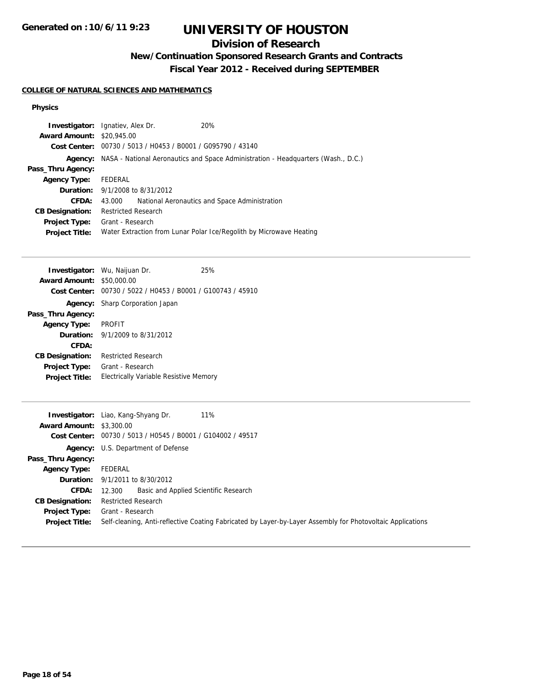## **Division of Research**

## **New/Continuation Sponsored Research Grants and Contracts**

**Fiscal Year 2012 - Received during SEPTEMBER**

### **COLLEGE OF NATURAL SCIENCES AND MATHEMATICS**

#### **Physics**

|                                  | <b>Investigator:</b> Ignatiev, Alex Dr.                     | 20%                                                                                              |
|----------------------------------|-------------------------------------------------------------|--------------------------------------------------------------------------------------------------|
| <b>Award Amount: \$20,945.00</b> |                                                             |                                                                                                  |
|                                  | Cost Center: 00730 / 5013 / H0453 / B0001 / G095790 / 43140 |                                                                                                  |
|                                  |                                                             | <b>Agency:</b> NASA - National Aeronautics and Space Administration - Headquarters (Wash., D.C.) |
| Pass_Thru Agency:                |                                                             |                                                                                                  |
| <b>Agency Type:</b>              | FEDERAL                                                     |                                                                                                  |
|                                  | <b>Duration:</b> 9/1/2008 to 8/31/2012                      |                                                                                                  |
| CFDA:                            | 43.000                                                      | National Aeronautics and Space Administration                                                    |
| <b>CB Designation:</b>           | <b>Restricted Research</b>                                  |                                                                                                  |
| <b>Project Type:</b>             | Grant - Research                                            |                                                                                                  |
| <b>Project Title:</b>            |                                                             | Water Extraction from Lunar Polar Ice/Regolith by Microwave Heating                              |
|                                  |                                                             |                                                                                                  |

|                        | <b>Investigator:</b> Wu, Naijuan Dr.                        | 25% |
|------------------------|-------------------------------------------------------------|-----|
| <b>Award Amount:</b>   | \$50,000.00                                                 |     |
|                        | Cost Center: 00730 / 5022 / H0453 / B0001 / G100743 / 45910 |     |
|                        | <b>Agency:</b> Sharp Corporation Japan                      |     |
| Pass_Thru Agency:      |                                                             |     |
| <b>Agency Type:</b>    | <b>PROFIT</b>                                               |     |
|                        | <b>Duration:</b> $9/1/2009$ to $8/31/2012$                  |     |
| CFDA:                  |                                                             |     |
| <b>CB Designation:</b> | Restricted Research                                         |     |
| <b>Project Type:</b>   | Grant - Research                                            |     |
| <b>Project Title:</b>  | Electrically Variable Resistive Memory                      |     |
|                        |                                                             |     |

|                                 | 11%<br><b>Investigator:</b> Liao, Kang-Shyang Dr.                                                          |
|---------------------------------|------------------------------------------------------------------------------------------------------------|
| <b>Award Amount: \$3,300.00</b> |                                                                                                            |
|                                 | Cost Center: 00730 / 5013 / H0545 / B0001 / G104002 / 49517                                                |
|                                 | <b>Agency:</b> U.S. Department of Defense                                                                  |
| Pass_Thru Agency:               |                                                                                                            |
| <b>Agency Type:</b>             | FEDERAL                                                                                                    |
|                                 | <b>Duration:</b> $9/1/2011$ to $8/30/2012$                                                                 |
| <b>CFDA:</b>                    | Basic and Applied Scientific Research<br>12.300                                                            |
| <b>CB Designation:</b>          | <b>Restricted Research</b>                                                                                 |
| Project Type:                   | Grant - Research                                                                                           |
| <b>Project Title:</b>           | Self-cleaning, Anti-reflective Coating Fabricated by Layer-by-Layer Assembly for Photovoltaic Applications |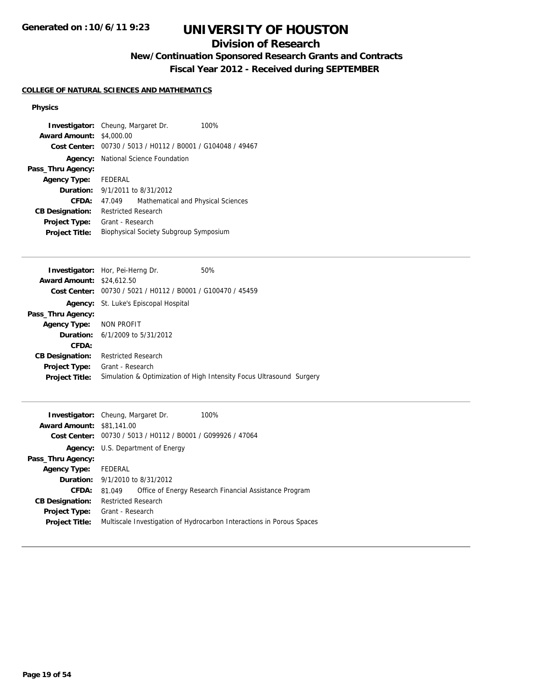## **Division of Research**

# **New/Continuation Sponsored Research Grants and Contracts**

**Fiscal Year 2012 - Received during SEPTEMBER**

### **COLLEGE OF NATURAL SCIENCES AND MATHEMATICS**

#### **Physics**

| <b>Investigator:</b> Cheung, Margaret Dr. |                       |                                                | 100% |
|-------------------------------------------|-----------------------|------------------------------------------------|------|
| <b>Award Amount:</b>                      | \$4,000.00            |                                                |      |
| Cost Center:                              |                       | 00730 / 5013 / H0112 / B0001 / G104048 / 49467 |      |
| Agency:                                   |                       | National Science Foundation                    |      |
| Pass_Thru Agency:                         |                       |                                                |      |
| <b>Agency Type:</b>                       | FEDERAL               |                                                |      |
| Duration:                                 | 9/1/2011 to 8/31/2012 |                                                |      |
| CFDA:                                     | 47.049                | Mathematical and Physical Sciences             |      |
| <b>CB Designation:</b>                    | Restricted Research   |                                                |      |
| <b>Project Type:</b>                      | Grant - Research      |                                                |      |
| <b>Project Title:</b>                     |                       | Biophysical Society Subgroup Symposium         |      |
|                                           |                       |                                                |      |
|                                           |                       |                                                |      |
|                                           |                       |                                                |      |

|                                  | <b>Investigator:</b> Hor, Pei-Herng Dr.                              | 50% |  |
|----------------------------------|----------------------------------------------------------------------|-----|--|
| <b>Award Amount: \$24,612.50</b> |                                                                      |     |  |
|                                  | Cost Center: 00730 / 5021 / H0112 / B0001 / G100470 / 45459          |     |  |
|                                  | <b>Agency:</b> St. Luke's Episcopal Hospital                         |     |  |
| Pass_Thru Agency:                |                                                                      |     |  |
| Agency Type: NON PROFIT          |                                                                      |     |  |
|                                  | <b>Duration:</b> $6/1/2009$ to $5/31/2012$                           |     |  |
| CFDA:                            |                                                                      |     |  |
| <b>CB Designation:</b>           | <b>Restricted Research</b>                                           |     |  |
| <b>Project Type:</b>             | Grant - Research                                                     |     |  |
| <b>Project Title:</b>            | Simulation & Optimization of High Intensity Focus Ultrasound Surgery |     |  |
|                                  |                                                                      |     |  |

|                                  | <b>Investigator:</b> Cheung, Margaret Dr.                   | 100%                                                                  |
|----------------------------------|-------------------------------------------------------------|-----------------------------------------------------------------------|
| <b>Award Amount: \$81,141.00</b> |                                                             |                                                                       |
|                                  | Cost Center: 00730 / 5013 / H0112 / B0001 / G099926 / 47064 |                                                                       |
|                                  | <b>Agency:</b> U.S. Department of Energy                    |                                                                       |
| Pass_Thru Agency:                |                                                             |                                                                       |
| <b>Agency Type:</b>              | FEDERAL                                                     |                                                                       |
|                                  | <b>Duration:</b> 9/1/2010 to 8/31/2012                      |                                                                       |
| CFDA:                            | 81.049                                                      | Office of Energy Research Financial Assistance Program                |
| <b>CB Designation:</b>           | <b>Restricted Research</b>                                  |                                                                       |
| <b>Project Type:</b>             | Grant - Research                                            |                                                                       |
| <b>Project Title:</b>            |                                                             | Multiscale Investigation of Hydrocarbon Interactions in Porous Spaces |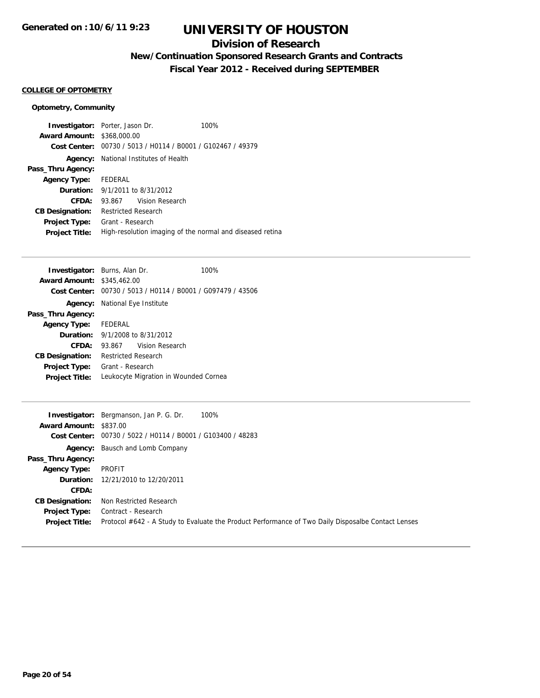## **Division of Research**

## **New/Continuation Sponsored Research Grants and Contracts**

**Fiscal Year 2012 - Received during SEPTEMBER**

#### **COLLEGE OF OPTOMETRY**

### **Optometry, Community**

|                                   | <b>Investigator:</b> Porter, Jason Dr.                      | 100% |
|-----------------------------------|-------------------------------------------------------------|------|
| <b>Award Amount: \$368,000.00</b> |                                                             |      |
|                                   | Cost Center: 00730 / 5013 / H0114 / B0001 / G102467 / 49379 |      |
|                                   | <b>Agency:</b> National Institutes of Health                |      |
| Pass_Thru Agency:                 |                                                             |      |
| <b>Agency Type:</b> FEDERAL       |                                                             |      |
|                                   | <b>Duration:</b> 9/1/2011 to 8/31/2012                      |      |
| CFDA:                             | 93.867 Vision Research                                      |      |
| <b>CB Designation:</b>            | <b>Restricted Research</b>                                  |      |
| <b>Project Type:</b>              | Grant - Research                                            |      |
| <b>Project Title:</b>             | High-resolution imaging of the normal and diseased retina   |      |

| <b>Investigator:</b> Burns, Alan Dr. |                                        |                                                             | 100% |
|--------------------------------------|----------------------------------------|-------------------------------------------------------------|------|
| <b>Award Amount: \$345,462.00</b>    |                                        |                                                             |      |
|                                      |                                        | Cost Center: 00730 / 5013 / H0114 / B0001 / G097479 / 43506 |      |
|                                      | <b>Agency:</b> National Eye Institute  |                                                             |      |
| Pass_Thru Agency:                    |                                        |                                                             |      |
| <b>Agency Type:</b> FEDERAL          |                                        |                                                             |      |
|                                      | <b>Duration:</b> 9/1/2008 to 8/31/2012 |                                                             |      |
| CFDA:                                | 93.867                                 | Vision Research                                             |      |
| <b>CB Designation:</b>               | Restricted Research                    |                                                             |      |
| <b>Project Type:</b>                 | Grant - Research                       |                                                             |      |
| <b>Project Title:</b>                |                                        | Leukocyte Migration in Wounded Cornea                       |      |
|                                      |                                        |                                                             |      |

|                        | 100%<br><b>Investigator:</b> Bergmanson, Jan P. G. Dr.                                             |
|------------------------|----------------------------------------------------------------------------------------------------|
| Award Amount: \$837.00 |                                                                                                    |
|                        | Cost Center: 00730 / 5022 / H0114 / B0001 / G103400 / 48283                                        |
|                        | <b>Agency:</b> Bausch and Lomb Company                                                             |
| Pass_Thru Agency:      |                                                                                                    |
| <b>Agency Type:</b>    | PROFIT                                                                                             |
|                        | <b>Duration:</b> 12/21/2010 to 12/20/2011                                                          |
| <b>CFDA:</b>           |                                                                                                    |
| <b>CB Designation:</b> | Non Restricted Research                                                                            |
| Project Type:          | Contract - Research                                                                                |
| <b>Project Title:</b>  | Protocol #642 - A Study to Evaluate the Product Performance of Two Daily Disposalbe Contact Lenses |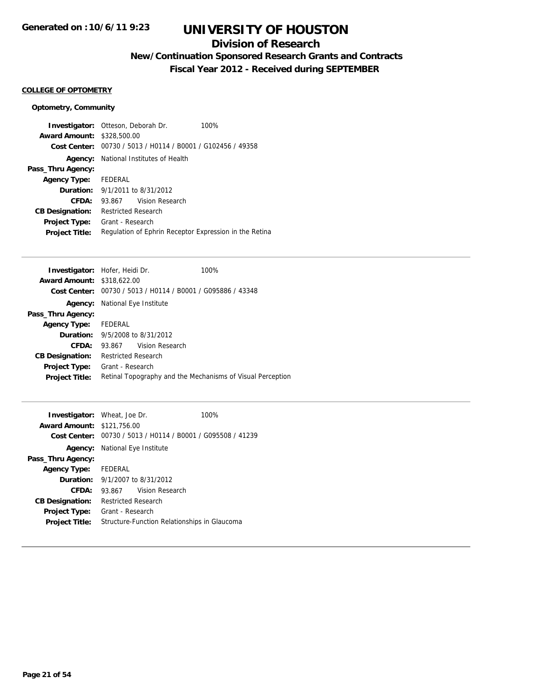## **Division of Research**

## **New/Continuation Sponsored Research Grants and Contracts**

**Fiscal Year 2012 - Received during SEPTEMBER**

#### **COLLEGE OF OPTOMETRY**

### **Optometry, Community**

|                                   | <b>Investigator:</b> Otteson, Deborah Dr.                   | 100% |
|-----------------------------------|-------------------------------------------------------------|------|
| <b>Award Amount: \$328,500.00</b> |                                                             |      |
|                                   | Cost Center: 00730 / 5013 / H0114 / B0001 / G102456 / 49358 |      |
| Agency:                           | National Institutes of Health                               |      |
| Pass_Thru Agency:                 |                                                             |      |
| <b>Agency Type:</b> FEDERAL       |                                                             |      |
|                                   | <b>Duration:</b> $9/1/2011$ to $8/31/2012$                  |      |
| CFDA:                             | 93.867 Vision Research                                      |      |
| <b>CB Designation:</b>            | <b>Restricted Research</b>                                  |      |
| Project Type:                     | Grant - Research                                            |      |
| <b>Project Title:</b>             | Regulation of Ephrin Receptor Expression in the Retina      |      |

|                                   | <b>Investigator:</b> Hofer, Heidi Dr.                       | 100% |
|-----------------------------------|-------------------------------------------------------------|------|
| <b>Award Amount: \$318,622.00</b> |                                                             |      |
|                                   | Cost Center: 00730 / 5013 / H0114 / B0001 / G095886 / 43348 |      |
| Agency:                           | National Eye Institute                                      |      |
| Pass_Thru Agency:                 |                                                             |      |
| Agency Type: FEDERAL              |                                                             |      |
|                                   | <b>Duration:</b> 9/5/2008 to 8/31/2012                      |      |
| <b>CFDA:</b>                      | 93.867 Vision Research                                      |      |
| <b>CB Designation:</b>            | Restricted Research                                         |      |
| <b>Project Type:</b>              | Grant - Research                                            |      |
| <b>Project Title:</b>             | Retinal Topography and the Mechanisms of Visual Perception  |      |
|                                   |                                                             |      |

| <b>Investigator:</b> Wheat, Joe Dr. |                                        |                                                             | 100% |
|-------------------------------------|----------------------------------------|-------------------------------------------------------------|------|
| <b>Award Amount: \$121,756.00</b>   |                                        |                                                             |      |
|                                     |                                        | Cost Center: 00730 / 5013 / H0114 / B0001 / G095508 / 41239 |      |
|                                     | <b>Agency:</b> National Eye Institute  |                                                             |      |
| Pass_Thru Agency:                   |                                        |                                                             |      |
| <b>Agency Type:</b>                 | FEDERAL                                |                                                             |      |
|                                     | <b>Duration:</b> 9/1/2007 to 8/31/2012 |                                                             |      |
| CFDA:                               |                                        | 93.867 Vision Research                                      |      |
| <b>CB Designation:</b>              | <b>Restricted Research</b>             |                                                             |      |
| <b>Project Type:</b>                | Grant - Research                       |                                                             |      |
| <b>Project Title:</b>               |                                        | Structure-Function Relationships in Glaucoma                |      |
|                                     |                                        |                                                             |      |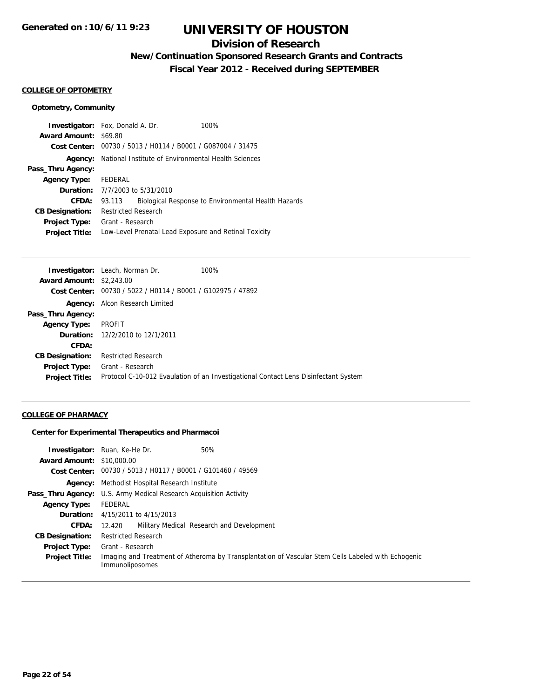## **Division of Research**

## **New/Continuation Sponsored Research Grants and Contracts**

**Fiscal Year 2012 - Received during SEPTEMBER**

#### **COLLEGE OF OPTOMETRY**

### **Optometry, Community**

| <b>Investigator:</b> Fox, Donald A. Dr. |                                                     |                                                             | 100%                                                  |
|-----------------------------------------|-----------------------------------------------------|-------------------------------------------------------------|-------------------------------------------------------|
| <b>Award Amount: \$69.80</b>            |                                                     |                                                             |                                                       |
|                                         |                                                     | Cost Center: 00730 / 5013 / H0114 / B0001 / G087004 / 31475 |                                                       |
| Agency:                                 | National Institute of Environmental Health Sciences |                                                             |                                                       |
| Pass_Thru Agency:                       |                                                     |                                                             |                                                       |
| <b>Agency Type:</b>                     | FEDERAL                                             |                                                             |                                                       |
|                                         |                                                     | <b>Duration:</b> 7/7/2003 to 5/31/2010                      |                                                       |
| <b>CFDA:</b>                            | 93.113                                              |                                                             | Biological Response to Environmental Health Hazards   |
| <b>CB Designation:</b>                  | <b>Restricted Research</b>                          |                                                             |                                                       |
| <b>Project Type:</b>                    | Grant - Research                                    |                                                             |                                                       |
| <b>Project Title:</b>                   |                                                     |                                                             | Low-Level Prenatal Lead Exposure and Retinal Toxicity |

|                                 | <b>Investigator:</b> Leach, Norman Dr.                      | 100%                                                                                |
|---------------------------------|-------------------------------------------------------------|-------------------------------------------------------------------------------------|
| <b>Award Amount: \$2,243.00</b> |                                                             |                                                                                     |
|                                 | Cost Center: 00730 / 5022 / H0114 / B0001 / G102975 / 47892 |                                                                                     |
|                                 | <b>Agency:</b> Alcon Research Limited                       |                                                                                     |
| Pass_Thru Agency:               |                                                             |                                                                                     |
| <b>Agency Type:</b>             | PROFIT                                                      |                                                                                     |
|                                 | <b>Duration:</b> 12/2/2010 to 12/1/2011                     |                                                                                     |
| CFDA:                           |                                                             |                                                                                     |
| <b>CB Designation:</b>          | <b>Restricted Research</b>                                  |                                                                                     |
| <b>Project Type:</b>            | Grant - Research                                            |                                                                                     |
| <b>Project Title:</b>           |                                                             | Protocol C-10-012 Evaulation of an Investigational Contact Lens Disinfectant System |
|                                 |                                                             |                                                                                     |

### **COLLEGE OF PHARMACY**

#### **Center for Experimental Therapeutics and Pharmacoi**

| <b>Award Amount: \$10,000.00</b> | <b>Investigator:</b> Ruan, Ke-He Dr.<br>50%                                                                           |
|----------------------------------|-----------------------------------------------------------------------------------------------------------------------|
|                                  |                                                                                                                       |
|                                  | Cost Center: 00730 / 5013 / H0117 / B0001 / G101460 / 49569                                                           |
|                                  | <b>Agency:</b> Methodist Hospital Research Institute                                                                  |
|                                  | <b>Pass_Thru Agency:</b> U.S. Army Medical Research Acquisition Activity                                              |
| <b>Agency Type:</b>              | FEDERAL                                                                                                               |
|                                  | <b>Duration:</b> 4/15/2011 to 4/15/2013                                                                               |
| <b>CFDA:</b>                     | 12.420 Military Medical Research and Development                                                                      |
| <b>CB Designation:</b>           | <b>Restricted Research</b>                                                                                            |
| <b>Project Type:</b>             | Grant - Research                                                                                                      |
| <b>Project Title:</b>            | Imaging and Treatment of Atheroma by Transplantation of Vascular Stem Cells Labeled with Echogenic<br>Immunoliposomes |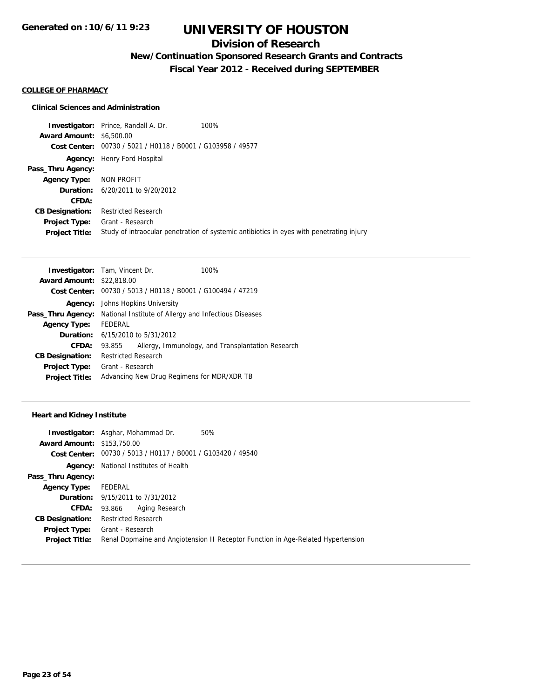## **Division of Research**

## **New/Continuation Sponsored Research Grants and Contracts**

**Fiscal Year 2012 - Received during SEPTEMBER**

#### **COLLEGE OF PHARMACY**

#### **Clinical Sciences and Administration**

**Investigator:** Prince, Randall A. Dr. 100% **Award Amount:** \$6,500.00 **Cost Center:** 00730 / 5021 / H0118 / B0001 / G103958 / 49577 **Agency:** Henry Ford Hospital **Pass\_Thru Agency: Agency Type:** NON PROFIT **Duration:** 6/20/2011 to 9/20/2012 **CFDA: CB Designation:** Restricted Research **Project Type:** Grant - Research **Project Title:** Study of intraocular penetration of systemic antibiotics in eyes with penetrating injury

| <b>Investigator:</b> Tam, Vincent Dr. |                            |                                             | 100%                                                        |
|---------------------------------------|----------------------------|---------------------------------------------|-------------------------------------------------------------|
| <b>Award Amount: \$22,818.00</b>      |                            |                                             |                                                             |
|                                       |                            |                                             | Cost Center: 00730 / 5013 / H0118 / B0001 / G100494 / 47219 |
| Agency:                               |                            | Johns Hopkins University                    |                                                             |
| Pass_Thru Agency:                     |                            |                                             | National Institute of Allergy and Infectious Diseases       |
| <b>Agency Type:</b>                   | FEDERAL                    |                                             |                                                             |
|                                       |                            | <b>Duration:</b> $6/15/2010$ to $5/31/2012$ |                                                             |
| CFDA:                                 | 93.855                     |                                             | Allergy, Immunology, and Transplantation Research           |
| <b>CB Designation:</b>                | <b>Restricted Research</b> |                                             |                                                             |
| <b>Project Type:</b>                  | Grant - Research           |                                             |                                                             |
| <b>Project Title:</b>                 |                            |                                             | Advancing New Drug Regimens for MDR/XDR TB                  |

#### **Heart and Kidney Institute**

|                                   | <b>Investigator:</b> Asghar, Mohammad Dr.<br>50%                                 |
|-----------------------------------|----------------------------------------------------------------------------------|
| <b>Award Amount: \$153,750.00</b> |                                                                                  |
|                                   | Cost Center: 00730 / 5013 / H0117 / B0001 / G103420 / 49540                      |
| Agency:                           | National Institutes of Health                                                    |
| Pass_Thru Agency:                 |                                                                                  |
| <b>Agency Type:</b>               | FEDERAL                                                                          |
|                                   | <b>Duration:</b> 9/15/2011 to 7/31/2012                                          |
| CFDA:                             | Aging Research<br>93.866                                                         |
| <b>CB Designation:</b>            | <b>Restricted Research</b>                                                       |
| <b>Project Type:</b>              | Grant - Research                                                                 |
| <b>Project Title:</b>             | Renal Dopmaine and Angiotension II Receptor Function in Age-Related Hypertension |
|                                   |                                                                                  |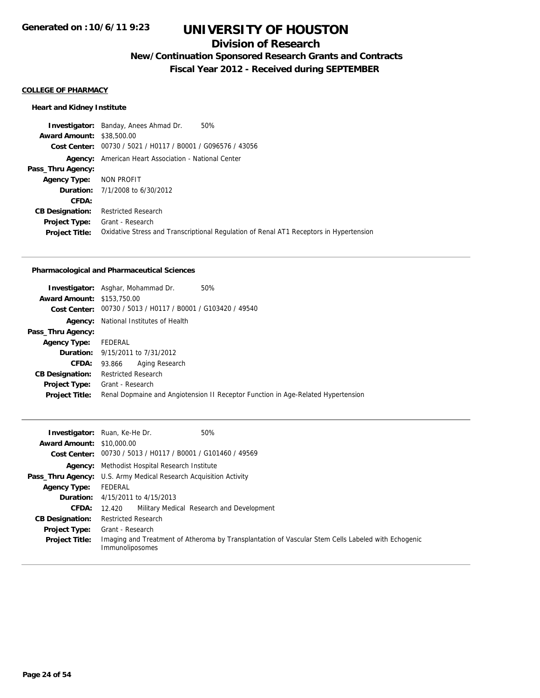### **Division of Research**

## **New/Continuation Sponsored Research Grants and Contracts**

**Fiscal Year 2012 - Received during SEPTEMBER**

### **COLLEGE OF PHARMACY**

#### **Heart and Kidney Institute**

**Investigator:** Banday, Anees Ahmad Dr. 50% **Award Amount:** \$38,500.00 **Cost Center:** 00730 / 5021 / H0117 / B0001 / G096576 / 43056 **Agency:** American Heart Association - National Center **Pass\_Thru Agency: Agency Type:** NON PROFIT **Duration:** 7/1/2008 to 6/30/2012 **CFDA: CB Designation:** Restricted Research **Project Type:** Grant - Research **Project Title:** Oxidative Stress and Transcriptional Regulation of Renal AT1 Receptors in Hypertension

#### **Pharmacological and Pharmaceutical Sciences**

|                                   | <b>Investigator:</b> Asghar, Mohammad Dr.<br>50%                                 |
|-----------------------------------|----------------------------------------------------------------------------------|
| <b>Award Amount: \$153,750.00</b> |                                                                                  |
|                                   | Cost Center: 00730 / 5013 / H0117 / B0001 / G103420 / 49540                      |
|                                   | <b>Agency:</b> National Institutes of Health                                     |
| Pass_Thru Agency:                 |                                                                                  |
| <b>Agency Type:</b>               | FEDERAL                                                                          |
|                                   | <b>Duration:</b> 9/15/2011 to 7/31/2012                                          |
| CFDA:                             | Aging Research<br>93.866                                                         |
| <b>CB Designation:</b>            | <b>Restricted Research</b>                                                       |
| <b>Project Type:</b>              | Grant - Research                                                                 |
| <b>Project Title:</b>             | Renal Dopmaine and Angiotension II Receptor Function in Age-Related Hypertension |
|                                   |                                                                                  |

|                                  | 50%<br><b>Investigator:</b> Ruan, Ke-He Dr.                                                                           |
|----------------------------------|-----------------------------------------------------------------------------------------------------------------------|
| <b>Award Amount: \$10,000.00</b> |                                                                                                                       |
|                                  | Cost Center: 00730 / 5013 / H0117 / B0001 / G101460 / 49569                                                           |
|                                  | <b>Agency:</b> Methodist Hospital Research Institute                                                                  |
|                                  | Pass_Thru Agency: U.S. Army Medical Research Acquisition Activity                                                     |
| <b>Agency Type:</b>              | FEDERAL                                                                                                               |
|                                  | <b>Duration:</b> 4/15/2011 to 4/15/2013                                                                               |
| <b>CFDA:</b>                     | Military Medical Research and Development<br>12.420                                                                   |
| <b>CB Designation:</b>           | <b>Restricted Research</b>                                                                                            |
| <b>Project Type:</b>             | Grant - Research                                                                                                      |
| <b>Project Title:</b>            | Imaging and Treatment of Atheroma by Transplantation of Vascular Stem Cells Labeled with Echogenic<br>Immunoliposomes |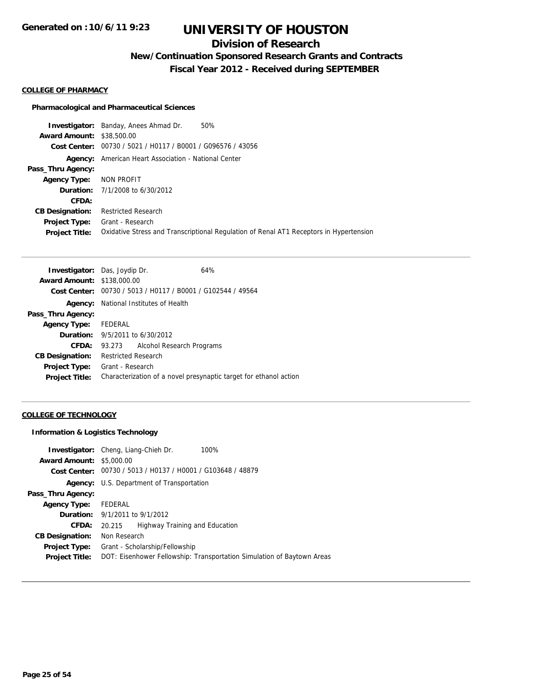## **Division of Research**

**New/Continuation Sponsored Research Grants and Contracts**

**Fiscal Year 2012 - Received during SEPTEMBER**

#### **COLLEGE OF PHARMACY**

#### **Pharmacological and Pharmaceutical Sciences**

**Investigator:** Banday, Anees Ahmad Dr. 50% **Award Amount:** \$38,500.00 **Cost Center:** 00730 / 5021 / H0117 / B0001 / G096576 / 43056 **Agency:** American Heart Association - National Center **Pass\_Thru Agency: Agency Type:** NON PROFIT **Duration:** 7/1/2008 to 6/30/2012 **CFDA: CB Designation:** Restricted Research **Project Type:** Grant - Research **Project Title:** Oxidative Stress and Transcriptional Regulation of Renal AT1 Receptors in Hypertension

|                                                                   |                             | 64%                                                                                                                                                                                                                                  |
|-------------------------------------------------------------------|-----------------------------|--------------------------------------------------------------------------------------------------------------------------------------------------------------------------------------------------------------------------------------|
|                                                                   |                             |                                                                                                                                                                                                                                      |
|                                                                   |                             |                                                                                                                                                                                                                                      |
| National Institutes of Health<br>Agency:                          |                             |                                                                                                                                                                                                                                      |
|                                                                   |                             |                                                                                                                                                                                                                                      |
|                                                                   |                             |                                                                                                                                                                                                                                      |
|                                                                   |                             |                                                                                                                                                                                                                                      |
| 93.273                                                            | Alcohol Research Programs   |                                                                                                                                                                                                                                      |
|                                                                   |                             |                                                                                                                                                                                                                                      |
|                                                                   |                             |                                                                                                                                                                                                                                      |
| Characterization of a novel presynaptic target for ethanol action |                             |                                                                                                                                                                                                                                      |
|                                                                   | <b>Agency Type:</b> FEDERAL | <b>Investigator:</b> Das, Joydip Dr.<br><b>Award Amount: \$138,000.00</b><br>Cost Center: 00730 / 5013 / H0117 / B0001 / G102544 / 49564<br><b>Duration:</b> 9/5/2011 to 6/30/2012<br><b>Restricted Research</b><br>Grant - Research |

#### **COLLEGE OF TECHNOLOGY**

#### **Information & Logistics Technology**

|                                 | <b>Investigator:</b> Cheng, Liang-Chieh Dr.<br>100%                    |  |  |
|---------------------------------|------------------------------------------------------------------------|--|--|
| <b>Award Amount: \$5,000.00</b> |                                                                        |  |  |
|                                 | Cost Center: 00730 / 5013 / H0137 / H0001 / G103648 / 48879            |  |  |
|                                 | Agency: U.S. Department of Transportation                              |  |  |
| Pass_Thru Agency:               |                                                                        |  |  |
| <b>Agency Type:</b>             | FEDERAL                                                                |  |  |
|                                 | <b>Duration:</b> $9/1/2011$ to $9/1/2012$                              |  |  |
| CFDA:                           | Highway Training and Education<br>20.215                               |  |  |
| <b>CB Designation:</b>          | Non Research                                                           |  |  |
| <b>Project Type:</b>            | Grant - Scholarship/Fellowship                                         |  |  |
| <b>Project Title:</b>           | DOT: Eisenhower Fellowship: Transportation Simulation of Baytown Areas |  |  |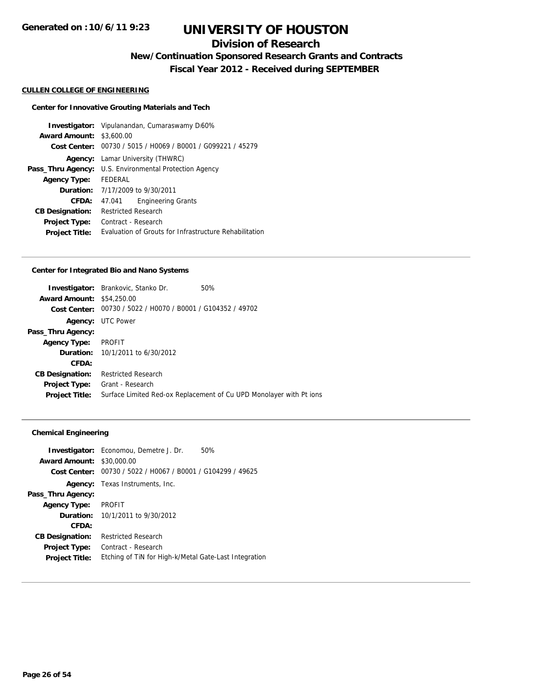## **Division of Research**

**New/Continuation Sponsored Research Grants and Contracts**

**Fiscal Year 2012 - Received during SEPTEMBER**

#### **CULLEN COLLEGE OF ENGINEERING**

#### **Center for Innovative Grouting Materials and Tech**

**Investigator:** Vipulanandan, Cumaraswamy D<sub>160%</sub> **Award Amount:** \$3,600.00 **Cost Center:** 00730 / 5015 / H0069 / B0001 / G099221 / 45279 **Agency:** Lamar University (THWRC) Pass\_Thru Agency: U.S. Environmental Protection Agency **Agency Type:** FEDERAL **Duration:** 7/17/2009 to 9/30/2011 **CFDA:** 47.041 Engineering Grants **CB Designation:** Restricted Research **Project Type:** Contract - Research **Project Title:** Evaluation of Grouts for Infrastructure Rehabilitation

#### **Center for Integrated Bio and Nano Systems**

|                                  | <b>Investigator:</b> Brankovic, Stanko Dr.     | 50%                                                                 |
|----------------------------------|------------------------------------------------|---------------------------------------------------------------------|
| <b>Award Amount: \$54,250.00</b> |                                                |                                                                     |
| Cost Center:                     | 00730 / 5022 / H0070 / B0001 / G104352 / 49702 |                                                                     |
|                                  | <b>Agency: UTC Power</b>                       |                                                                     |
| Pass_Thru Agency:                |                                                |                                                                     |
| <b>Agency Type:</b>              | PROFIT                                         |                                                                     |
|                                  | <b>Duration:</b> 10/1/2011 to 6/30/2012        |                                                                     |
| CFDA:                            |                                                |                                                                     |
| <b>CB Designation:</b>           | <b>Restricted Research</b>                     |                                                                     |
| <b>Project Type:</b>             | Grant - Research                               |                                                                     |
| <b>Project Title:</b>            |                                                | Surface Limited Red-ox Replacement of Cu UPD Monolayer with Pt ions |
|                                  |                                                |                                                                     |

#### **Chemical Engineering**

| <b>Award Amount:</b>   | <b>Investigator:</b> Economou, Demetre J. Dr.<br>50%<br>\$30,000.00<br>Cost Center: 00730 / 5022 / H0067 / B0001 / G104299 / 49625 |
|------------------------|------------------------------------------------------------------------------------------------------------------------------------|
| Agency:                | Texas Instruments, Inc.                                                                                                            |
| Pass_Thru Agency:      |                                                                                                                                    |
| <b>Agency Type:</b>    | <b>PROFIT</b>                                                                                                                      |
|                        | <b>Duration:</b> 10/1/2011 to 9/30/2012                                                                                            |
| CFDA:                  |                                                                                                                                    |
| <b>CB Designation:</b> | <b>Restricted Research</b>                                                                                                         |
| <b>Project Type:</b>   | Contract - Research                                                                                                                |
| <b>Project Title:</b>  | Etching of TiN for High-k/Metal Gate-Last Integration                                                                              |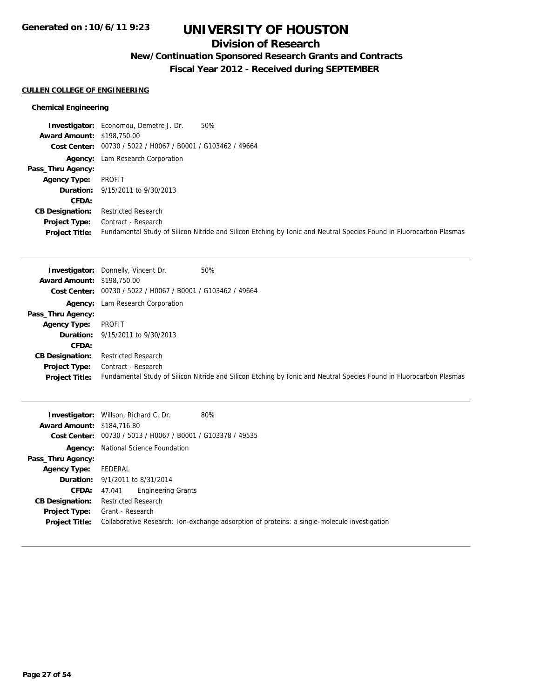## **Division of Research**

# **New/Continuation Sponsored Research Grants and Contracts**

**Fiscal Year 2012 - Received during SEPTEMBER**

### **CULLEN COLLEGE OF ENGINEERING**

### **Chemical Engineering**

|                                   | <b>Investigator:</b> Economou, Demetre J. Dr.<br>50%        |                                                                                                                     |
|-----------------------------------|-------------------------------------------------------------|---------------------------------------------------------------------------------------------------------------------|
| <b>Award Amount: \$198,750.00</b> |                                                             |                                                                                                                     |
|                                   | Cost Center: 00730 / 5022 / H0067 / B0001 / G103462 / 49664 |                                                                                                                     |
|                                   | <b>Agency:</b> Lam Research Corporation                     |                                                                                                                     |
| Pass_Thru Agency:                 |                                                             |                                                                                                                     |
| <b>Agency Type:</b>               | PROFIT                                                      |                                                                                                                     |
|                                   | <b>Duration:</b> 9/15/2011 to 9/30/2013                     |                                                                                                                     |
| CFDA:                             |                                                             |                                                                                                                     |
| <b>CB Designation:</b>            | <b>Restricted Research</b>                                  |                                                                                                                     |
| Project Type:                     | Contract - Research                                         |                                                                                                                     |
| <b>Project Title:</b>             |                                                             | Fundamental Study of Silicon Nitride and Silicon Etching by Ionic and Neutral Species Found in Fluorocarbon Plasmas |

|                                   | 50%<br><b>Investigator:</b> Donnelly, Vincent Dr.                                                                   |
|-----------------------------------|---------------------------------------------------------------------------------------------------------------------|
| <b>Award Amount: \$198,750.00</b> |                                                                                                                     |
|                                   | Cost Center: 00730 / 5022 / H0067 / B0001 / G103462 / 49664                                                         |
|                                   | <b>Agency:</b> Lam Research Corporation                                                                             |
| Pass_Thru Agency:                 |                                                                                                                     |
| <b>Agency Type:</b>               | PROFIT                                                                                                              |
|                                   | <b>Duration:</b> 9/15/2011 to 9/30/2013                                                                             |
| CFDA:                             |                                                                                                                     |
| <b>CB Designation:</b>            | <b>Restricted Research</b>                                                                                          |
| Project Type:                     | Contract - Research                                                                                                 |
| <b>Project Title:</b>             | Fundamental Study of Silicon Nitride and Silicon Etching by Ionic and Neutral Species Found in Fluorocarbon Plasmas |

| <b>Award Amount: \$184,716.80</b>      | 80%<br><b>Investigator:</b> Willson, Richard C. Dr.                                                              |
|----------------------------------------|------------------------------------------------------------------------------------------------------------------|
|                                        | Cost Center: 00730 / 5013 / H0067 / B0001 / G103378 / 49535                                                      |
|                                        | <b>Agency:</b> National Science Foundation                                                                       |
| Pass_Thru Agency:                      |                                                                                                                  |
| <b>Agency Type:</b>                    | FEDERAL                                                                                                          |
|                                        | <b>Duration:</b> 9/1/2011 to 8/31/2014                                                                           |
| <b>CFDA:</b>                           | <b>Engineering Grants</b><br>47.041                                                                              |
| <b>CB Designation:</b>                 | <b>Restricted Research</b>                                                                                       |
| Project Type:<br><b>Project Title:</b> | Grant - Research<br>Collaborative Research: Ion-exchange adsorption of proteins: a single-molecule investigation |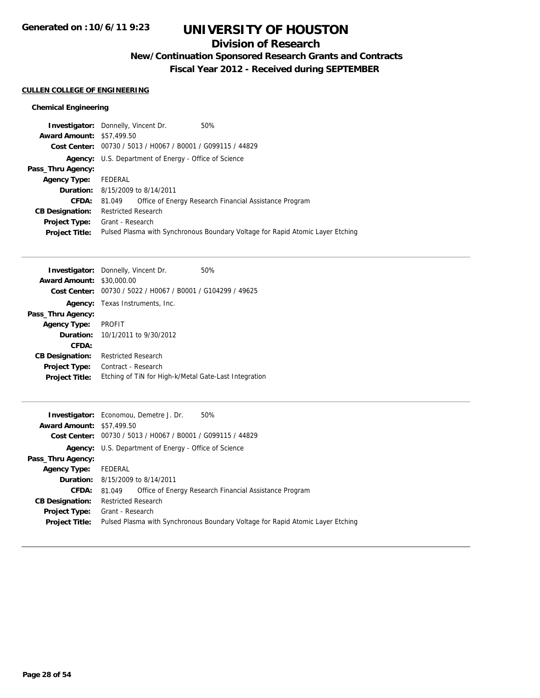## **Division of Research**

# **New/Continuation Sponsored Research Grants and Contracts**

**Fiscal Year 2012 - Received during SEPTEMBER**

### **CULLEN COLLEGE OF ENGINEERING**

### **Chemical Engineering**

| <b>Investigator:</b> Donnelly, Vincent Dr. |                            |                                                              | 50%                                                                            |
|--------------------------------------------|----------------------------|--------------------------------------------------------------|--------------------------------------------------------------------------------|
| <b>Award Amount: \$57,499.50</b>           |                            |                                                              |                                                                                |
|                                            |                            | Cost Center: 00730 / 5013 / H0067 / B0001 / G099115 / 44829  |                                                                                |
|                                            |                            | <b>Agency:</b> U.S. Department of Energy - Office of Science |                                                                                |
| Pass_Thru Agency:                          |                            |                                                              |                                                                                |
| <b>Agency Type:</b>                        | FEDERAL                    |                                                              |                                                                                |
|                                            |                            | <b>Duration:</b> 8/15/2009 to 8/14/2011                      |                                                                                |
| CFDA:                                      | 81.049                     |                                                              | Office of Energy Research Financial Assistance Program                         |
| <b>CB Designation:</b>                     | <b>Restricted Research</b> |                                                              |                                                                                |
| <b>Project Type:</b>                       | Grant - Research           |                                                              |                                                                                |
| <b>Project Title:</b>                      |                            |                                                              | Pulsed Plasma with Synchronous Boundary Voltage for Rapid Atomic Layer Etching |
|                                            |                            |                                                              |                                                                                |

|                                  | <b>Investigator:</b> Donnelly, Vincent Dr.                  | 50% |
|----------------------------------|-------------------------------------------------------------|-----|
| <b>Award Amount: \$30,000.00</b> |                                                             |     |
|                                  | Cost Center: 00730 / 5022 / H0067 / B0001 / G104299 / 49625 |     |
|                                  | <b>Agency:</b> Texas Instruments, Inc.                      |     |
| Pass_Thru Agency:                |                                                             |     |
| <b>Agency Type:</b>              | <b>PROFIT</b>                                               |     |
|                                  | <b>Duration:</b> 10/1/2011 to 9/30/2012                     |     |
| CFDA:                            |                                                             |     |
| <b>CB Designation:</b>           | <b>Restricted Research</b>                                  |     |
| <b>Project Type:</b>             | Contract - Research                                         |     |
| <b>Project Title:</b>            | Etching of TiN for High-k/Metal Gate-Last Integration       |     |

|                                  | <b>Investigator:</b> Economou, Demetre J. Dr.<br>50%                           |
|----------------------------------|--------------------------------------------------------------------------------|
| <b>Award Amount: \$57,499.50</b> |                                                                                |
|                                  | Cost Center: 00730 / 5013 / H0067 / B0001 / G099115 / 44829                    |
|                                  | <b>Agency:</b> U.S. Department of Energy - Office of Science                   |
| Pass_Thru Agency:                |                                                                                |
| <b>Agency Type:</b>              | FEDERAL                                                                        |
|                                  | <b>Duration:</b> 8/15/2009 to 8/14/2011                                        |
| <b>CFDA:</b>                     | Office of Energy Research Financial Assistance Program<br>81.049               |
| <b>CB Designation:</b>           | <b>Restricted Research</b>                                                     |
| <b>Project Type:</b>             | Grant - Research                                                               |
| <b>Project Title:</b>            | Pulsed Plasma with Synchronous Boundary Voltage for Rapid Atomic Layer Etching |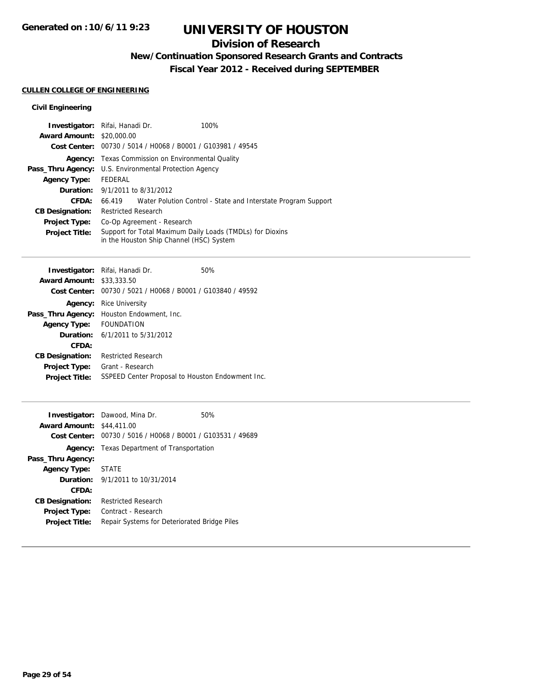## **Division of Research**

## **New/Continuation Sponsored Research Grants and Contracts**

**Fiscal Year 2012 - Received during SEPTEMBER**

### **CULLEN COLLEGE OF ENGINEERING**

| Investigator: Rifai, Hanadi Dr.        |                                           |                                                             | 100%                                                          |
|----------------------------------------|-------------------------------------------|-------------------------------------------------------------|---------------------------------------------------------------|
| <b>Award Amount: \$20,000.00</b>       |                                           |                                                             |                                                               |
|                                        |                                           | Cost Center: 00730 / 5014 / H0068 / B0001 / G103981 / 49545 |                                                               |
| Agency:                                | Texas Commission on Environmental Quality |                                                             |                                                               |
| Pass_Thru Agency:                      | U.S. Environmental Protection Agency      |                                                             |                                                               |
| <b>Agency Type:</b>                    | FFDFRAL                                   |                                                             |                                                               |
| <b>Duration:</b> 9/1/2011 to 8/31/2012 |                                           |                                                             |                                                               |
| CFDA:                                  | 66.419                                    |                                                             | Water Polution Control - State and Interstate Program Support |
| <b>CB Designation:</b>                 | <b>Restricted Research</b>                |                                                             |                                                               |
| <b>Project Type:</b>                   | Co-Op Agreement - Research                |                                                             |                                                               |
| <b>Project Title:</b>                  |                                           | in the Houston Ship Channel (HSC) System                    | Support for Total Maximum Daily Loads (TMDLs) for Dioxins     |

|                                  | Investigator: Rifai, Hanadi Dr.            | 50%                                                         |
|----------------------------------|--------------------------------------------|-------------------------------------------------------------|
| <b>Award Amount: \$33,333,50</b> |                                            |                                                             |
|                                  |                                            | Cost Center: 00730 / 5021 / H0068 / B0001 / G103840 / 49592 |
| Agency:                          | <b>Rice University</b>                     |                                                             |
| Pass_Thru Agency:                | Houston Endowment, Inc.                    |                                                             |
| <b>Agency Type:</b>              | <b>FOUNDATION</b>                          |                                                             |
|                                  | <b>Duration:</b> $6/1/2011$ to $5/31/2012$ |                                                             |
| CFDA:                            |                                            |                                                             |
| <b>CB Designation:</b>           | <b>Restricted Research</b>                 |                                                             |
| <b>Project Type:</b>             | Grant - Research                           |                                                             |
| <b>Project Title:</b>            |                                            | SSPEED Center Proposal to Houston Endowment Inc.            |
|                                  |                                            |                                                             |

|                                  | <b>Investigator:</b> Dawood, Mina Dr.                       | 50% |
|----------------------------------|-------------------------------------------------------------|-----|
| <b>Award Amount: \$44,411.00</b> |                                                             |     |
|                                  | Cost Center: 00730 / 5016 / H0068 / B0001 / G103531 / 49689 |     |
|                                  | <b>Agency:</b> Texas Department of Transportation           |     |
| Pass_Thru Agency:                |                                                             |     |
| <b>Agency Type:</b>              | <b>STATE</b>                                                |     |
|                                  | <b>Duration:</b> 9/1/2011 to 10/31/2014                     |     |
| CFDA:                            |                                                             |     |
| <b>CB Designation:</b>           | <b>Restricted Research</b>                                  |     |
| <b>Project Type:</b>             | Contract - Research                                         |     |
| <b>Project Title:</b>            | Repair Systems for Deteriorated Bridge Piles                |     |
|                                  |                                                             |     |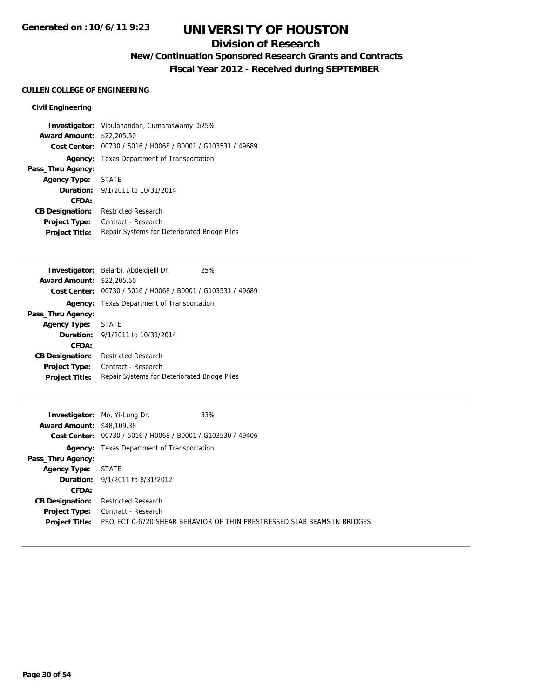## **Division of Research**

# **New/Continuation Sponsored Research Grants and Contracts**

**Fiscal Year 2012 - Received during SEPTEMBER**

### **CULLEN COLLEGE OF ENGINEERING**

|                                  | <b>Investigator:</b> Vipulanandan, Cumaraswamy D <sub>125</sub> % |
|----------------------------------|-------------------------------------------------------------------|
| <b>Award Amount: \$22,205.50</b> |                                                                   |
|                                  | Cost Center: 00730 / 5016 / H0068 / B0001 / G103531 / 49689       |
|                                  | <b>Agency:</b> Texas Department of Transportation                 |
| Pass_Thru Agency:                |                                                                   |
| Agency Type: STATE               |                                                                   |
|                                  | <b>Duration:</b> $9/1/2011$ to $10/31/2014$                       |
| CFDA:                            |                                                                   |
| <b>CB Designation:</b>           | <b>Restricted Research</b>                                        |
| <b>Project Type:</b>             | Contract - Research                                               |
| <b>Project Title:</b>            | Repair Systems for Deteriorated Bridge Piles                      |

|                        | Investigator: Belarbi, Abdeldjelil Dr.                      | 25% |
|------------------------|-------------------------------------------------------------|-----|
| <b>Award Amount:</b>   | \$22,205.50                                                 |     |
|                        | Cost Center: 00730 / 5016 / H0068 / B0001 / G103531 / 49689 |     |
|                        | <b>Agency:</b> Texas Department of Transportation           |     |
| Pass_Thru Agency:      |                                                             |     |
| <b>Agency Type:</b>    | <b>STATE</b>                                                |     |
|                        | <b>Duration:</b> $9/1/2011$ to $10/31/2014$                 |     |
| CFDA:                  |                                                             |     |
| <b>CB Designation:</b> | <b>Restricted Research</b>                                  |     |
| <b>Project Type:</b>   | Contract - Research                                         |     |
| <b>Project Title:</b>  | Repair Systems for Deteriorated Bridge Piles                |     |
|                        |                                                             |     |

|                                  | <b>Investigator:</b> Mo, Yi-Lung Dr.                        | 33%                                                                     |
|----------------------------------|-------------------------------------------------------------|-------------------------------------------------------------------------|
| <b>Award Amount: \$48,109.38</b> |                                                             |                                                                         |
|                                  | Cost Center: 00730 / 5016 / H0068 / B0001 / G103530 / 49406 |                                                                         |
| Agency:                          | Texas Department of Transportation                          |                                                                         |
| Pass_Thru Agency:                |                                                             |                                                                         |
| <b>Agency Type:</b>              | STATE                                                       |                                                                         |
|                                  | <b>Duration:</b> 9/1/2011 to 8/31/2012                      |                                                                         |
| CFDA:                            |                                                             |                                                                         |
| <b>CB Designation:</b>           | <b>Restricted Research</b>                                  |                                                                         |
| <b>Project Type:</b>             | Contract - Research                                         |                                                                         |
| <b>Project Title:</b>            |                                                             | PROJECT 0-6720 SHEAR BEHAVIOR OF THIN PRESTRESSED SLAB BEAMS IN BRIDGES |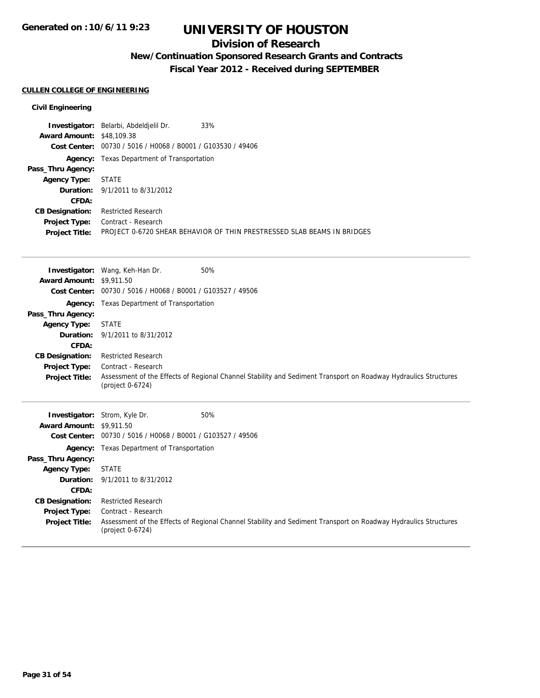## **Division of Research**

# **New/Continuation Sponsored Research Grants and Contracts**

**Fiscal Year 2012 - Received during SEPTEMBER**

### **CULLEN COLLEGE OF ENGINEERING**

|                                  | 33%<br><b>Investigator:</b> Belarbi, Abdeldjelil Dr.                    |
|----------------------------------|-------------------------------------------------------------------------|
| <b>Award Amount: \$48,109.38</b> |                                                                         |
|                                  | Cost Center: 00730 / 5016 / H0068 / B0001 / G103530 / 49406             |
|                                  | <b>Agency:</b> Texas Department of Transportation                       |
| Pass_Thru Agency:                |                                                                         |
| <b>Agency Type:</b>              | <b>STATE</b>                                                            |
|                                  | <b>Duration:</b> 9/1/2011 to 8/31/2012                                  |
| CFDA:                            |                                                                         |
| <b>CB Designation:</b>           | <b>Restricted Research</b>                                              |
| <b>Project Type:</b>             | Contract - Research                                                     |
| <b>Project Title:</b>            | PROJECT 0-6720 SHEAR BEHAVIOR OF THIN PRESTRESSED SLAB BEAMS IN BRIDGES |

|                                 | <b>Investigator:</b> Wang, Keh-Han Dr.<br>50%                                                                                       |
|---------------------------------|-------------------------------------------------------------------------------------------------------------------------------------|
| <b>Award Amount: \$9,911.50</b> |                                                                                                                                     |
| <b>Cost Center:</b>             | 00730 / 5016 / H0068 / B0001 / G103527 / 49506                                                                                      |
| Agency:                         | Texas Department of Transportation                                                                                                  |
| Pass_Thru Agency:               |                                                                                                                                     |
| <b>Agency Type:</b>             | <b>STATE</b>                                                                                                                        |
| Duration:                       | 9/1/2011 to 8/31/2012                                                                                                               |
| CFDA:                           |                                                                                                                                     |
| <b>CB Designation:</b>          | <b>Restricted Research</b>                                                                                                          |
| <b>Project Type:</b>            | Contract - Research                                                                                                                 |
| <b>Project Title:</b>           | Assessment of the Effects of Regional Channel Stability and Sediment Transport on Roadway Hydraulics Structures<br>(project 0-6724) |
|                                 |                                                                                                                                     |
|                                 |                                                                                                                                     |
| Investigator:                   | Strom, Kyle Dr.<br>50%                                                                                                              |
| <b>Award Amount: \$9,911.50</b> |                                                                                                                                     |
| Cost Center:                    | 00730 / 5016 / H0068 / B0001 / G103527 / 49506                                                                                      |
| Agency:                         | Texas Department of Transportation                                                                                                  |
| Pass_Thru Agency:               |                                                                                                                                     |
| <b>Agency Type:</b>             | <b>STATE</b>                                                                                                                        |
| Duration:                       | 9/1/2011 to 8/31/2012                                                                                                               |
| CFDA:                           |                                                                                                                                     |
| <b>CB Designation:</b>          | <b>Restricted Research</b>                                                                                                          |
| Project Type:                   | Contract - Research                                                                                                                 |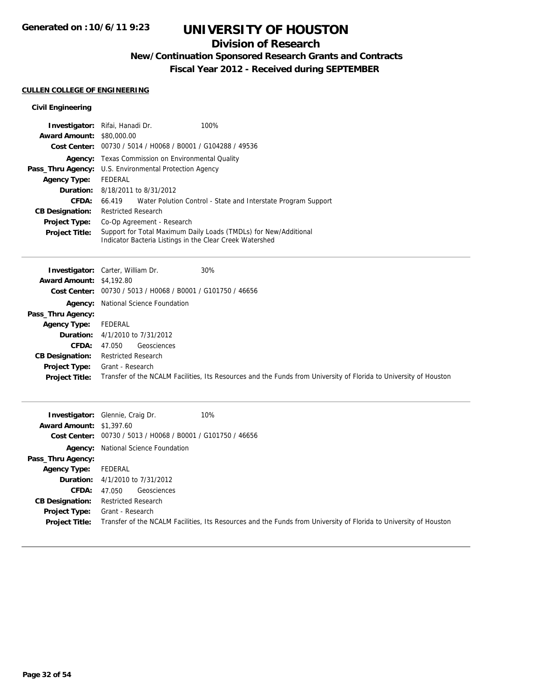## **Division of Research**

## **New/Continuation Sponsored Research Grants and Contracts**

**Fiscal Year 2012 - Received during SEPTEMBER**

### **CULLEN COLLEGE OF ENGINEERING**

| <b>Investigator:</b> Rifai, Hanadi Dr.<br><b>Award Amount: \$80,000.00</b> |                                                |                        | 100%                                                                                                                         |
|----------------------------------------------------------------------------|------------------------------------------------|------------------------|------------------------------------------------------------------------------------------------------------------------------|
|                                                                            |                                                |                        |                                                                                                                              |
| Cost Center:                                                               | 00730 / 5014 / H0068 / B0001 / G104288 / 49536 |                        |                                                                                                                              |
| Agency:                                                                    | Texas Commission on Environmental Quality      |                        |                                                                                                                              |
| Pass_Thru Agency:                                                          | U.S. Environmental Protection Agency           |                        |                                                                                                                              |
| <b>Agency Type:</b>                                                        | FFDFRAL                                        |                        |                                                                                                                              |
| <b>Duration:</b>                                                           |                                                | 8/18/2011 to 8/31/2012 |                                                                                                                              |
| CFDA:                                                                      | 66.419                                         |                        | Water Polution Control - State and Interstate Program Support                                                                |
| <b>CB Designation:</b>                                                     | <b>Restricted Research</b>                     |                        |                                                                                                                              |
| <b>Project Type:</b>                                                       | Co-Op Agreement - Research                     |                        |                                                                                                                              |
| <b>Project Title:</b>                                                      |                                                |                        | Support for Total Maximum Daily Loads (TMDLs) for New/Additional<br>Indicator Bacteria Listings in the Clear Creek Watershed |

|                                 | <b>Investigator:</b> Carter, William Dr.<br>30%                                                                   |
|---------------------------------|-------------------------------------------------------------------------------------------------------------------|
| <b>Award Amount: \$4,192.80</b> |                                                                                                                   |
|                                 | Cost Center: 00730 / 5013 / H0068 / B0001 / G101750 / 46656                                                       |
|                                 | <b>Agency:</b> National Science Foundation                                                                        |
| Pass_Thru Agency:               |                                                                                                                   |
| Agency Type:                    | FEDERAL                                                                                                           |
|                                 | <b>Duration:</b> 4/1/2010 to 7/31/2012                                                                            |
| <b>CFDA:</b>                    | Geosciences<br>47.050                                                                                             |
| <b>CB Designation:</b>          | <b>Restricted Research</b>                                                                                        |
| <b>Project Type:</b>            | Grant - Research                                                                                                  |
| <b>Project Title:</b>           | Transfer of the NCALM Facilities, Its Resources and the Funds from University of Florida to University of Houston |
|                                 |                                                                                                                   |

| <b>Award Amount: \$1,397.60</b><br>Cost Center: | 10%<br><b>Investigator:</b> Glennie, Craig Dr.<br>00730 / 5013 / H0068 / B0001 / G101750 / 46656                  |
|-------------------------------------------------|-------------------------------------------------------------------------------------------------------------------|
| Agency:                                         | National Science Foundation                                                                                       |
| Pass_Thru Agency:                               |                                                                                                                   |
| <b>Agency Type:</b>                             | FEDERAL                                                                                                           |
|                                                 | <b>Duration:</b> 4/1/2010 to 7/31/2012                                                                            |
| <b>CFDA:</b>                                    | Geosciences<br>47.050                                                                                             |
| <b>CB Designation:</b>                          | <b>Restricted Research</b>                                                                                        |
| <b>Project Type:</b>                            | Grant - Research                                                                                                  |
| <b>Project Title:</b>                           | Transfer of the NCALM Facilities, Its Resources and the Funds from University of Florida to University of Houston |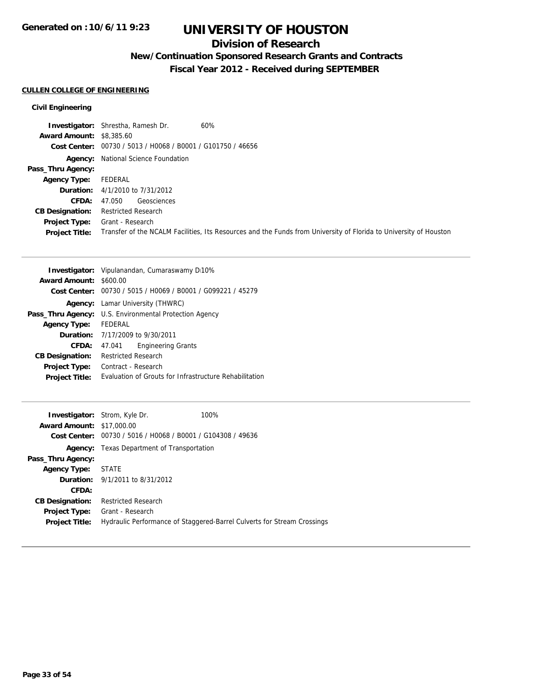## **Division of Research**

# **New/Continuation Sponsored Research Grants and Contracts**

**Fiscal Year 2012 - Received during SEPTEMBER**

### **CULLEN COLLEGE OF ENGINEERING**

|                                 | 60%<br><b>Investigator:</b> Shrestha, Ramesh Dr.                                                                  |
|---------------------------------|-------------------------------------------------------------------------------------------------------------------|
| <b>Award Amount: \$8,385.60</b> |                                                                                                                   |
|                                 | Cost Center: 00730 / 5013 / H0068 / B0001 / G101750 / 46656                                                       |
|                                 | <b>Agency:</b> National Science Foundation                                                                        |
| Pass_Thru Agency:               |                                                                                                                   |
| <b>Agency Type:</b>             | FEDERAL                                                                                                           |
|                                 | <b>Duration:</b> $4/1/2010$ to $7/31/2012$                                                                        |
| CFDA:                           | Geosciences<br>47.050                                                                                             |
| <b>CB Designation:</b>          | <b>Restricted Research</b>                                                                                        |
| <b>Project Type:</b>            | Grant - Research                                                                                                  |
| <b>Project Title:</b>           | Transfer of the NCALM Facilities, Its Resources and the Funds from University of Florida to University of Houston |

|                               | <b>Investigator:</b> Vipulanandan, Cumaraswamy D10%         |  |
|-------------------------------|-------------------------------------------------------------|--|
| <b>Award Amount: \$600.00</b> |                                                             |  |
|                               | Cost Center: 00730 / 5015 / H0069 / B0001 / G099221 / 45279 |  |
|                               | <b>Agency:</b> Lamar University (THWRC)                     |  |
|                               | Pass_Thru Agency: U.S. Environmental Protection Agency      |  |
| <b>Agency Type:</b>           | FEDERAL                                                     |  |
|                               | Duration: 7/17/2009 to 9/30/2011                            |  |
| CFDA:                         | <b>Engineering Grants</b><br>47.041                         |  |
| <b>CB Designation:</b>        | <b>Restricted Research</b>                                  |  |
| <b>Project Type:</b>          | Contract - Research                                         |  |
| <b>Project Title:</b>         | Evaluation of Grouts for Infrastructure Rehabilitation      |  |

|                                  | <b>Investigator:</b> Strom, Kyle Dr.                        | 100%                                                                    |
|----------------------------------|-------------------------------------------------------------|-------------------------------------------------------------------------|
| <b>Award Amount: \$17,000.00</b> |                                                             |                                                                         |
|                                  | Cost Center: 00730 / 5016 / H0068 / B0001 / G104308 / 49636 |                                                                         |
|                                  | <b>Agency:</b> Texas Department of Transportation           |                                                                         |
| Pass_Thru Agency:                |                                                             |                                                                         |
| <b>Agency Type: STATE</b>        |                                                             |                                                                         |
|                                  | <b>Duration:</b> 9/1/2011 to 8/31/2012                      |                                                                         |
| CFDA:                            |                                                             |                                                                         |
| <b>CB Designation:</b>           | <b>Restricted Research</b>                                  |                                                                         |
| Project Type:                    | Grant - Research                                            |                                                                         |
| <b>Project Title:</b>            |                                                             | Hydraulic Performance of Staggered-Barrel Culverts for Stream Crossings |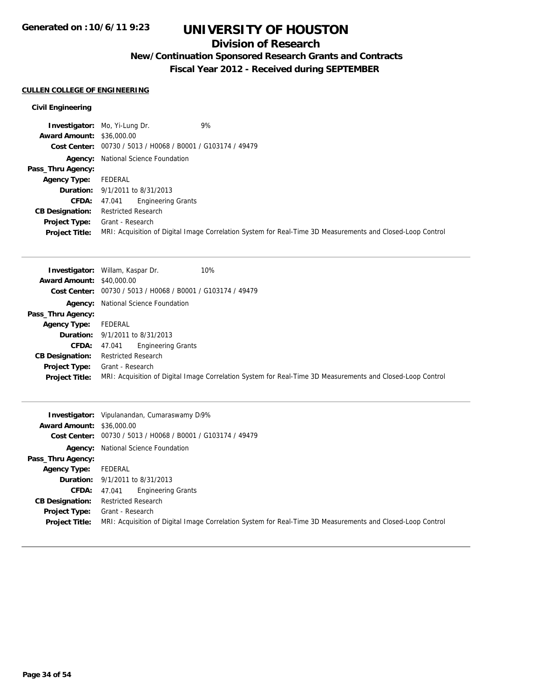## **Division of Research**

# **New/Continuation Sponsored Research Grants and Contracts**

**Fiscal Year 2012 - Received during SEPTEMBER**

### **CULLEN COLLEGE OF ENGINEERING**

|                                  | 9%<br><b>Investigator:</b> Mo, Yi-Lung Dr.                                                                 |
|----------------------------------|------------------------------------------------------------------------------------------------------------|
| <b>Award Amount: \$36,000.00</b> |                                                                                                            |
|                                  | Cost Center: 00730 / 5013 / H0068 / B0001 / G103174 / 49479                                                |
|                                  | <b>Agency:</b> National Science Foundation                                                                 |
| Pass_Thru Agency:                |                                                                                                            |
| <b>Agency Type:</b>              | FEDERAL                                                                                                    |
|                                  | <b>Duration:</b> 9/1/2011 to 8/31/2013                                                                     |
| CFDA:                            | <b>Engineering Grants</b><br>47.041                                                                        |
| <b>CB Designation:</b>           | <b>Restricted Research</b>                                                                                 |
| Project Type:                    | Grant - Research                                                                                           |
| <b>Project Title:</b>            | MRI: Acquisition of Digital Image Correlation System for Real-Time 3D Measurements and Closed-Loop Control |

|                                  | 10%<br><b>Investigator:</b> Willam, Kaspar Dr.                                                             |
|----------------------------------|------------------------------------------------------------------------------------------------------------|
| <b>Award Amount: \$40,000.00</b> |                                                                                                            |
|                                  | Cost Center: 00730 / 5013 / H0068 / B0001 / G103174 / 49479                                                |
|                                  | <b>Agency:</b> National Science Foundation                                                                 |
| Pass_Thru Agency:                |                                                                                                            |
| <b>Agency Type:</b>              | FEDERAL                                                                                                    |
|                                  | <b>Duration:</b> 9/1/2011 to 8/31/2013                                                                     |
| <b>CFDA:</b>                     | <b>Engineering Grants</b><br>47.041                                                                        |
| <b>CB Designation:</b>           | <b>Restricted Research</b>                                                                                 |
| <b>Project Type:</b>             | Grant - Research                                                                                           |
| <b>Project Title:</b>            | MRI: Acquisition of Digital Image Correlation System for Real-Time 3D Measurements and Closed-Loop Control |

|                                  | <b>Investigator:</b> Vipulanandan, Cumaraswamy DI9%                                                        |
|----------------------------------|------------------------------------------------------------------------------------------------------------|
| <b>Award Amount: \$36,000.00</b> |                                                                                                            |
|                                  | Cost Center: 00730 / 5013 / H0068 / B0001 / G103174 / 49479                                                |
|                                  | <b>Agency:</b> National Science Foundation                                                                 |
| Pass_Thru Agency:                |                                                                                                            |
| <b>Agency Type:</b>              | FEDERAL                                                                                                    |
|                                  | <b>Duration:</b> 9/1/2011 to 8/31/2013                                                                     |
| <b>CFDA:</b>                     | <b>Engineering Grants</b><br>47.041                                                                        |
| <b>CB Designation:</b>           | <b>Restricted Research</b>                                                                                 |
| Project Type:                    | Grant - Research                                                                                           |
| <b>Project Title:</b>            | MRI: Acquisition of Digital Image Correlation System for Real-Time 3D Measurements and Closed-Loop Control |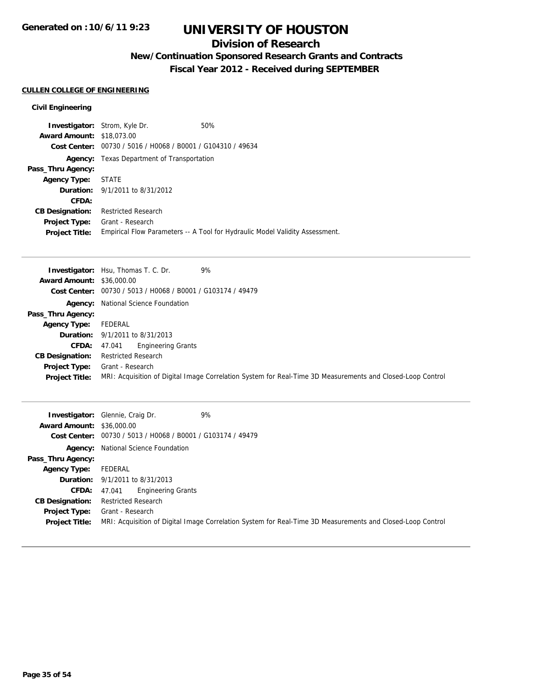## **Division of Research**

# **New/Continuation Sponsored Research Grants and Contracts**

**Fiscal Year 2012 - Received during SEPTEMBER**

### **CULLEN COLLEGE OF ENGINEERING**

|                                  | <b>Investigator:</b> Strom, Kyle Dr.              | 50%                                                                          |
|----------------------------------|---------------------------------------------------|------------------------------------------------------------------------------|
| <b>Award Amount: \$18,073,00</b> |                                                   |                                                                              |
| <b>Cost Center:</b>              | 00730 / 5016 / H0068 / B0001 / G104310 / 49634    |                                                                              |
|                                  | <b>Agency:</b> Texas Department of Transportation |                                                                              |
| Pass_Thru Agency:                |                                                   |                                                                              |
| Agency Type: STATE               |                                                   |                                                                              |
|                                  | <b>Duration:</b> 9/1/2011 to 8/31/2012            |                                                                              |
| CFDA:                            |                                                   |                                                                              |
| <b>CB Designation:</b>           | <b>Restricted Research</b>                        |                                                                              |
| Project Type:                    | Grant - Research                                  |                                                                              |
| <b>Project Title:</b>            |                                                   | Empirical Flow Parameters -- A Tool for Hydraulic Model Validity Assessment. |

|                                  | 9%<br><b>Investigator:</b> Hsu, Thomas T. C. Dr.                                                           |
|----------------------------------|------------------------------------------------------------------------------------------------------------|
| <b>Award Amount: \$36,000.00</b> |                                                                                                            |
|                                  | Cost Center: $00730 / 5013 / 40068 / 80001 / 6103174 / 49479$                                              |
|                                  | <b>Agency:</b> National Science Foundation                                                                 |
| Pass_Thru Agency:                |                                                                                                            |
| <b>Agency Type:</b>              | FEDERAL                                                                                                    |
|                                  | <b>Duration:</b> 9/1/2011 to 8/31/2013                                                                     |
| <b>CFDA:</b>                     | <b>Engineering Grants</b><br>47.041                                                                        |
| <b>CB Designation:</b>           | <b>Restricted Research</b>                                                                                 |
| Project Type:                    | Grant - Research                                                                                           |
| <b>Project Title:</b>            | MRI: Acquisition of Digital Image Correlation System for Real-Time 3D Measurements and Closed-Loop Control |

| <b>Award Amount: \$36,000.00</b>              | 9%<br><b>Investigator:</b> Glennie, Craig Dr.                                                                                  |
|-----------------------------------------------|--------------------------------------------------------------------------------------------------------------------------------|
|                                               | Cost Center: 00730 / 5013 / H0068 / B0001 / G103174 / 49479                                                                    |
|                                               | <b>Agency:</b> National Science Foundation                                                                                     |
| Pass_Thru Agency:                             |                                                                                                                                |
| <b>Agency Type:</b>                           | FEDERAL                                                                                                                        |
|                                               | <b>Duration:</b> 9/1/2011 to 8/31/2013                                                                                         |
| <b>CFDA:</b>                                  | <b>Engineering Grants</b><br>47.041                                                                                            |
| <b>CB Designation:</b>                        | <b>Restricted Research</b>                                                                                                     |
| <b>Project Type:</b><br><b>Project Title:</b> | Grant - Research<br>MRI: Acquisition of Digital Image Correlation System for Real-Time 3D Measurements and Closed-Loop Control |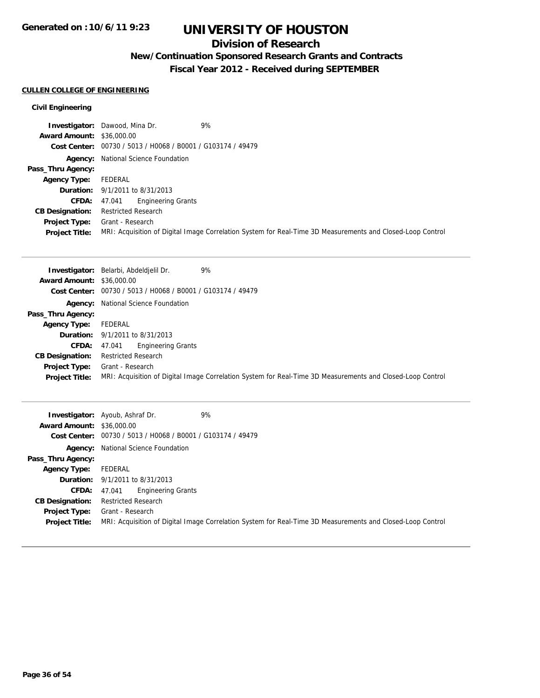## **Division of Research**

# **New/Continuation Sponsored Research Grants and Contracts**

**Fiscal Year 2012 - Received during SEPTEMBER**

### **CULLEN COLLEGE OF ENGINEERING**

|                                  | 9%<br><b>Investigator:</b> Dawood, Mina Dr.                                                                |
|----------------------------------|------------------------------------------------------------------------------------------------------------|
| <b>Award Amount: \$36,000.00</b> |                                                                                                            |
|                                  | Cost Center: 00730 / 5013 / H0068 / B0001 / G103174 / 49479                                                |
|                                  | <b>Agency:</b> National Science Foundation                                                                 |
| Pass_Thru Agency:                |                                                                                                            |
| <b>Agency Type:</b>              | FEDERAL                                                                                                    |
|                                  | <b>Duration:</b> 9/1/2011 to 8/31/2013                                                                     |
| CFDA:                            | <b>Engineering Grants</b><br>47.041                                                                        |
| <b>CB Designation:</b>           | <b>Restricted Research</b>                                                                                 |
| Project Type:                    | Grant - Research                                                                                           |
| <b>Project Title:</b>            | MRI: Acquisition of Digital Image Correlation System for Real-Time 3D Measurements and Closed-Loop Control |

|                                  | 9%<br><b>Investigator:</b> Belarbi, Abdeldielil Dr.                                                        |  |
|----------------------------------|------------------------------------------------------------------------------------------------------------|--|
| <b>Award Amount: \$36,000.00</b> |                                                                                                            |  |
|                                  | Cost Center: 00730 / 5013 / H0068 / B0001 / G103174 / 49479                                                |  |
|                                  | <b>Agency:</b> National Science Foundation                                                                 |  |
| Pass_Thru Agency:                |                                                                                                            |  |
| <b>Agency Type:</b>              | FEDERAL                                                                                                    |  |
|                                  | <b>Duration:</b> 9/1/2011 to 8/31/2013                                                                     |  |
| <b>CFDA:</b>                     | <b>Engineering Grants</b><br>47.041                                                                        |  |
| <b>CB Designation:</b>           | <b>Restricted Research</b>                                                                                 |  |
| Project Type:                    | Grant - Research                                                                                           |  |
| <b>Project Title:</b>            | MRI: Acquisition of Digital Image Correlation System for Real-Time 3D Measurements and Closed-Loop Control |  |

| <b>Award Amount: \$36,000.00</b> | 9%<br><b>Investigator:</b> Ayoub, Ashraf Dr.                                                               |  |
|----------------------------------|------------------------------------------------------------------------------------------------------------|--|
|                                  | Cost Center: 00730 / 5013 / H0068 / B0001 / G103174 / 49479                                                |  |
|                                  | <b>Agency:</b> National Science Foundation                                                                 |  |
| Pass_Thru Agency:                |                                                                                                            |  |
| <b>Agency Type:</b>              | FEDERAL                                                                                                    |  |
|                                  | <b>Duration:</b> $9/1/2011$ to $8/31/2013$                                                                 |  |
| <b>CFDA:</b>                     | <b>Engineering Grants</b><br>47.041                                                                        |  |
| <b>CB Designation:</b>           | <b>Restricted Research</b>                                                                                 |  |
| <b>Project Type:</b>             | Grant - Research                                                                                           |  |
| <b>Project Title:</b>            | MRI: Acquisition of Digital Image Correlation System for Real-Time 3D Measurements and Closed-Loop Control |  |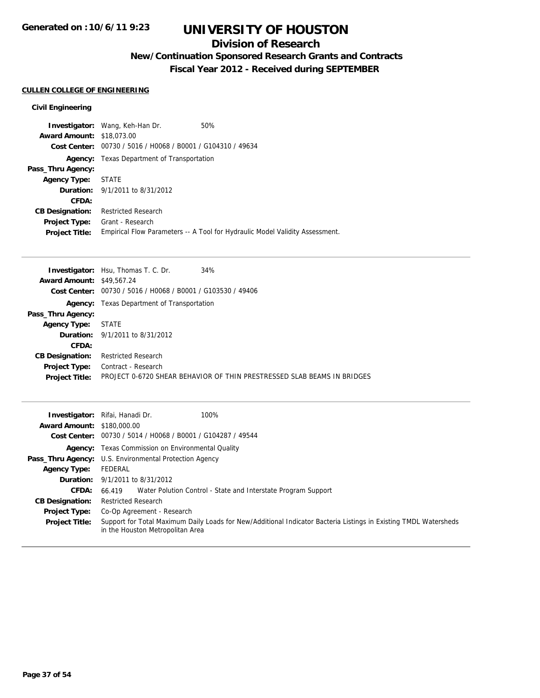## **Division of Research**

# **New/Continuation Sponsored Research Grants and Contracts**

**Fiscal Year 2012 - Received during SEPTEMBER**

### **CULLEN COLLEGE OF ENGINEERING**

|                                  | <b>Investigator:</b> Wang, Keh-Han Dr.            | 50%                                                                          |  |
|----------------------------------|---------------------------------------------------|------------------------------------------------------------------------------|--|
| <b>Award Amount: \$18,073,00</b> |                                                   |                                                                              |  |
| <b>Cost Center:</b>              | 00730 / 5016 / H0068 / B0001 / G104310 / 49634    |                                                                              |  |
|                                  | <b>Agency:</b> Texas Department of Transportation |                                                                              |  |
| Pass_Thru Agency:                |                                                   |                                                                              |  |
| <b>Agency Type: STATE</b>        |                                                   |                                                                              |  |
|                                  | <b>Duration:</b> 9/1/2011 to 8/31/2012            |                                                                              |  |
| CFDA:                            |                                                   |                                                                              |  |
| <b>CB Designation:</b>           | <b>Restricted Research</b>                        |                                                                              |  |
| Project Type:                    | Grant - Research                                  |                                                                              |  |
| <b>Project Title:</b>            |                                                   | Empirical Flow Parameters -- A Tool for Hydraulic Model Validity Assessment. |  |

| <b>Award Amount: \$49,567.24</b>                                                                 |  |
|--------------------------------------------------------------------------------------------------|--|
|                                                                                                  |  |
| Cost Center: 00730 / 5016 / H0068 / B0001 / G103530 / 49406                                      |  |
| <b>Agency:</b> Texas Department of Transportation                                                |  |
| Pass_Thru Agency:                                                                                |  |
| STATE<br><b>Agency Type:</b>                                                                     |  |
| <b>Duration:</b> $9/1/2011$ to $8/31/2012$                                                       |  |
| CFDA:                                                                                            |  |
| <b>Restricted Research</b><br><b>CB Designation:</b>                                             |  |
| Contract - Research<br><b>Project Type:</b>                                                      |  |
| PROJECT 0-6720 SHEAR BEHAVIOR OF THIN PRESTRESSED SLAB BEAMS IN BRIDGES<br><b>Project Title:</b> |  |

| <b>Award Amount: \$180,000.00</b> | 100%<br><b>Investigator:</b> Rifai, Hanadi Dr.                                                                                                       |  |
|-----------------------------------|------------------------------------------------------------------------------------------------------------------------------------------------------|--|
|                                   |                                                                                                                                                      |  |
| <b>Cost Center:</b>               | 00730 / 5014 / H0068 / B0001 / G104287 / 49544                                                                                                       |  |
|                                   | <b>Agency:</b> Texas Commission on Environmental Quality                                                                                             |  |
|                                   | <b>Pass_Thru Agency:</b> U.S. Environmental Protection Agency                                                                                        |  |
| <b>Agency Type:</b>               | FEDERAL                                                                                                                                              |  |
|                                   | <b>Duration:</b> 9/1/2011 to 8/31/2012                                                                                                               |  |
| <b>CFDA:</b>                      | 66.419 Water Polution Control - State and Interstate Program Support                                                                                 |  |
| <b>CB Designation:</b>            | <b>Restricted Research</b>                                                                                                                           |  |
| <b>Project Type:</b>              | Co-Op Agreement - Research                                                                                                                           |  |
| <b>Project Title:</b>             | Support for Total Maximum Daily Loads for New/Additional Indicator Bacteria Listings in Existing TMDL Watersheds<br>in the Houston Metropolitan Area |  |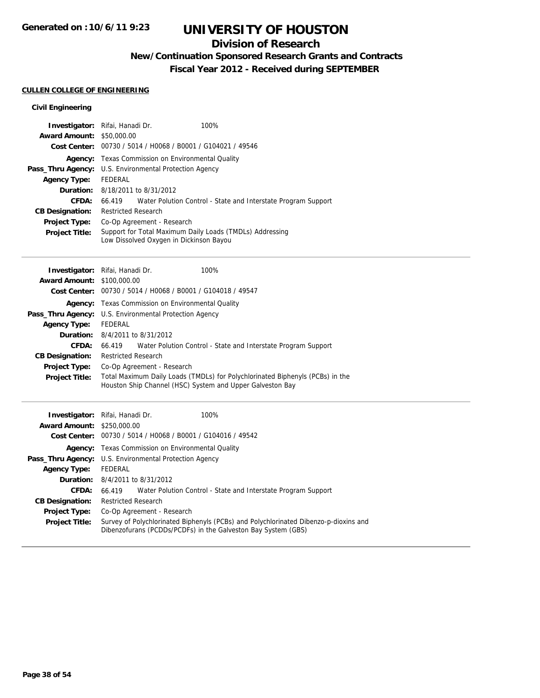## **Division of Research**

## **New/Continuation Sponsored Research Grants and Contracts**

**Fiscal Year 2012 - Received during SEPTEMBER**

### **CULLEN COLLEGE OF ENGINEERING**

| <b>Investigator:</b> Rifai, Hanadi Dr.<br><b>Award Amount: \$50,000.00</b> |                                                                                                     |  | 100%                                                          |
|----------------------------------------------------------------------------|-----------------------------------------------------------------------------------------------------|--|---------------------------------------------------------------|
|                                                                            | Cost Center: 00730 / 5014 / H0068 / B0001 / G104021 / 49546                                         |  |                                                               |
|                                                                            | <b>Agency:</b> Texas Commission on Environmental Quality                                            |  |                                                               |
| Pass_Thru Agency:                                                          | U.S. Environmental Protection Agency                                                                |  |                                                               |
| <b>Agency Type:</b>                                                        | FEDERAL                                                                                             |  |                                                               |
|                                                                            | <b>Duration:</b> 8/18/2011 to 8/31/2012                                                             |  |                                                               |
| CFDA:                                                                      | 66.419                                                                                              |  | Water Polution Control - State and Interstate Program Support |
| <b>CB Designation:</b>                                                     | <b>Restricted Research</b>                                                                          |  |                                                               |
| <b>Project Type:</b>                                                       | Co-Op Agreement - Research                                                                          |  |                                                               |
| <b>Project Title:</b>                                                      | Support for Total Maximum Daily Loads (TMDLs) Addressing<br>Low Dissolved Oxygen in Dickinson Bayou |  |                                                               |

|                                   | Investigator: Rifai, Hanadi Dr.<br>100%                                                                                                    |  |  |
|-----------------------------------|--------------------------------------------------------------------------------------------------------------------------------------------|--|--|
| <b>Award Amount: \$100,000.00</b> |                                                                                                                                            |  |  |
|                                   | Cost Center: 00730 / 5014 / H0068 / B0001 / G104018 / 49547                                                                                |  |  |
| Agency:                           | Texas Commission on Environmental Quality                                                                                                  |  |  |
| Pass_Thru Agency:                 | U.S. Environmental Protection Agency                                                                                                       |  |  |
| <b>Agency Type:</b>               | FEDERAL                                                                                                                                    |  |  |
|                                   | <b>Duration:</b> 8/4/2011 to 8/31/2012                                                                                                     |  |  |
| CFDA:                             | Water Polution Control - State and Interstate Program Support<br>66.419                                                                    |  |  |
| <b>CB Designation:</b>            | <b>Restricted Research</b>                                                                                                                 |  |  |
| <b>Project Type:</b>              | Co-Op Agreement - Research                                                                                                                 |  |  |
| <b>Project Title:</b>             | Total Maximum Daily Loads (TMDLs) for Polychlorinated Biphenyls (PCBs) in the<br>Houston Ship Channel (HSC) System and Upper Galveston Bay |  |  |

|                                   | 100%<br><b>Investigator:</b> Rifai, Hanadi Dr.                                                                                                        |  |  |
|-----------------------------------|-------------------------------------------------------------------------------------------------------------------------------------------------------|--|--|
| <b>Award Amount: \$250,000.00</b> |                                                                                                                                                       |  |  |
|                                   | Cost Center: 00730 / 5014 / H0068 / B0001 / G104016 / 49542                                                                                           |  |  |
|                                   | <b>Agency:</b> Texas Commission on Environmental Quality                                                                                              |  |  |
|                                   | <b>Pass_Thru Agency:</b> U.S. Environmental Protection Agency                                                                                         |  |  |
| <b>Agency Type:</b>               | FEDERAL                                                                                                                                               |  |  |
|                                   | <b>Duration:</b> 8/4/2011 to 8/31/2012                                                                                                                |  |  |
| <b>CFDA:</b>                      | Water Polution Control - State and Interstate Program Support<br>66.419                                                                               |  |  |
| <b>CB Designation:</b>            | <b>Restricted Research</b>                                                                                                                            |  |  |
| <b>Project Type:</b>              | Co-Op Agreement - Research                                                                                                                            |  |  |
| <b>Project Title:</b>             | Survey of Polychlorinated Biphenyls (PCBs) and Polychlorinated Dibenzo-p-dioxins and<br>Dibenzofurans (PCDDs/PCDFs) in the Galveston Bay System (GBS) |  |  |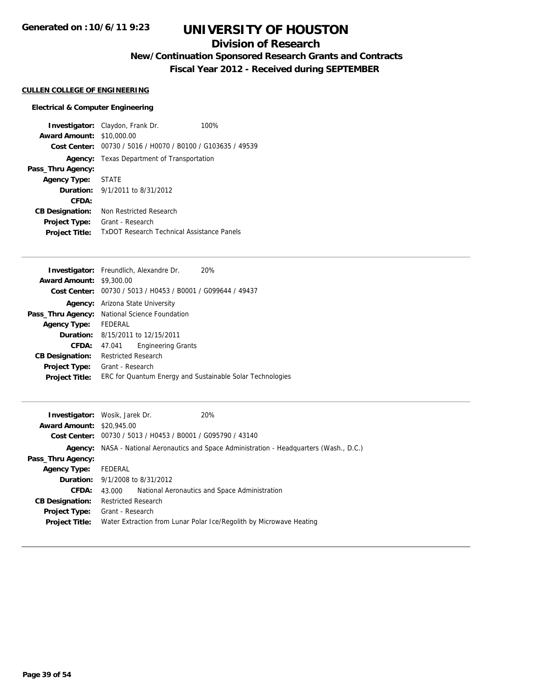## **Division of Research**

## **New/Continuation Sponsored Research Grants and Contracts**

**Fiscal Year 2012 - Received during SEPTEMBER**

#### **CULLEN COLLEGE OF ENGINEERING**

#### **Electrical & Computer Engineering**

**Investigator:** Claydon, Frank Dr. 100% **Award Amount:** \$10,000.00 **Cost Center:** 00730 / 5016 / H0070 / B0100 / G103635 / 49539 **Agency:** Texas Department of Transportation **Pass\_Thru Agency: Agency Type:** STATE **Duration:** 9/1/2011 to 8/31/2012 **CFDA: CB Designation:** Non Restricted Research **Project Type:** Grant - Research **Project Title:** TxDOT Research Technical Assistance Panels

|                        | <b>Investigator:</b> Freundlich, Alexandre Dr.<br>20%       |  |  |
|------------------------|-------------------------------------------------------------|--|--|
| <b>Award Amount:</b>   | \$9,300.00                                                  |  |  |
|                        | Cost Center: 00730 / 5013 / H0453 / B0001 / G099644 / 49437 |  |  |
|                        | <b>Agency:</b> Arizona State University                     |  |  |
|                        | Pass_Thru Agency: National Science Foundation               |  |  |
| <b>Agency Type:</b>    | FEDERAL                                                     |  |  |
|                        | <b>Duration:</b> 8/15/2011 to 12/15/2011                    |  |  |
| CFDA:                  | <b>Engineering Grants</b><br>47.041                         |  |  |
| <b>CB Designation:</b> | <b>Restricted Research</b>                                  |  |  |
| Project Type:          | Grant - Research                                            |  |  |
| <b>Project Title:</b>  | ERC for Quantum Energy and Sustainable Solar Technologies   |  |  |
|                        |                                                             |  |  |

|                                  | <b>Investigator:</b> Wosik, Jarek Dr.                       | 20%                                                                                              |
|----------------------------------|-------------------------------------------------------------|--------------------------------------------------------------------------------------------------|
| <b>Award Amount: \$20,945.00</b> |                                                             |                                                                                                  |
|                                  | Cost Center: 00730 / 5013 / H0453 / B0001 / G095790 / 43140 |                                                                                                  |
|                                  |                                                             | <b>Agency:</b> NASA - National Aeronautics and Space Administration - Headquarters (Wash., D.C.) |
| Pass_Thru Agency:                |                                                             |                                                                                                  |
| <b>Agency Type:</b>              | FEDERAL                                                     |                                                                                                  |
|                                  | <b>Duration:</b> 9/1/2008 to 8/31/2012                      |                                                                                                  |
| CFDA:                            | 43.000                                                      | National Aeronautics and Space Administration                                                    |
| <b>CB Designation:</b>           | <b>Restricted Research</b>                                  |                                                                                                  |
| Project Type:                    | Grant - Research                                            |                                                                                                  |
| <b>Project Title:</b>            |                                                             | Water Extraction from Lunar Polar Ice/Regolith by Microwave Heating                              |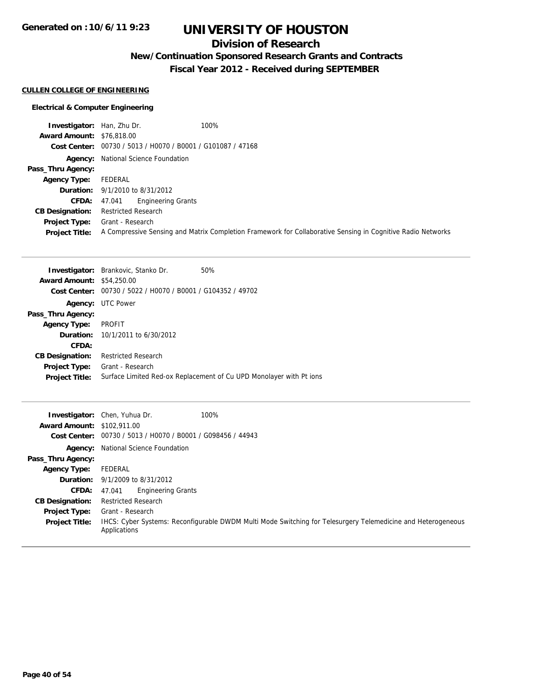## **Division of Research**

## **New/Continuation Sponsored Research Grants and Contracts**

**Fiscal Year 2012 - Received during SEPTEMBER**

## **CULLEN COLLEGE OF ENGINEERING**

### **Electrical & Computer Engineering**

| <b>Investigator:</b> Han, Zhu Dr. | 100%                                                                                                        |  |
|-----------------------------------|-------------------------------------------------------------------------------------------------------------|--|
| <b>Award Amount: \$76,818,00</b>  |                                                                                                             |  |
|                                   | Cost Center: 00730 / 5013 / H0070 / B0001 / G101087 / 47168                                                 |  |
|                                   | <b>Agency:</b> National Science Foundation                                                                  |  |
| Pass_Thru Agency:                 |                                                                                                             |  |
| <b>Agency Type:</b>               | FEDERAL                                                                                                     |  |
|                                   | <b>Duration:</b> 9/1/2010 to 8/31/2012                                                                      |  |
| <b>CFDA:</b>                      | <b>Engineering Grants</b><br>47.041                                                                         |  |
| <b>CB Designation:</b>            | <b>Restricted Research</b>                                                                                  |  |
| <b>Project Type:</b>              | Grant - Research                                                                                            |  |
| <b>Project Title:</b>             | A Compressive Sensing and Matrix Completion Framework for Collaborative Sensing in Cognitive Radio Networks |  |

|                                                             | 50%                                                                                                                                                       |
|-------------------------------------------------------------|-----------------------------------------------------------------------------------------------------------------------------------------------------------|
|                                                             |                                                                                                                                                           |
| Cost Center: 00730 / 5022 / H0070 / B0001 / G104352 / 49702 |                                                                                                                                                           |
|                                                             |                                                                                                                                                           |
|                                                             |                                                                                                                                                           |
| <b>PROFIT</b>                                               |                                                                                                                                                           |
|                                                             |                                                                                                                                                           |
|                                                             |                                                                                                                                                           |
| <b>Restricted Research</b>                                  |                                                                                                                                                           |
| Grant - Research                                            |                                                                                                                                                           |
|                                                             | Surface Limited Red-ox Replacement of Cu UPD Monolayer with Pt ions                                                                                       |
|                                                             | <b>Investigator:</b> Brankovic, Stanko Dr.<br><b>Award Amount: \$54,250.00</b><br><b>Agency: UTC Power</b><br><b>Duration:</b> $10/1/2011$ to $6/30/2012$ |

| <b>Award Amount: \$102,911.00</b> | 100%<br><b>Investigator:</b> Chen, Yuhua Dr.                                                                                        |  |
|-----------------------------------|-------------------------------------------------------------------------------------------------------------------------------------|--|
| Cost Center:                      | 00730 / 5013 / H0070 / B0001 / G098456 / 44943                                                                                      |  |
| Agency:                           | National Science Foundation                                                                                                         |  |
| Pass_Thru Agency:                 |                                                                                                                                     |  |
| <b>Agency Type:</b>               | FEDERAL                                                                                                                             |  |
|                                   | <b>Duration:</b> 9/1/2009 to 8/31/2012                                                                                              |  |
| <b>CFDA:</b>                      | <b>Engineering Grants</b><br>47.041                                                                                                 |  |
| <b>CB Designation:</b>            | <b>Restricted Research</b>                                                                                                          |  |
| <b>Project Type:</b>              | Grant - Research                                                                                                                    |  |
| <b>Project Title:</b>             | <b>IHCS:</b> Cyber Systems: Reconfigurable DWDM Multi Mode Switching for Telesurgery Telemedicine and Heterogeneous<br>Applications |  |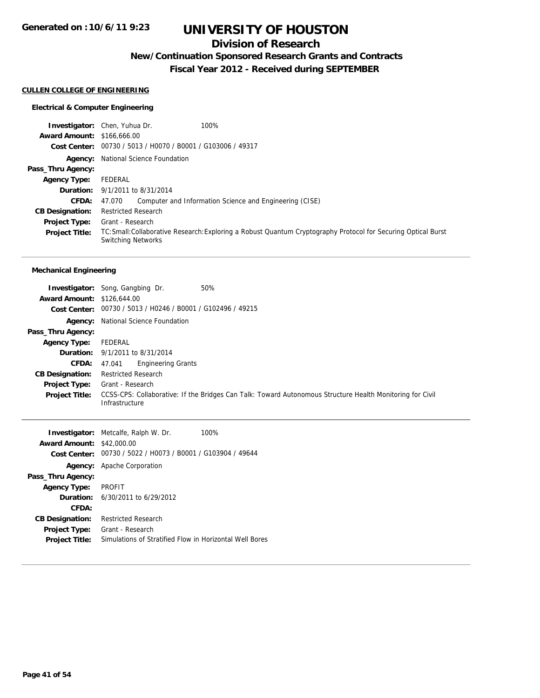## **Division of Research**

**New/Continuation Sponsored Research Grants and Contracts**

**Fiscal Year 2012 - Received during SEPTEMBER**

#### **CULLEN COLLEGE OF ENGINEERING**

### **Electrical & Computer Engineering**

|                                   | 100%<br><b>Investigator:</b> Chen, Yuhua Dr.                                                                                                |  |
|-----------------------------------|---------------------------------------------------------------------------------------------------------------------------------------------|--|
| <b>Award Amount: \$166,666,00</b> |                                                                                                                                             |  |
|                                   | Cost Center: 00730 / 5013 / H0070 / B0001 / G103006 / 49317                                                                                 |  |
|                                   | Agency: National Science Foundation                                                                                                         |  |
| Pass_Thru Agency:                 |                                                                                                                                             |  |
| <b>Agency Type:</b>               | FEDERAL                                                                                                                                     |  |
|                                   | <b>Duration:</b> 9/1/2011 to 8/31/2014                                                                                                      |  |
| <b>CFDA:</b>                      | Computer and Information Science and Engineering (CISE)<br>47.070                                                                           |  |
| <b>CB Designation:</b>            | <b>Restricted Research</b>                                                                                                                  |  |
| <b>Project Type:</b>              | Grant - Research                                                                                                                            |  |
| <b>Project Title:</b>             | TC: Small: Collaborative Research: Exploring a Robust Quantum Cryptography Protocol for Securing Optical Burst<br><b>Switching Networks</b> |  |

### **Mechanical Engineering**

|                                   | 50%<br><b>Investigator:</b> Song, Gangbing Dr.                                                                              |  |
|-----------------------------------|-----------------------------------------------------------------------------------------------------------------------------|--|
| <b>Award Amount: \$126,644,00</b> |                                                                                                                             |  |
|                                   | Cost Center: 00730 / 5013 / H0246 / B0001 / G102496 / 49215                                                                 |  |
|                                   | <b>Agency:</b> National Science Foundation                                                                                  |  |
| Pass_Thru Agency:                 |                                                                                                                             |  |
| <b>Agency Type:</b>               | FEDERAL                                                                                                                     |  |
|                                   | <b>Duration:</b> 9/1/2011 to 8/31/2014                                                                                      |  |
| CFDA:                             | <b>Engineering Grants</b><br>47.041                                                                                         |  |
| <b>CB Designation:</b>            | <b>Restricted Research</b>                                                                                                  |  |
| <b>Project Type:</b>              | Grant - Research                                                                                                            |  |
| <b>Project Title:</b>             | CCSS-CPS: Collaborative: If the Bridges Can Talk: Toward Autonomous Structure Health Monitoring for Civil<br>Infrastructure |  |

| <b>Investigator:</b> Metcalfe, Ralph W. Dr.<br>100%         |
|-------------------------------------------------------------|
| <b>Award Amount:</b><br>\$42,000.00                         |
| Cost Center: 00730 / 5022 / H0073 / B0001 / G103904 / 49644 |
| <b>Agency:</b> Apache Corporation                           |
|                                                             |
| <b>PROFIT</b>                                               |
| <b>Duration:</b> 6/30/2011 to 6/29/2012                     |
|                                                             |
| <b>Restricted Research</b>                                  |
| Grant - Research                                            |
| Simulations of Stratified Flow in Horizontal Well Bores     |
|                                                             |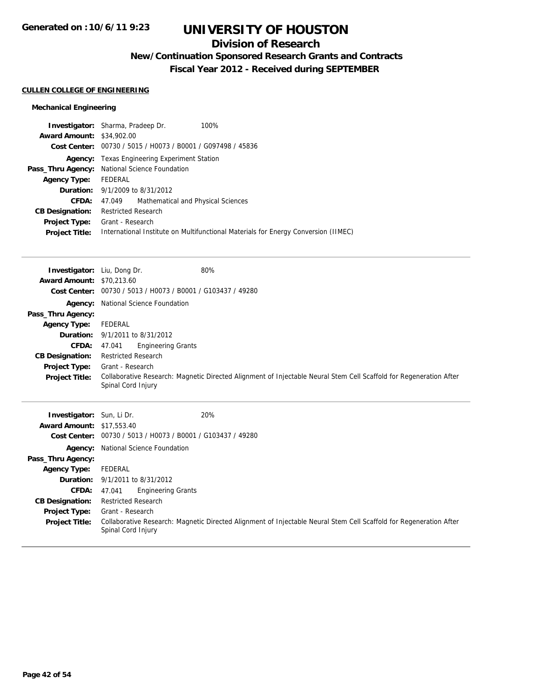## **Division of Research**

**New/Continuation Sponsored Research Grants and Contracts**

**Fiscal Year 2012 - Received during SEPTEMBER**

### **CULLEN COLLEGE OF ENGINEERING**

#### **Mechanical Engineering**

|                                  | 100%<br><b>Investigator:</b> Sharma, Pradeep Dr.                                   |  |
|----------------------------------|------------------------------------------------------------------------------------|--|
| <b>Award Amount: \$34,902.00</b> |                                                                                    |  |
|                                  | Cost Center: 00730 / 5015 / H0073 / B0001 / G097498 / 45836                        |  |
|                                  | <b>Agency:</b> Texas Engineering Experiment Station                                |  |
|                                  | <b>Pass_Thru Agency:</b> National Science Foundation                               |  |
| <b>Agency Type:</b>              | FEDERAL                                                                            |  |
|                                  | <b>Duration:</b> 9/1/2009 to 8/31/2012                                             |  |
| CFDA:                            | Mathematical and Physical Sciences<br>47.049                                       |  |
| <b>CB Designation:</b>           | <b>Restricted Research</b>                                                         |  |
| <b>Project Type:</b>             | Grant - Research                                                                   |  |
| <b>Project Title:</b>            | International Institute on Multifunctional Materials for Energy Conversion (IIMEC) |  |
|                                  |                                                                                    |  |

| <b>Investigator:</b> Liu, Dong Dr. |                                                             | 80%                                                                                                                |  |
|------------------------------------|-------------------------------------------------------------|--------------------------------------------------------------------------------------------------------------------|--|
| <b>Award Amount: \$70,213.60</b>   |                                                             |                                                                                                                    |  |
|                                    | Cost Center: 00730 / 5013 / H0073 / B0001 / G103437 / 49280 |                                                                                                                    |  |
|                                    | Agency: National Science Foundation                         |                                                                                                                    |  |
| Pass_Thru Agency:                  |                                                             |                                                                                                                    |  |
| <b>Agency Type:</b>                | FEDERAL                                                     |                                                                                                                    |  |
|                                    | <b>Duration:</b> 9/1/2011 to 8/31/2012                      |                                                                                                                    |  |
| <b>CFDA:</b>                       | <b>Engineering Grants</b><br>47.041                         |                                                                                                                    |  |
| <b>CB Designation:</b>             | <b>Restricted Research</b>                                  |                                                                                                                    |  |
| Project Type:                      | Grant - Research                                            |                                                                                                                    |  |
| <b>Project Title:</b>              | Spinal Cord Injury                                          | Collaborative Research: Magnetic Directed Alignment of Injectable Neural Stem Cell Scaffold for Regeneration After |  |
| <b>Investigator:</b> Sun, Li Dr.   |                                                             | 20%                                                                                                                |  |
| <b>Award Amount: \$17,553.40</b>   |                                                             |                                                                                                                    |  |
| <b>Cost Center:</b>                | 00730 / 5013 / H0073 / B0001 / G103437 / 49280              |                                                                                                                    |  |
|                                    | <b>Agency:</b> National Science Foundation                  |                                                                                                                    |  |

**Project Title:** Collaborative Research: Magnetic Directed Alignment of Injectable Neural Stem Cell Scaffold for Regeneration After

**Pass\_Thru Agency:**

**Agency Type:** FEDERAL

**CB Designation:** Restricted Research **Project Type:** Grant - Research

**Duration:** 9/1/2011 to 8/31/2012

**CFDA:** 47.041 Engineering Grants

Spinal Cord Injury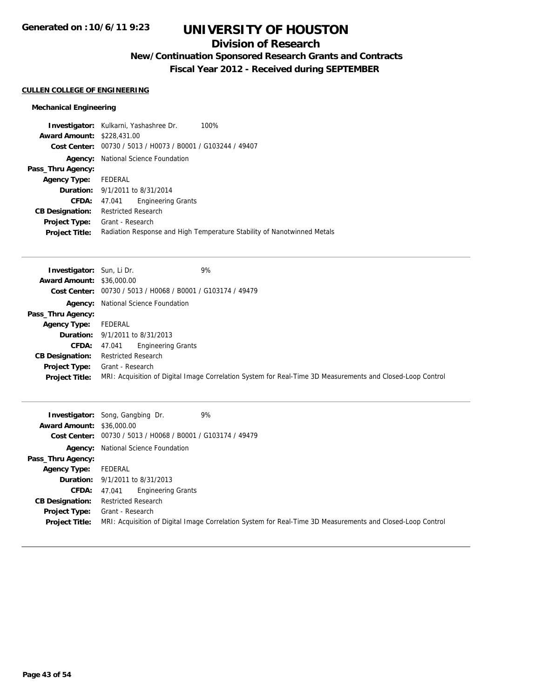## **Division of Research**

# **New/Continuation Sponsored Research Grants and Contracts**

**Fiscal Year 2012 - Received during SEPTEMBER**

### **CULLEN COLLEGE OF ENGINEERING**

### **Mechanical Engineering**

|                                   | Investigator: Kulkarni, Yashashree Dr.                      | 100%                                                                    |
|-----------------------------------|-------------------------------------------------------------|-------------------------------------------------------------------------|
| <b>Award Amount: \$228,431.00</b> |                                                             |                                                                         |
|                                   | Cost Center: 00730 / 5013 / H0073 / B0001 / G103244 / 49407 |                                                                         |
|                                   | <b>Agency:</b> National Science Foundation                  |                                                                         |
| Pass_Thru Agency:                 |                                                             |                                                                         |
| Agency Type:                      | FEDERAL                                                     |                                                                         |
|                                   | <b>Duration:</b> 9/1/2011 to 8/31/2014                      |                                                                         |
| CFDA:                             | <b>Engineering Grants</b><br>47.041                         |                                                                         |
| <b>CB Designation:</b>            | <b>Restricted Research</b>                                  |                                                                         |
| Project Type:                     | Grant - Research                                            |                                                                         |
| <b>Project Title:</b>             |                                                             | Radiation Response and High Temperature Stability of Nanotwinned Metals |

| <b>Investigator:</b> Sun, Li Dr. | 9%                                                                                                         |  |
|----------------------------------|------------------------------------------------------------------------------------------------------------|--|
| <b>Award Amount: \$36,000.00</b> |                                                                                                            |  |
|                                  | Cost Center: 00730 / 5013 / H0068 / B0001 / G103174 / 49479                                                |  |
|                                  | <b>Agency:</b> National Science Foundation                                                                 |  |
| Pass_Thru Agency:                |                                                                                                            |  |
| <b>Agency Type:</b>              | FEDERAL                                                                                                    |  |
|                                  | <b>Duration:</b> 9/1/2011 to 8/31/2013                                                                     |  |
| <b>CFDA:</b>                     | <b>Engineering Grants</b><br>47.041                                                                        |  |
| <b>CB Designation:</b>           | <b>Restricted Research</b>                                                                                 |  |
| <b>Project Type:</b>             | Grant - Research                                                                                           |  |
| <b>Project Title:</b>            | MRI: Acquisition of Digital Image Correlation System for Real-Time 3D Measurements and Closed-Loop Control |  |

| <b>Award Amount: \$36,000.00</b> | 9%<br><b>Investigator:</b> Song, Gangbing Dr.<br>Cost Center: 00730 / 5013 / H0068 / B0001 / G103174 / 49479 |  |
|----------------------------------|--------------------------------------------------------------------------------------------------------------|--|
|                                  |                                                                                                              |  |
|                                  | <b>Agency:</b> National Science Foundation                                                                   |  |
| Pass_Thru Agency:                |                                                                                                              |  |
| <b>Agency Type:</b>              | FEDERAL                                                                                                      |  |
|                                  | <b>Duration:</b> $9/1/2011$ to $8/31/2013$                                                                   |  |
| <b>CFDA:</b>                     | <b>Engineering Grants</b><br>47.041                                                                          |  |
| <b>CB Designation:</b>           | <b>Restricted Research</b>                                                                                   |  |
| <b>Project Type:</b>             | Grant - Research                                                                                             |  |
| <b>Project Title:</b>            | MRI: Acquisition of Digital Image Correlation System for Real-Time 3D Measurements and Closed-Loop Control   |  |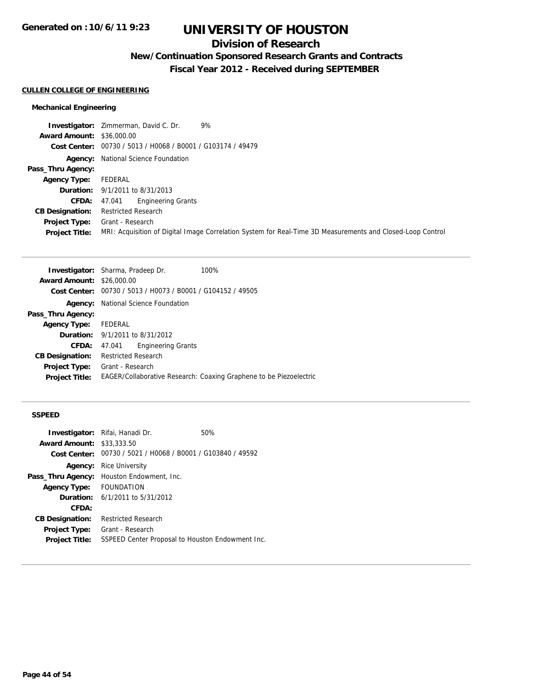## **Division of Research**

**New/Continuation Sponsored Research Grants and Contracts**

**Fiscal Year 2012 - Received during SEPTEMBER**

### **CULLEN COLLEGE OF ENGINEERING**

#### **Mechanical Engineering**

**Investigator:** Zimmerman, David C. Dr. 9% **Award Amount:** \$36,000.00 **Cost Center:** 00730 / 5013 / H0068 / B0001 / G103174 / 49479 **Agency:** National Science Foundation **Pass\_Thru Agency: Agency Type:** FEDERAL **Duration:** 9/1/2011 to 8/31/2013 **CFDA:** 47.041 Engineering Grants **CB Designation:** Restricted Research **Project Type:** Grant - Research **Project Title:** MRI: Acquisition of Digital Image Correlation System for Real-Time 3D Measurements and Closed-Loop Control

|                                  | <b>Investigator:</b> Sharma, Pradeep Dr.                    | 100%                                                               |
|----------------------------------|-------------------------------------------------------------|--------------------------------------------------------------------|
| <b>Award Amount: \$26,000.00</b> |                                                             |                                                                    |
|                                  | Cost Center: 00730 / 5013 / H0073 / B0001 / G104152 / 49505 |                                                                    |
| Agency:                          | National Science Foundation                                 |                                                                    |
| Pass_Thru Agency:                |                                                             |                                                                    |
| <b>Agency Type:</b>              | FEDERAL                                                     |                                                                    |
|                                  | <b>Duration:</b> $9/1/2011$ to $8/31/2012$                  |                                                                    |
| <b>CFDA:</b>                     | <b>Engineering Grants</b><br>47.041                         |                                                                    |
| <b>CB Designation:</b>           | <b>Restricted Research</b>                                  |                                                                    |
| Project Type:                    | Grant - Research                                            |                                                                    |
| <b>Project Title:</b>            |                                                             | EAGER/Collaborative Research: Coaxing Graphene to be Piezoelectric |
|                                  |                                                             |                                                                    |

#### **SSPEED**

|                                  | <b>Investigator:</b> Rifai, Hanadi Dr.                      | 50% |
|----------------------------------|-------------------------------------------------------------|-----|
| <b>Award Amount: \$33,333,50</b> |                                                             |     |
|                                  | Cost Center: 00730 / 5021 / H0068 / B0001 / G103840 / 49592 |     |
| Agency:                          | Rice University                                             |     |
| Pass_Thru Agency:                | Houston Endowment, Inc.                                     |     |
| <b>Agency Type:</b>              | <b>FOUNDATION</b>                                           |     |
|                                  | <b>Duration:</b> $6/1/2011$ to $5/31/2012$                  |     |
| CFDA:                            |                                                             |     |
| <b>CB Designation:</b>           | <b>Restricted Research</b>                                  |     |
| Project Type:                    | Grant - Research                                            |     |
| <b>Project Title:</b>            | SSPEED Center Proposal to Houston Endowment Inc.            |     |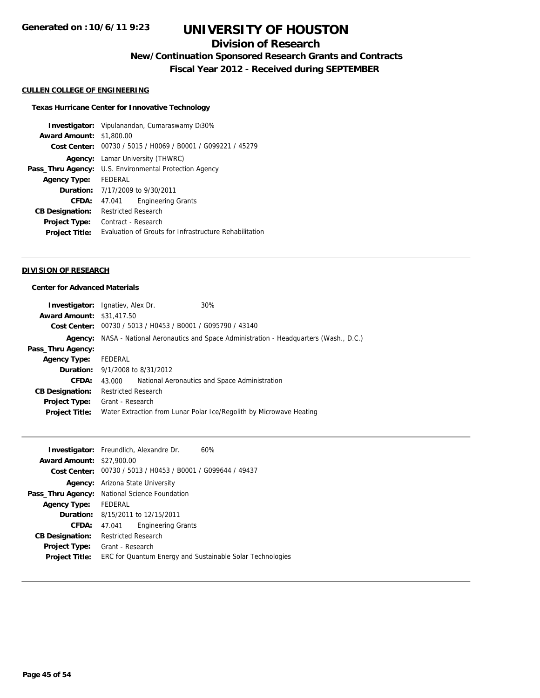## **Division of Research**

**New/Continuation Sponsored Research Grants and Contracts**

**Fiscal Year 2012 - Received during SEPTEMBER**

#### **CULLEN COLLEGE OF ENGINEERING**

### **Texas Hurricane Center for Innovative Technology**

|                        | <b>Investigator:</b> Vipulanandan, Cumaraswamy D30%         |  |  |
|------------------------|-------------------------------------------------------------|--|--|
| <b>Award Amount:</b>   | \$1,800.00                                                  |  |  |
|                        | Cost Center: 00730 / 5015 / H0069 / B0001 / G099221 / 45279 |  |  |
| Agency:                | Lamar University (THWRC)                                    |  |  |
| Pass_Thru Agency:      | U.S. Environmental Protection Agency                        |  |  |
| <b>Agency Type:</b>    | FEDERAL                                                     |  |  |
|                        | <b>Duration:</b> 7/17/2009 to 9/30/2011                     |  |  |
| CFDA:                  | <b>Engineering Grants</b><br>47.041                         |  |  |
| <b>CB Designation:</b> | Restricted Research                                         |  |  |
| <b>Project Type:</b>   | Contract - Research                                         |  |  |
| <b>Project Title:</b>  | Evaluation of Grouts for Infrastructure Rehabilitation      |  |  |
|                        |                                                             |  |  |

#### **DIVISION OF RESEARCH**

### **Center for Advanced Materials**

|                                  | <b>Investigator:</b> Ignatiev, Alex Dr.                     | 30%                                                                                       |
|----------------------------------|-------------------------------------------------------------|-------------------------------------------------------------------------------------------|
| <b>Award Amount: \$31,417.50</b> |                                                             |                                                                                           |
|                                  | Cost Center: 00730 / 5013 / H0453 / B0001 / G095790 / 43140 |                                                                                           |
|                                  |                                                             | Agency: NASA - National Aeronautics and Space Administration - Headquarters (Wash., D.C.) |
| Pass_Thru Agency:                |                                                             |                                                                                           |
| <b>Agency Type:</b>              | FEDERAL                                                     |                                                                                           |
|                                  | <b>Duration:</b> 9/1/2008 to 8/31/2012                      |                                                                                           |
| CFDA:                            | 43.000                                                      | National Aeronautics and Space Administration                                             |
| <b>CB Designation:</b>           | <b>Restricted Research</b>                                  |                                                                                           |
|                                  | <b>Project Type:</b> Grant - Research                       |                                                                                           |
| <b>Project Title:</b>            |                                                             | Water Extraction from Lunar Polar Ice/Regolith by Microwave Heating                       |
|                                  |                                                             |                                                                                           |

|                                  | <b>Investigator:</b> Freundlich, Alexandre Dr.<br>60%       |
|----------------------------------|-------------------------------------------------------------|
| <b>Award Amount: \$27,900.00</b> |                                                             |
|                                  | Cost Center: 00730 / 5013 / H0453 / B0001 / G099644 / 49437 |
| Agency:                          | Arizona State University                                    |
|                                  | Pass_Thru Agency: National Science Foundation               |
| <b>Agency Type:</b>              | FEDERAL                                                     |
|                                  | <b>Duration:</b> 8/15/2011 to 12/15/2011                    |
| CFDA:                            | <b>Engineering Grants</b><br>47.041                         |
| <b>CB Designation:</b>           | <b>Restricted Research</b>                                  |
| Project Type:                    | Grant - Research                                            |
| <b>Project Title:</b>            | ERC for Quantum Energy and Sustainable Solar Technologies   |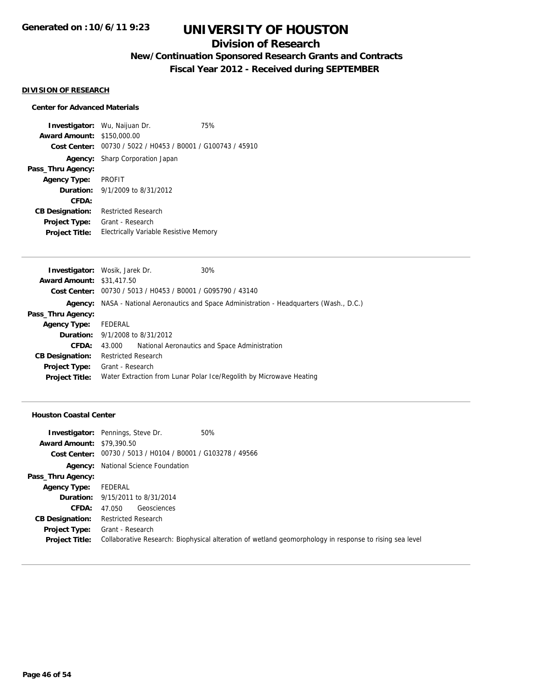## **Division of Research**

## **New/Continuation Sponsored Research Grants and Contracts**

**Fiscal Year 2012 - Received during SEPTEMBER**

### **DIVISION OF RESEARCH**

### **Center for Advanced Materials**

**Investigator:** Wu, Naijuan Dr. 75% **Award Amount:** \$150,000.00 **Cost Center:** 00730 / 5022 / H0453 / B0001 / G100743 / 45910 **Agency:** Sharp Corporation Japan **Pass\_Thru Agency: Agency Type:** PROFIT **Duration:** 9/1/2009 to 8/31/2012 **CFDA: CB Designation:** Restricted Research **Project Type:** Grant - Research **Project Title:** Electrically Variable Resistive Memory

|                                  | <b>Investigator:</b> Wosik, Jarek Dr.                       | 30%                                                                                              |
|----------------------------------|-------------------------------------------------------------|--------------------------------------------------------------------------------------------------|
| <b>Award Amount: \$31,417.50</b> |                                                             |                                                                                                  |
|                                  | Cost Center: 00730 / 5013 / H0453 / B0001 / G095790 / 43140 |                                                                                                  |
|                                  |                                                             | <b>Agency:</b> NASA - National Aeronautics and Space Administration - Headquarters (Wash., D.C.) |
| Pass_Thru Agency:                |                                                             |                                                                                                  |
| <b>Agency Type:</b>              | FEDERAL                                                     |                                                                                                  |
|                                  | <b>Duration:</b> 9/1/2008 to 8/31/2012                      |                                                                                                  |
| CFDA:                            | 43.000                                                      | National Aeronautics and Space Administration                                                    |
| <b>CB Designation:</b>           | <b>Restricted Research</b>                                  |                                                                                                  |
| Project Type:                    | Grant - Research                                            |                                                                                                  |
| <b>Project Title:</b>            |                                                             | Water Extraction from Lunar Polar Ice/Regolith by Microwave Heating                              |
|                                  |                                                             |                                                                                                  |

#### **Houston Coastal Center**

|                                  | 50%<br><b>Investigator:</b> Pennings, Steve Dr.                                                         |
|----------------------------------|---------------------------------------------------------------------------------------------------------|
| <b>Award Amount: \$79,390.50</b> |                                                                                                         |
|                                  | Cost Center: 00730 / 5013 / H0104 / B0001 / G103278 / 49566                                             |
|                                  | <b>Agency:</b> National Science Foundation                                                              |
| Pass_Thru Agency:                |                                                                                                         |
| <b>Agency Type:</b>              | FEDERAL                                                                                                 |
|                                  | <b>Duration:</b> 9/15/2011 to 8/31/2014                                                                 |
| CFDA:                            | Geosciences<br>47.050                                                                                   |
| <b>CB Designation:</b>           | <b>Restricted Research</b>                                                                              |
| <b>Project Type:</b>             | Grant - Research                                                                                        |
| <b>Project Title:</b>            | Collaborative Research: Biophysical alteration of wetland geomorphology in response to rising sea level |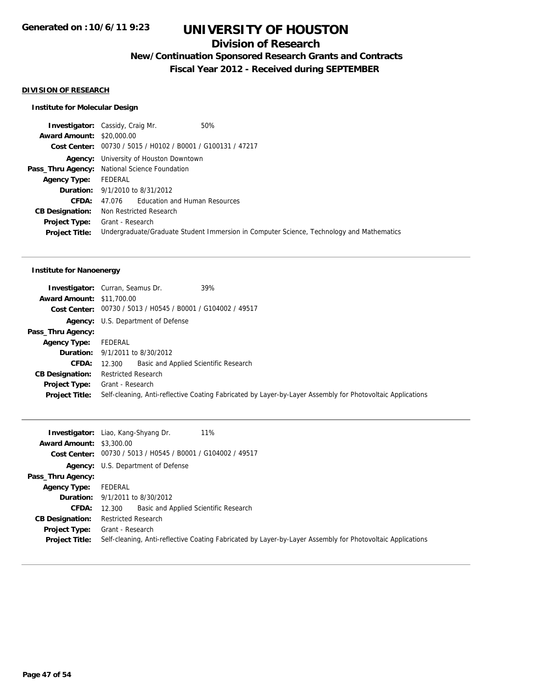## **Division of Research**

**New/Continuation Sponsored Research Grants and Contracts**

**Fiscal Year 2012 - Received during SEPTEMBER**

### **DIVISION OF RESEARCH**

#### **Institute for Molecular Design**

|                                  | <b>Investigator:</b> Cassidy, Craig Mr.                     | 50%                                                                                      |
|----------------------------------|-------------------------------------------------------------|------------------------------------------------------------------------------------------|
| <b>Award Amount: \$20,000.00</b> |                                                             |                                                                                          |
|                                  | Cost Center: 00730 / 5015 / H0102 / B0001 / G100131 / 47217 |                                                                                          |
| Agency:                          | University of Houston Downtown                              |                                                                                          |
| Pass_Thru Agency:                | National Science Foundation                                 |                                                                                          |
| <b>Agency Type:</b>              | FEDERAL                                                     |                                                                                          |
|                                  | <b>Duration:</b> 9/1/2010 to 8/31/2012                      |                                                                                          |
| CFDA:                            | 47.076 Education and Human Resources                        |                                                                                          |
| <b>CB Designation:</b>           | Non Restricted Research                                     |                                                                                          |
| <b>Project Type:</b>             | Grant - Research                                            |                                                                                          |
| <b>Project Title:</b>            |                                                             | Undergraduate/Graduate Student Immersion in Computer Science, Technology and Mathematics |
|                                  |                                                             |                                                                                          |

### **Institute for Nanoenergy**

|                                  | 39%<br><b>Investigator:</b> Curran, Seamus Dr.                                                             |
|----------------------------------|------------------------------------------------------------------------------------------------------------|
| <b>Award Amount: \$11,700.00</b> |                                                                                                            |
|                                  | Cost Center: 00730 / 5013 / H0545 / B0001 / G104002 / 49517                                                |
|                                  | <b>Agency:</b> U.S. Department of Defense                                                                  |
| Pass_Thru Agency:                |                                                                                                            |
| <b>Agency Type:</b>              | FEDERAL                                                                                                    |
|                                  | <b>Duration:</b> 9/1/2011 to 8/30/2012                                                                     |
| <b>CFDA:</b>                     | Basic and Applied Scientific Research<br>12.300                                                            |
| <b>CB Designation:</b>           | <b>Restricted Research</b>                                                                                 |
| <b>Project Type:</b>             | Grant - Research                                                                                           |
| <b>Project Title:</b>            | Self-cleaning, Anti-reflective Coating Fabricated by Layer-by-Layer Assembly for Photovoltaic Applications |

|                                 | 11%<br><b>Investigator:</b> Liao, Kang-Shyang Dr.                                                          |
|---------------------------------|------------------------------------------------------------------------------------------------------------|
| <b>Award Amount: \$3,300.00</b> |                                                                                                            |
|                                 | Cost Center: 00730 / 5013 / H0545 / B0001 / G104002 / 49517                                                |
|                                 | <b>Agency:</b> U.S. Department of Defense                                                                  |
| Pass_Thru Agency:               |                                                                                                            |
| <b>Agency Type:</b>             | FEDERAL                                                                                                    |
|                                 | <b>Duration:</b> $9/1/2011$ to $8/30/2012$                                                                 |
| CFDA:                           | Basic and Applied Scientific Research<br>12.300                                                            |
| <b>CB Designation:</b>          | <b>Restricted Research</b>                                                                                 |
| Project Type:                   | Grant - Research                                                                                           |
| <b>Project Title:</b>           | Self-cleaning, Anti-reflective Coating Fabricated by Layer-by-Layer Assembly for Photovoltaic Applications |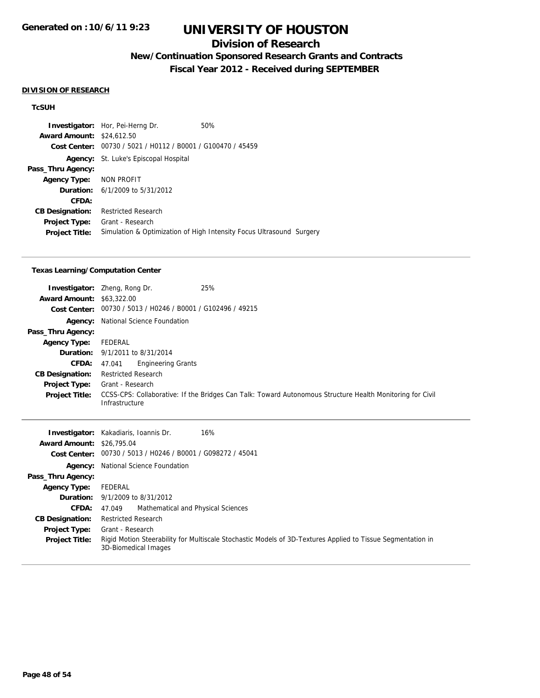## **Division of Research**

## **New/Continuation Sponsored Research Grants and Contracts**

**Fiscal Year 2012 - Received during SEPTEMBER**

#### **DIVISION OF RESEARCH**

#### **TcSUH**

**Investigator:** Hor, Pei-Herng Dr. 50% **Award Amount:** \$24,612.50 **Cost Center:** 00730 / 5021 / H0112 / B0001 / G100470 / 45459 **Agency:** St. Luke's Episcopal Hospital **Pass\_Thru Agency: Agency Type:** NON PROFIT **Duration:** 6/1/2009 to 5/31/2012 **CFDA: CB Designation:** Restricted Research **Project Type:** Grant - Research **Project Title:** Simulation & Optimization of High Intensity Focus Ultrasound Surgery

#### **Texas Learning/Computation Center**

| <b>Award Amount: \$63,322.00</b> | 25%<br><b>Investigator:</b> Zheng, Rong Dr.                                                                                 |
|----------------------------------|-----------------------------------------------------------------------------------------------------------------------------|
|                                  | Cost Center: 00730 / 5013 / H0246 / B0001 / G102496 / 49215                                                                 |
|                                  | <b>Agency:</b> National Science Foundation                                                                                  |
| Pass_Thru Agency:                |                                                                                                                             |
| <b>Agency Type:</b>              | FEDERAL                                                                                                                     |
|                                  | <b>Duration:</b> 9/1/2011 to 8/31/2014                                                                                      |
| <b>CFDA:</b>                     | <b>Engineering Grants</b><br>47.041                                                                                         |
| <b>CB Designation:</b>           | <b>Restricted Research</b>                                                                                                  |
| <b>Project Type:</b>             | Grant - Research                                                                                                            |
| <b>Project Title:</b>            | CCSS-CPS: Collaborative: If the Bridges Can Talk: Toward Autonomous Structure Health Monitoring for Civil<br>Infrastructure |

|                                  | 16%<br><b>Investigator:</b> Kakadiaris, Ioannis Dr.                                                                                 |
|----------------------------------|-------------------------------------------------------------------------------------------------------------------------------------|
| <b>Award Amount: \$26,795.04</b> |                                                                                                                                     |
|                                  | Cost Center: 00730 / 5013 / H0246 / B0001 / G098272 / 45041                                                                         |
|                                  | <b>Agency:</b> National Science Foundation                                                                                          |
| Pass_Thru Agency:                |                                                                                                                                     |
| <b>Agency Type:</b>              | FEDERAL                                                                                                                             |
|                                  | <b>Duration:</b> 9/1/2009 to 8/31/2012                                                                                              |
| <b>CFDA:</b>                     | Mathematical and Physical Sciences<br>47.049                                                                                        |
| <b>CB Designation:</b>           | <b>Restricted Research</b>                                                                                                          |
| Project Type:                    | Grant - Research                                                                                                                    |
| <b>Project Title:</b>            | Rigid Motion Steerability for Multiscale Stochastic Models of 3D-Textures Applied to Tissue Segmentation in<br>3D-Biomedical Images |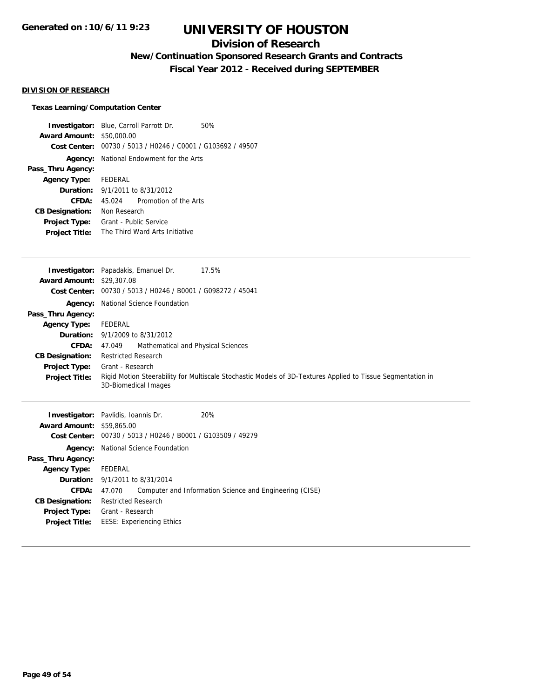## **Division of Research**

## **New/Continuation Sponsored Research Grants and Contracts**

**Fiscal Year 2012 - Received during SEPTEMBER**

### **DIVISION OF RESEARCH**

### **Texas Learning/Computation Center**

| <b>Investigator:</b> Blue, Carroll Parrott Dr. |                                                |                       | 50% |
|------------------------------------------------|------------------------------------------------|-----------------------|-----|
| <b>Award Amount:</b>                           | \$50,000.00                                    |                       |     |
| Cost Center:                                   | 00730 / 5013 / H0246 / C0001 / G103692 / 49507 |                       |     |
| Agency:                                        | National Endowment for the Arts                |                       |     |
| Pass_Thru Agency:                              |                                                |                       |     |
| Agency Type: FEDERAL                           |                                                |                       |     |
|                                                | <b>Duration:</b> $9/1/2011$ to $8/31/2012$     |                       |     |
| CFDA:                                          | 45.024                                         | Promotion of the Arts |     |
| <b>CB Designation:</b>                         | Non Research                                   |                       |     |
| <b>Project Type:</b>                           | Grant - Public Service                         |                       |     |
| <b>Project Title:</b>                          | The Third Ward Arts Initiative                 |                       |     |
|                                                |                                                |                       |     |

|                                  | <b>Investigator:</b> Papadakis, Emanuel Dr.<br>17.5%                                                                                |
|----------------------------------|-------------------------------------------------------------------------------------------------------------------------------------|
| <b>Award Amount: \$29,307.08</b> |                                                                                                                                     |
|                                  | Cost Center: 00730 / 5013 / H0246 / B0001 / G098272 / 45041                                                                         |
|                                  | <b>Agency:</b> National Science Foundation                                                                                          |
| Pass_Thru Agency:                |                                                                                                                                     |
| <b>Agency Type:</b>              | FEDERAL                                                                                                                             |
|                                  | <b>Duration:</b> $9/1/2009$ to $8/31/2012$                                                                                          |
| <b>CFDA:</b>                     | Mathematical and Physical Sciences<br>47.049                                                                                        |
| <b>CB Designation:</b>           | <b>Restricted Research</b>                                                                                                          |
| Project Type:                    | Grant - Research                                                                                                                    |
| <b>Project Title:</b>            | Rigid Motion Steerability for Multiscale Stochastic Models of 3D-Textures Applied to Tissue Segmentation in<br>3D-Biomedical Images |
|                                  |                                                                                                                                     |

| <b>Investigator:</b> Pavlidis, Ioannis Dr. |                            |                                                             | 20%                                                     |
|--------------------------------------------|----------------------------|-------------------------------------------------------------|---------------------------------------------------------|
| <b>Award Amount: \$59,865,00</b>           |                            |                                                             |                                                         |
|                                            |                            | Cost Center: 00730 / 5013 / H0246 / B0001 / G103509 / 49279 |                                                         |
| Agency:                                    |                            | National Science Foundation                                 |                                                         |
| Pass_Thru Agency:                          |                            |                                                             |                                                         |
| <b>Agency Type:</b>                        | FEDERAL                    |                                                             |                                                         |
| <b>Duration:</b> 9/1/2011 to 8/31/2014     |                            |                                                             |                                                         |
| CFDA:                                      | 47.070                     |                                                             | Computer and Information Science and Engineering (CISE) |
| <b>CB Designation:</b>                     | <b>Restricted Research</b> |                                                             |                                                         |
| <b>Project Type:</b>                       | Grant - Research           |                                                             |                                                         |
| <b>Project Title:</b>                      |                            | <b>EESE: Experiencing Ethics</b>                            |                                                         |
|                                            |                            |                                                             |                                                         |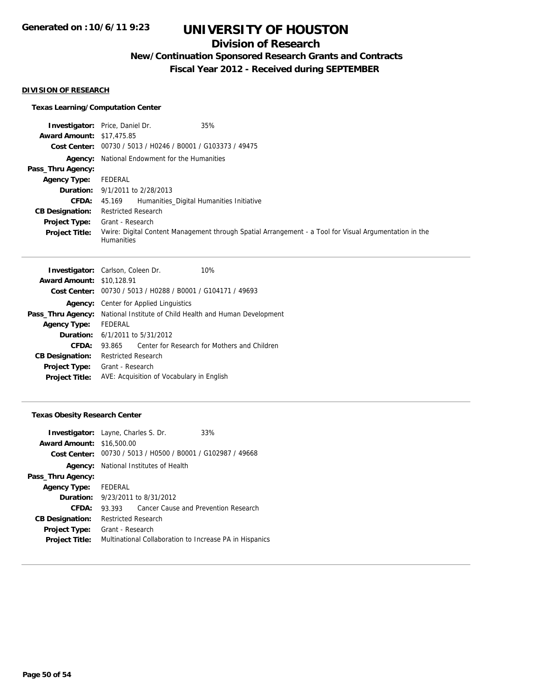## **Division of Research**

## **New/Continuation Sponsored Research Grants and Contracts**

**Fiscal Year 2012 - Received during SEPTEMBER**

#### **DIVISION OF RESEARCH**

### **Texas Learning/Computation Center**

|                                  | <b>Investigator:</b> Price, Daniel Dr.<br>35%                                                                               |
|----------------------------------|-----------------------------------------------------------------------------------------------------------------------------|
| <b>Award Amount: \$17,475.85</b> |                                                                                                                             |
| Cost Center:                     | 00730 / 5013 / H0246 / B0001 / G103373 / 49475                                                                              |
|                                  | <b>Agency:</b> National Endowment for the Humanities                                                                        |
| Pass_Thru Agency:                |                                                                                                                             |
| <b>Agency Type:</b>              | FEDERAL                                                                                                                     |
|                                  | <b>Duration:</b> 9/1/2011 to 2/28/2013                                                                                      |
| <b>CFDA:</b>                     | 45.169 Humanities Digital Humanities Initiative                                                                             |
| <b>CB Designation:</b>           | <b>Restricted Research</b>                                                                                                  |
| Project Type:                    | Grant - Research                                                                                                            |
| <b>Project Title:</b>            | Vwire: Digital Content Management through Spatial Arrangement - a Tool for Visual Argumentation in the<br><b>Humanities</b> |

|                                  | <b>Investigator:</b> Carlson, Coleen Dr.<br>10%             |  |  |
|----------------------------------|-------------------------------------------------------------|--|--|
| <b>Award Amount: \$10,128.91</b> |                                                             |  |  |
|                                  | Cost Center: 00730 / 5013 / H0288 / B0001 / G104171 / 49693 |  |  |
| Agency:                          | Center for Applied Linguistics                              |  |  |
| Pass_Thru Agency:                | National Institute of Child Health and Human Development    |  |  |
| <b>Agency Type:</b>              | FEDERAL                                                     |  |  |
|                                  | <b>Duration:</b> $6/1/2011$ to $5/31/2012$                  |  |  |
| CFDA:                            | Center for Research for Mothers and Children<br>93.865      |  |  |
| <b>CB Designation:</b>           | <b>Restricted Research</b>                                  |  |  |
| Project Type:                    | Grant - Research                                            |  |  |
| <b>Project Title:</b>            | AVE: Acquisition of Vocabulary in English                   |  |  |
|                                  |                                                             |  |  |

### **Texas Obesity Research Center**

|                                  | <b>Investigator:</b> Layne, Charles S. Dr.                  | 33%                                                     |
|----------------------------------|-------------------------------------------------------------|---------------------------------------------------------|
| <b>Award Amount: \$16,500.00</b> |                                                             |                                                         |
|                                  | Cost Center: 00730 / 5013 / H0500 / B0001 / G102987 / 49668 |                                                         |
|                                  | <b>Agency:</b> National Institutes of Health                |                                                         |
| Pass_Thru Agency:                |                                                             |                                                         |
| <b>Agency Type:</b>              | FEDERAL                                                     |                                                         |
|                                  | <b>Duration:</b> 9/23/2011 to 8/31/2012                     |                                                         |
| CFDA:                            | 93.393                                                      | Cancer Cause and Prevention Research                    |
| <b>CB Designation:</b>           | <b>Restricted Research</b>                                  |                                                         |
| <b>Project Type:</b>             | Grant - Research                                            |                                                         |
| <b>Project Title:</b>            |                                                             | Multinational Collaboration to Increase PA in Hispanics |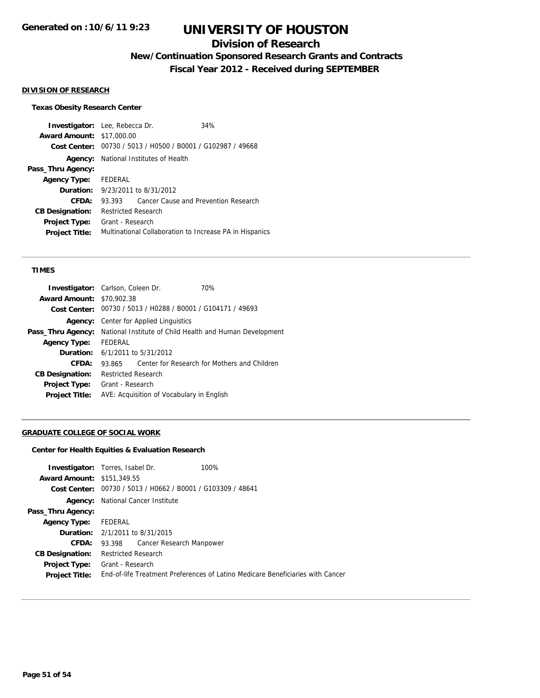## **Division of Research**

**New/Continuation Sponsored Research Grants and Contracts**

**Fiscal Year 2012 - Received during SEPTEMBER**

#### **DIVISION OF RESEARCH**

### **Texas Obesity Research Center**

| <b>Investigator:</b> Lee, Rebecca Dr. |                                         |                                                             | 34%                                                     |
|---------------------------------------|-----------------------------------------|-------------------------------------------------------------|---------------------------------------------------------|
| <b>Award Amount: \$17,000.00</b>      |                                         |                                                             |                                                         |
|                                       |                                         | Cost Center: 00730 / 5013 / H0500 / B0001 / G102987 / 49668 |                                                         |
|                                       |                                         | <b>Agency:</b> National Institutes of Health                |                                                         |
| Pass_Thru Agency:                     |                                         |                                                             |                                                         |
| Agency Type: FEDERAL                  |                                         |                                                             |                                                         |
|                                       | <b>Duration:</b> 9/23/2011 to 8/31/2012 |                                                             |                                                         |
| CFDA:                                 | 93.393                                  |                                                             | Cancer Cause and Prevention Research                    |
| <b>CB Designation:</b>                | <b>Restricted Research</b>              |                                                             |                                                         |
| <b>Project Type:</b>                  | Grant - Research                        |                                                             |                                                         |
| <b>Project Title:</b>                 |                                         |                                                             | Multinational Collaboration to Increase PA in Hispanics |
|                                       |                                         |                                                             |                                                         |

#### **TIMES**

| <b>Investigator:</b> Carlson, Coleen Dr. |                                                          |                                                             | 70%                                          |
|------------------------------------------|----------------------------------------------------------|-------------------------------------------------------------|----------------------------------------------|
| <b>Award Amount: \$70,902.38</b>         |                                                          |                                                             |                                              |
|                                          |                                                          | Cost Center: 00730 / 5013 / H0288 / B0001 / G104171 / 49693 |                                              |
| Agency:                                  | Center for Applied Linguistics                           |                                                             |                                              |
| Pass_Thru Agency:                        | National Institute of Child Health and Human Development |                                                             |                                              |
| <b>Agency Type:</b>                      | <b>FEDERAL</b>                                           |                                                             |                                              |
|                                          |                                                          | <b>Duration:</b> $6/1/2011$ to $5/31/2012$                  |                                              |
| CFDA:                                    | 93.865                                                   |                                                             | Center for Research for Mothers and Children |
| <b>CB Designation:</b>                   | <b>Restricted Research</b>                               |                                                             |                                              |
| <b>Project Type:</b>                     | Grant - Research                                         |                                                             |                                              |
| <b>Project Title:</b>                    |                                                          | AVE: Acquisition of Vocabulary in English                   |                                              |
|                                          |                                                          |                                                             |                                              |

### **GRADUATE COLLEGE OF SOCIAL WORK**

### **Center for Health Equities & Evaluation Research**

| <b>Investigator:</b> Torres, Isabel Dr. |                            |                                                             | 100%                                                                           |
|-----------------------------------------|----------------------------|-------------------------------------------------------------|--------------------------------------------------------------------------------|
| <b>Award Amount: \$151,349.55</b>       |                            |                                                             |                                                                                |
|                                         |                            | Cost Center: 00730 / 5013 / H0662 / B0001 / G103309 / 48641 |                                                                                |
|                                         |                            | <b>Agency:</b> National Cancer Institute                    |                                                                                |
| Pass_Thru Agency:                       |                            |                                                             |                                                                                |
| <b>Agency Type:</b>                     | FEDERAL                    |                                                             |                                                                                |
| <b>Duration:</b> 2/1/2011 to 8/31/2015  |                            |                                                             |                                                                                |
| <b>CFDA:</b>                            |                            | 93.398 Cancer Research Manpower                             |                                                                                |
| <b>CB Designation:</b>                  | <b>Restricted Research</b> |                                                             |                                                                                |
| Project Type:                           | Grant - Research           |                                                             |                                                                                |
| <b>Project Title:</b>                   |                            |                                                             | End-of-life Treatment Preferences of Latino Medicare Beneficiaries with Cancer |
|                                         |                            |                                                             |                                                                                |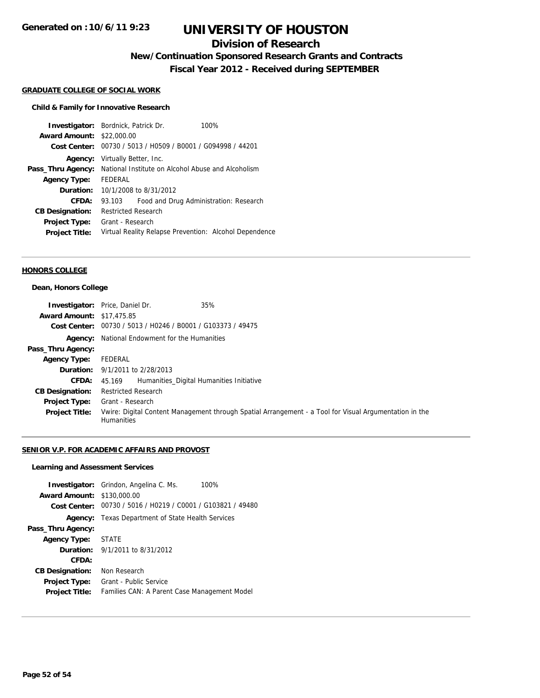## **Division of Research**

**New/Continuation Sponsored Research Grants and Contracts**

**Fiscal Year 2012 - Received during SEPTEMBER**

#### **GRADUATE COLLEGE OF SOCIAL WORK**

### **Child & Family for Innovative Research**

|                        | <b>Investigator:</b> Bordnick, Patrick Dr.             | 100%                                   |  |
|------------------------|--------------------------------------------------------|----------------------------------------|--|
| <b>Award Amount:</b>   | \$22,000.00                                            |                                        |  |
| Cost Center:           | 00730 / 5013 / H0509 / B0001 / G094998 / 44201         |                                        |  |
| Agency:                | Virtually Better, Inc.                                 |                                        |  |
| Pass_Thru Agency:      | National Institute on Alcohol Abuse and Alcoholism     |                                        |  |
| <b>Agency Type:</b>    | FEDERAL                                                |                                        |  |
| Duration:              | 10/1/2008 to 8/31/2012                                 |                                        |  |
| CFDA:                  | 93.103                                                 | Food and Drug Administration: Research |  |
| <b>CB Designation:</b> | Restricted Research                                    |                                        |  |
| Project Type:          | Grant - Research                                       |                                        |  |
| <b>Project Title:</b>  | Virtual Reality Relapse Prevention: Alcohol Dependence |                                        |  |
|                        |                                                        |                                        |  |

#### **HONORS COLLEGE**

#### **Dean, Honors College**

|                                  | 35%<br><b>Investigator:</b> Price, Daniel Dr.                                                                               |
|----------------------------------|-----------------------------------------------------------------------------------------------------------------------------|
| <b>Award Amount: \$17,475.85</b> |                                                                                                                             |
|                                  | Cost Center: 00730 / 5013 / H0246 / B0001 / G103373 / 49475                                                                 |
|                                  | <b>Agency:</b> National Endowment for the Humanities                                                                        |
| Pass_Thru Agency:                |                                                                                                                             |
| <b>Agency Type:</b>              | FEDERAL                                                                                                                     |
|                                  | <b>Duration:</b> 9/1/2011 to 2/28/2013                                                                                      |
| <b>CFDA:</b>                     | Humanities Digital Humanities Initiative<br>45.169                                                                          |
| <b>CB Designation:</b>           | <b>Restricted Research</b>                                                                                                  |
| <b>Project Type:</b>             | Grant - Research                                                                                                            |
| <b>Project Title:</b>            | Vwire: Digital Content Management through Spatial Arrangement - a Tool for Visual Argumentation in the<br><b>Humanities</b> |

### **SENIOR V.P. FOR ACADEMIC AFFAIRS AND PROVOST**

#### **Learning and Assessment Services**

| <b>Award Amount: \$130,000.00</b> | <b>Investigator:</b> Grindon, Angelina C. Ms.<br>100%<br>Cost Center: 00730 / 5016 / H0219 / C0001 / G103821 / 49480 |  |
|-----------------------------------|----------------------------------------------------------------------------------------------------------------------|--|
| Agency:                           | Texas Department of State Health Services                                                                            |  |
| Pass_Thru Agency:                 |                                                                                                                      |  |
| Agency Type: STATE                |                                                                                                                      |  |
|                                   | <b>Duration:</b> $9/1/2011$ to $8/31/2012$                                                                           |  |
| CFDA:                             |                                                                                                                      |  |
| <b>CB Designation:</b>            | Non Research                                                                                                         |  |
| <b>Project Type:</b>              | Grant - Public Service                                                                                               |  |
| <b>Project Title:</b>             | Families CAN: A Parent Case Management Model                                                                         |  |
|                                   |                                                                                                                      |  |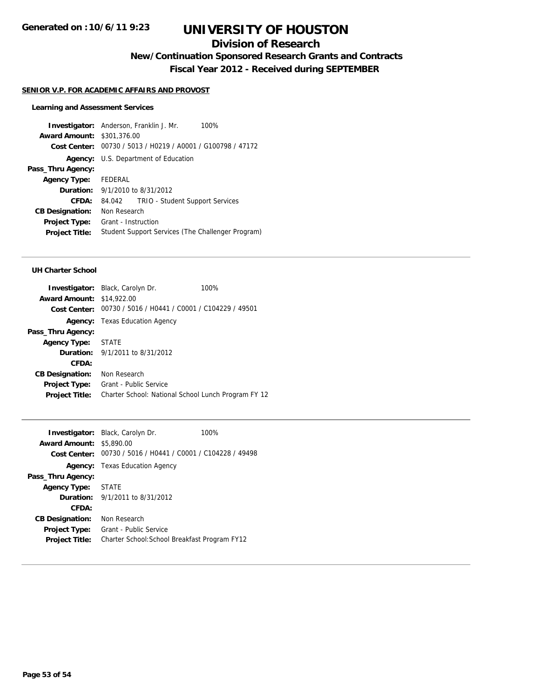## **Division of Research**

**New/Continuation Sponsored Research Grants and Contracts**

**Fiscal Year 2012 - Received during SEPTEMBER**

#### **SENIOR V.P. FOR ACADEMIC AFFAIRS AND PROVOST**

#### **Learning and Assessment Services**

**Investigator:** Anderson, Franklin J. Mr. 100% **Award Amount:** \$301,376.00 **Cost Center:** 00730 / 5013 / H0219 / A0001 / G100798 / 47172 **Agency:** U.S. Department of Education **Pass\_Thru Agency: Agency Type:** FEDERAL **Duration:** 9/1/2010 to 8/31/2012 **CFDA:** 84.042 TRIO - Student Support Services **CB Designation:** Non Research **Project Type:** Grant - Instruction **Project Title:** Student Support Services (The Challenger Program)

#### **UH Charter School**

| <b>Investigator:</b> Black, Carolyn Dr.                     | 100% |
|-------------------------------------------------------------|------|
| <b>Award Amount: \$14,922.00</b>                            |      |
| Cost Center: 00730 / 5016 / H0441 / C0001 / C104229 / 49501 |      |
| <b>Agency:</b> Texas Education Agency                       |      |
|                                                             |      |
| Agency Type: STATE                                          |      |
| <b>Duration:</b> 9/1/2011 to 8/31/2012                      |      |
|                                                             |      |
| Non Research                                                |      |
| Grant - Public Service                                      |      |
| Charter School: National School Lunch Program FY 12         |      |
|                                                             |      |

|                                 | <b>Investigator:</b> Black, Carolyn Dr.                     | 100% |
|---------------------------------|-------------------------------------------------------------|------|
| <b>Award Amount: \$5,890.00</b> |                                                             |      |
|                                 | Cost Center: 00730 / 5016 / H0441 / C0001 / C104228 / 49498 |      |
|                                 | <b>Agency:</b> Texas Education Agency                       |      |
| Pass_Thru Agency:               |                                                             |      |
| Agency Type: STATE              |                                                             |      |
|                                 | <b>Duration:</b> $9/1/2011$ to $8/31/2012$                  |      |
| CFDA:                           |                                                             |      |
| <b>CB Designation:</b>          | Non Research                                                |      |
| <b>Project Type:</b>            | Grant - Public Service                                      |      |
| <b>Project Title:</b>           | Charter School: School Breakfast Program FY12               |      |